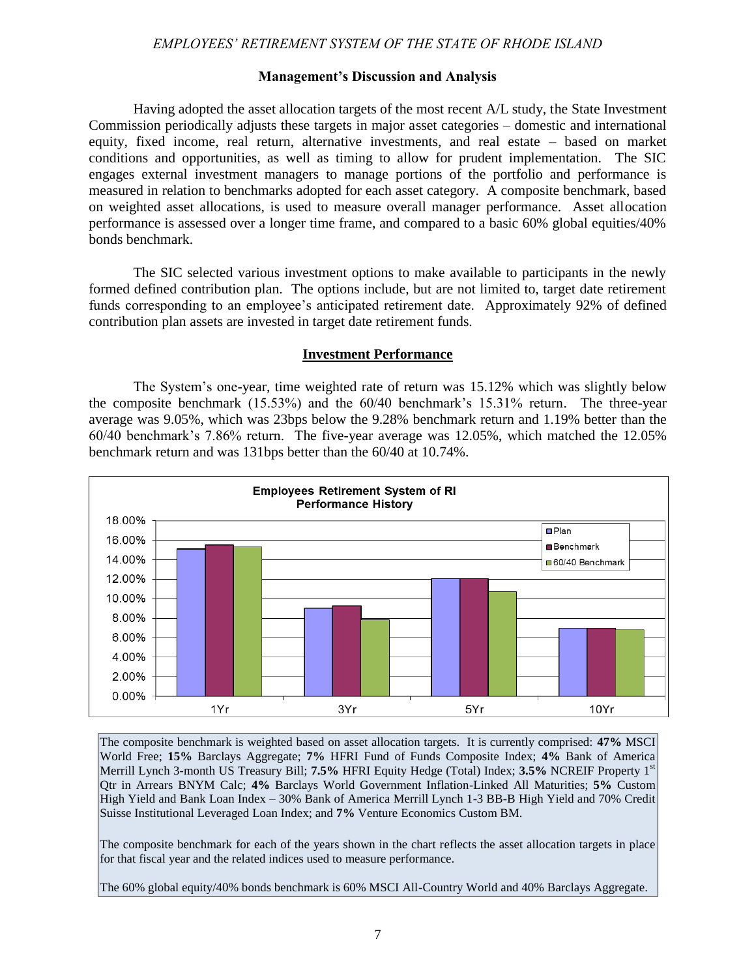**State of Rhode Island** 

# Employees' Retirement System

**FISCAL YEAR ENDED JUNE 30, 2014**

Dennis E. Hoyle, CPA Auditor General

State of Rhode Island and Providence Plantations General Assembly Office of the Auditor General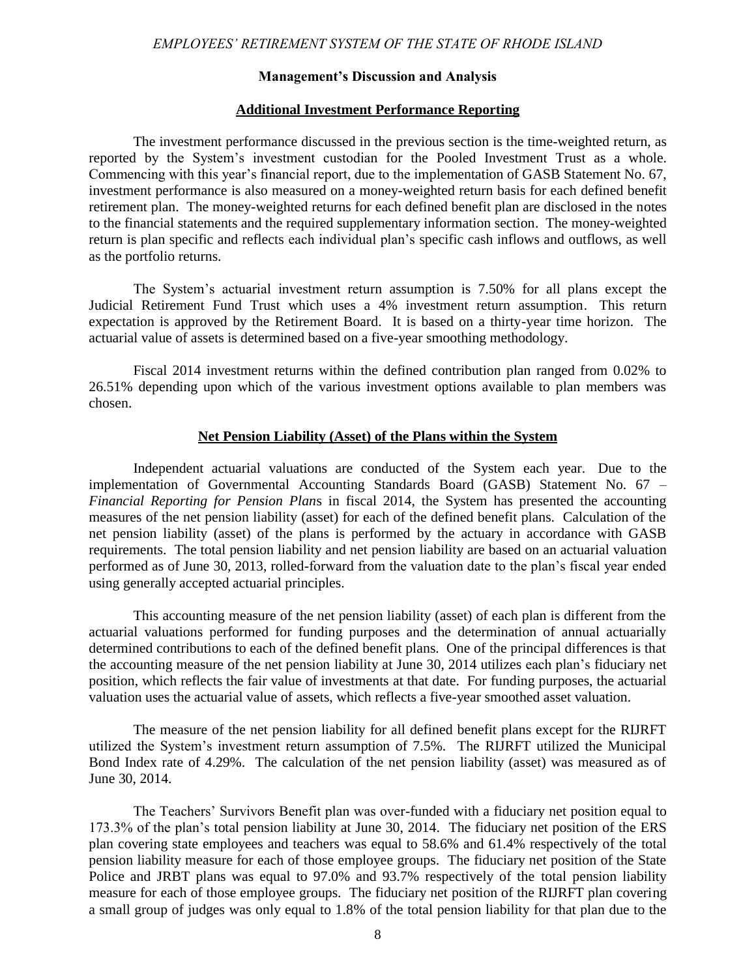

Office of the Auditor General

State of Rhode Island and Providence Plantations - General Assembly **Dennis E. Hoyle, CPA - Auditor General**

> 86 Weybosset Street · Providence, RI · 02903-2800 tel: 401.222.2435 • fax: 401.222.2111 **oag.ri.gov**

November 3, 2015

#### JOINT COMMITTEE ON LEGISLATIVE SERVICES:

SPEAKER Nicholas A. Mattiello, Chairman

Senator M. Teresa Paiva Weed Senator Dennis L. Algiere Representative John J. DeSimone Representative Brian C. Newberry

We have completed our audit of the financial statements of the Employees' Retirement System of the State of Rhode Island for the fiscal year ended June 30, 2014 in accordance with Section 36-8-19 of the Rhode Island General Laws.

Our report was originally transmitted January 8, 2015. Our report is reissued as of November 3, 2015 to reflect updated information. The Schedules of Employer Allocations for the cost-sharing plans are now included in the separately issued GASB 68 reports for participating employers. The allocation schedules for the ERS plan (originally included in this report) have been restated. Certain required supplementary information for the Teachers' Survivors Benefit Plan has been restated by the System's actuary. Finally, disclosure of the settlement of litigation challenging pension reforms and enactment of the pension settlement provisions by the General Assembly has been included in the notes to the financial statements.

Our report is contained herein as outlined in the Table of Contents.

Sincerely,

Dennis E. Hoyle, CPA Auditor General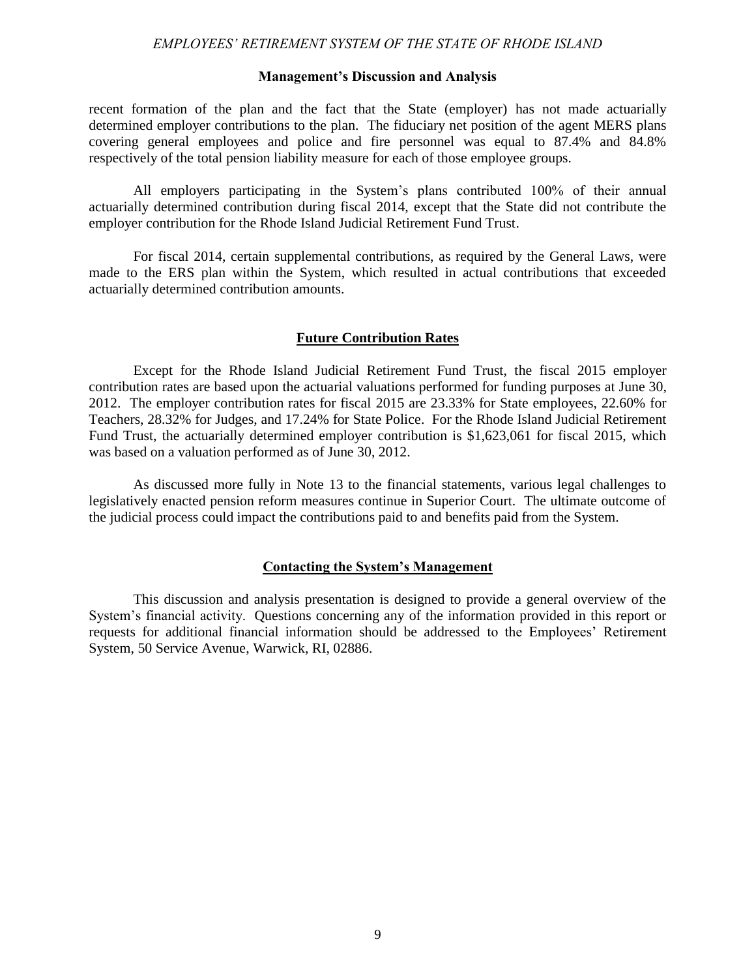# *EMPLOYEES' RETIREMENT SYSTEM OF THE STATE OF RHODE ISLAND FISCAL YEAR ENDED JUNE 30, 2014*

# **TABLE OF CONTENTS**

# **PAGE**

|--|--|

# **II. MANAGEMENT'S DISCUSSION AND ANALYSIS** ........................................................ 4

#### **III. BASIC FINANCIAL STATEMENTS**

#### **IV. REQUIRED SUPPLEMENTARY INFORMATION**

| Schedules of Changes in the Participating Employers' Net Pension Liability (Asset) 46 |  |
|---------------------------------------------------------------------------------------|--|
|                                                                                       |  |
|                                                                                       |  |
| Schedules of Employer and Other Nonemployer Contributing Entity Contributions 49      |  |
|                                                                                       |  |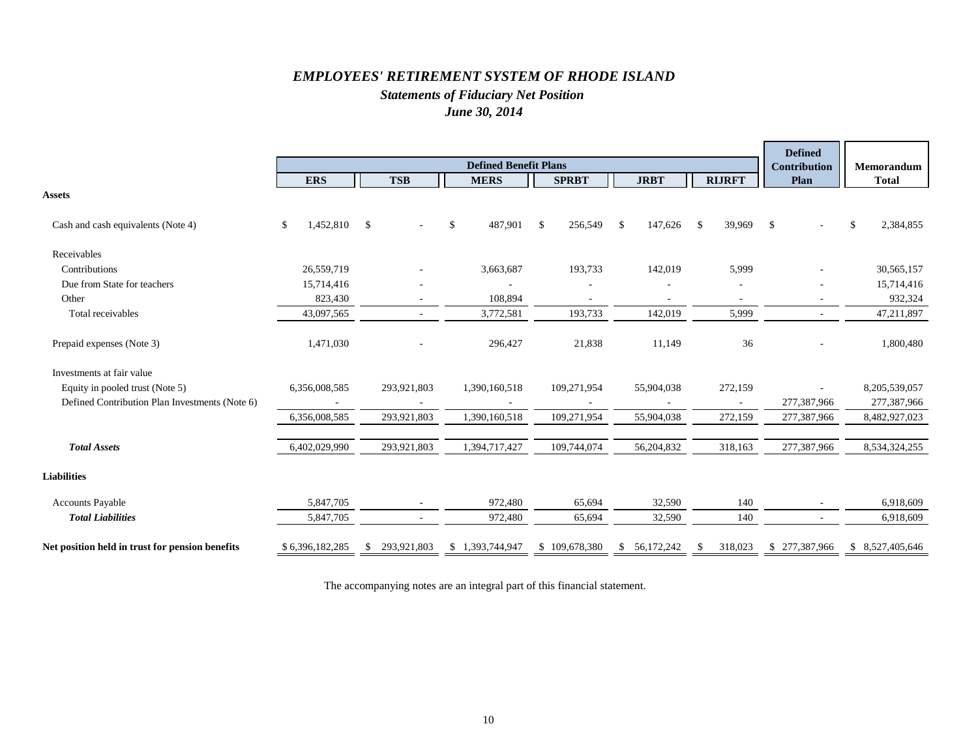

Office of the Auditor General

State of Rhode Island and Providence Plantations - General Assembly **Dennis E. Hoyle, CPA - Auditor General**

> 86 Weybosset Street • Providence, RI • 02903-2800 tel: 401.222.2435 · fax: 401.222.2111 **oag.ri.gov**

#### **INDEPENDENT AUDITOR'S REPORT**

#### JOINT COMMITTEE ON LEGISLATIVE SERVICES, GENERAL ASSEMBLY STATE OF RHODE ISLAND AND PROVIDENCE PLANTATIONS:

#### RETIREMENT BOARD OF THE EMPLOYEES' RETIREMENT SYSTEM OF THE STATE OF RHODE ISLAND:

#### *Report on the Financial Statements*

We have audited the accompanying financial statements of the plans which comprise the Employees' Retirement System of the State of Rhode Island (the System) as of June 30, 2014 and for the year then ended, and the related notes to the financial statements, which collectively comprise the System's basic financial statements as listed in the table of contents.

#### *Management's Responsibility for the Financial Statements*

Management is responsible for the preparation and fair presentation of these financial statements in accordance with accounting principles generally accepted in the United States of America; this includes the design, implementation, and maintenance of internal control relevant to the preparation and fair presentation of financial statements that are free from material misstatement, whether due to fraud or error.

#### *Auditor's Responsibility*

Our responsibility is to express opinions on these financial statements based on our audit. We conducted our audit in accordance with auditing standards generally accepted in the United States of America and the standards applicable to financial audits contained in *Government Auditing Standards*, issued by the Comptroller General of the United States. Those standards require that we plan and perform the audit to obtain reasonable assurance about whether the financial statements are free of material misstatement.

An audit involves performing procedures to obtain audit evidence about the amounts and disclosures in the financial statements. The procedures selected depend on the auditor's judgment, including the assessment of the risks of material misstatement of the financial statements, whether due to fraud or error. In making those risk assessments, the auditor considers internal control relevant to the entity's preparation and fair presentation of the financial statements in order to design audit procedures that are appropriate in the circumstances, but not for the purpose of expressing an opinion on the effectiveness of the entity's internal control. Accordingly, we express no such opinion. An audit also includes evaluating the appropriateness of accounting policies used and the reasonableness of significant accounting estimates made by management, as well as evaluating the overall presentation of the financial statements.

We believe that the audit evidence we have obtained is sufficient and appropriate to provide a basis for our audit opinions.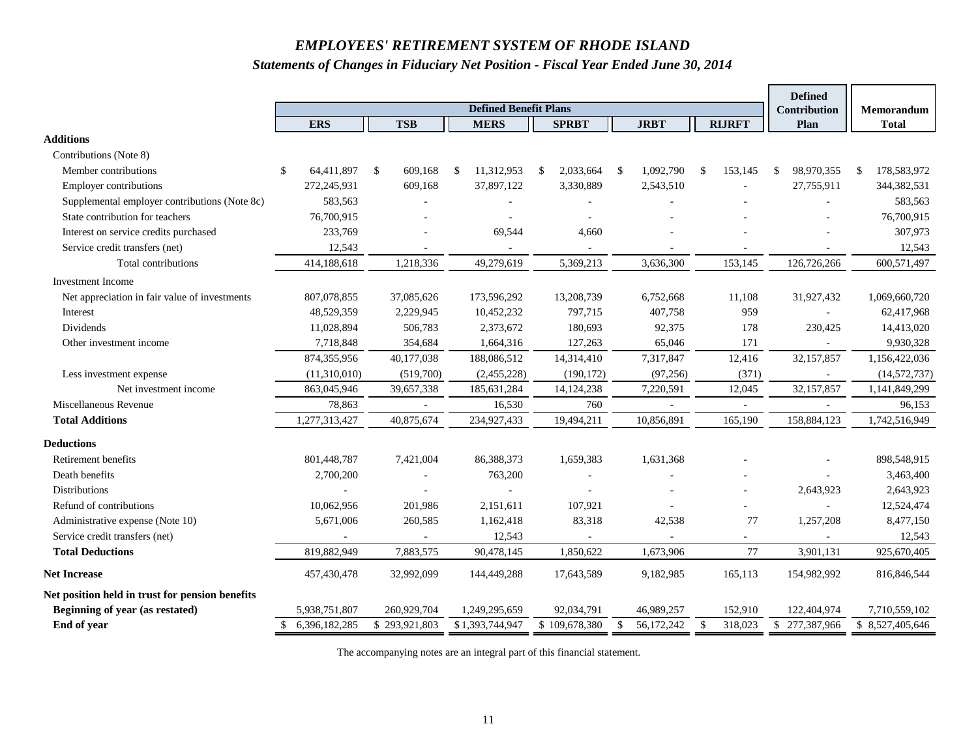#### *Opinions*

In our opinion, the financial statements of the plans referred to above present fairly, in all material respects, the financial position of the plans within the System as of June 30, 2014, and the changes in financial position for the year then ended in accordance with accounting principles generally accepted in the United States of America.

#### *Emphasis of Matters*

As described in Note 1, the financial statements of the System present only the pension trust funds of the State of Rhode Island and Providence Plantations (the State) and do not purport to, and do not present fairly the financial position of the State, as of June 30, 2014, and the changes in its financial position for the year then ended in accordance with accounting principles generally accepted in the United States of America.

As described in Note 3 to the financial statements, the Teachers' Survivors Benefit (TSB) plan was presented in a discrete column for fiscal 2014. The TSB plan was previously included as part of the Employees' Retirement System (ERS) plan for financial reporting purposes and accordingly the beginning fiduciary net position of the ERS plan has been restated to reflect the change in presentation.

The System implemented GASB Statement No. 67 - *Financial Reporting for Pension Plans*—*an amendment of GASB Statement No. 25* during fiscal 2014.

As described in Notes 3 and 5 to the financial statements, approximately 24% of the holdings in the pooled investment trust are hedge funds, private equity, and real estate investments. Because the fair value of these investments were not all determined based on quoted market prices, the fair values may differ from the values that would have been determined had a ready market for these investments existed.

As described in Note 3, certain investment expenses are customarily reported on a net of fees basis for hedge funds, private equity, and real estate investments and consequently such amounts are not included with other investment expenses as they are not readily separable.

Our opinions are not modified with respect to these matters.

#### **Other Matters -** *Required Supplementary Information*

Accounting principles generally accepted in the United States of America require that the Management's Discussion and Analysis on pages 4 through 9 and other required supplementary information as listed in the table of contents and pages 50 through 53 be presented to supplement the basic financial statements. Such information, although not a part of the basic financial statements, is required by the Governmental Accounting Standards Board who considers it to be an essential part of financial reporting for placing the basic financial statements in an appropriate operational, economic, or historical context. We have applied certain limited procedures to the required supplementary information in accordance with auditing standards generally accepted in the United States of America, which consisted of inquiries of management about the methods of preparing the information and comparing the information for consistency with management's responses to our inquiries, the basic financial statements, and other knowledge we obtained during our audit of the basic financial statements. We do not express an opinion or provide any assurance on the information because the limited procedures do not provide us with sufficient evidence to express an opinion or provide any assurance.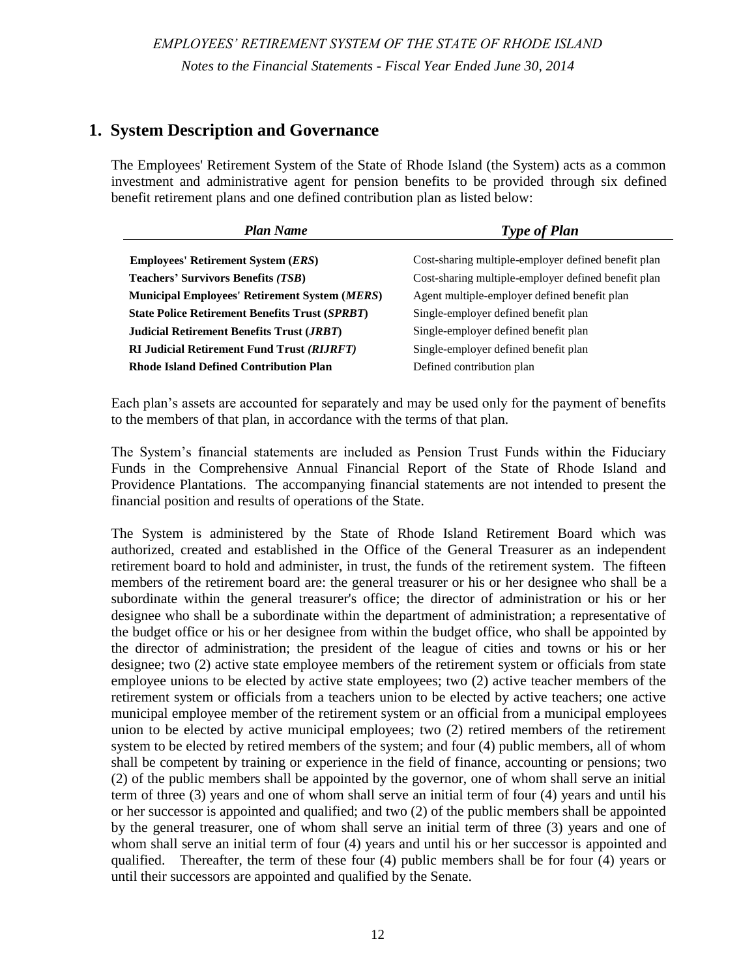Joint Committee on Legislative Services, General Assembly Retirement Board of the Employees' Retirement System

#### **Other Reporting Required by** *Government Auditing Standards*

In accordance with *Government Auditing Standards*, we have issued a report dated December 18, 2014 on our consideration of the System's internal control over financial reporting and on our tests of its compliance with certain provisions of laws, regulations, contracts, and other matters. The purpose of that report is to describe the scope of our testing of internal control over financial reporting and compliance and the results of that testing, and not to provide an opinion on the internal control over financial reporting or on compliance. That report is an integral part of an audit performed in accordance with *Government Auditing Standards* in considering the System's internal control over financial reporting and compliance.

 Dennis E. Hoyle, CPA Auditor General

December 18, 2014 *(Except as to Notes 13 and 14 and the Required Supplementary Information which is dated November 3, 2015)*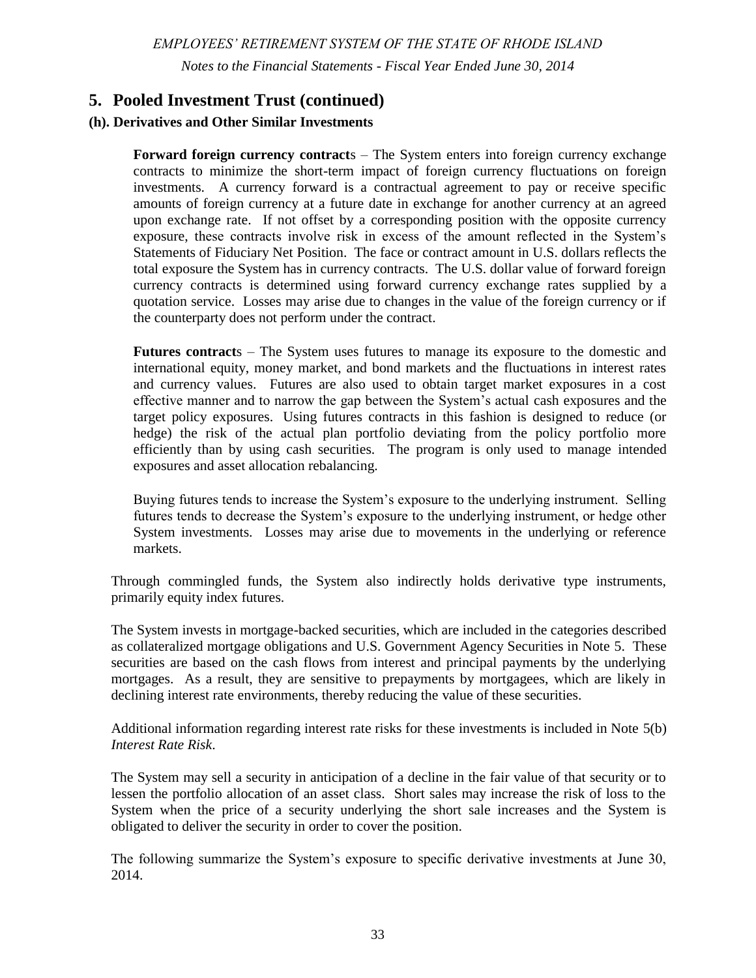# EMPLOYEES' RETIREMENT SYSTEM OF RHODE ISLAND

Management's Discussion and Analysis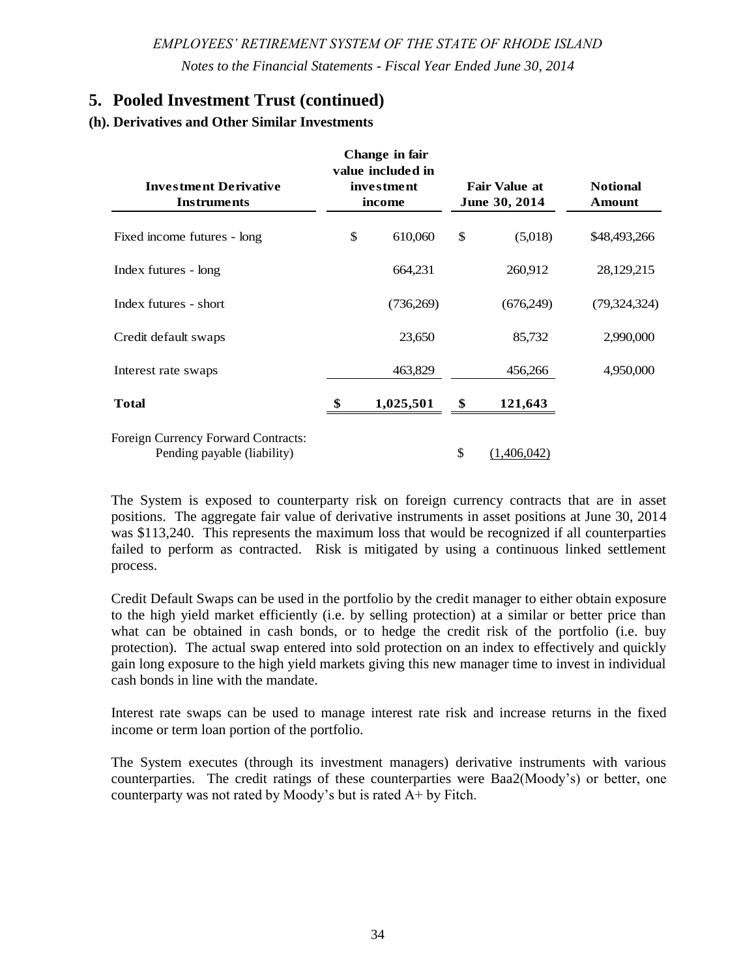#### *EMPLOYEES' RETIREMENT SYSTEM OF THE STATE OF RHODE ISLAND*

#### **Management's Discussion and Analysis**

Management of the Employees' Retirement System of the State of Rhode Island (the System) provides this Management's Discussion and Analysis of their financial performance for the readers of the System's financial statements. This narrative provides an overview of the System's financial activity for the fiscal year ended June 30, 2014. This analysis is to be considered in conjunction with the financial statements to provide an objective analysis of the System's financial activities based on the status of the System and issues currently facing management.

#### **Understanding the Employees' Retirement System Financial Statements**

The System administers six defined benefit pension plans for state employees, teachers, teachers' survivors, state police, judges, and participating municipal employees. State employees and teachers are combined into one cost-sharing plan while teachers' survivors, state police, judges appointed after December 31, 1989, active judges appointed before January 1, 1990, and municipal employees each have separate plans. The System also administers a defined contribution plan for state employees, teachers, and participating municipal employees.

The *Statements of Fiduciary Net Position* provide a snapshot of the financial position of the System at June 30, 2014. The *Statements of Changes in Fiduciary Net Position* summarize the additions and deductions that occurred during the fiscal year. The *Notes to the Financial Statements* provide additional information that is essential to a full understanding of the financial statements. The *Required Supplementary Information* consists of schedules and related notes, which demonstrate the System's progress in accumulating funds to meet future pension benefits for members of the System.

#### **Financial Highlights for the Fiscal Year Ended June 30, 2014**

- The System's fiduciary net position increased by \$817 million from \$7.7 billion at June 30, 2013 to \$8.5 billion at June 30, 2014.
- Total pension benefits paid to members from the defined benefit plans were \$902 million, a decrease of \$700,000 or 0.08% compared to the fiscal year ended June 30, 2013. Total distributions paid to members from the defined contribution plan were \$2.7 million, an increase of \$2.3 million compared to the fiscal year ended June 30, 2013.
- Contributions to all defined benefit plans from both employers and employees at June 30, 2014 were \$473.9 million, an increase of \$21.7 million or 4.8% compared to the fiscal year ended June 30, 2013.
- Total employee and employer contributions into the System's new defined contribution plan were \$126.7 million at June 30, 2014, an increase of \$7.7 million or 6.47% compared to the fiscal year ended June 30, 2013.
- $\Box$  The System's net gain from investing activities was \$1.1 billion for the fiscal year ended June 30, 2014.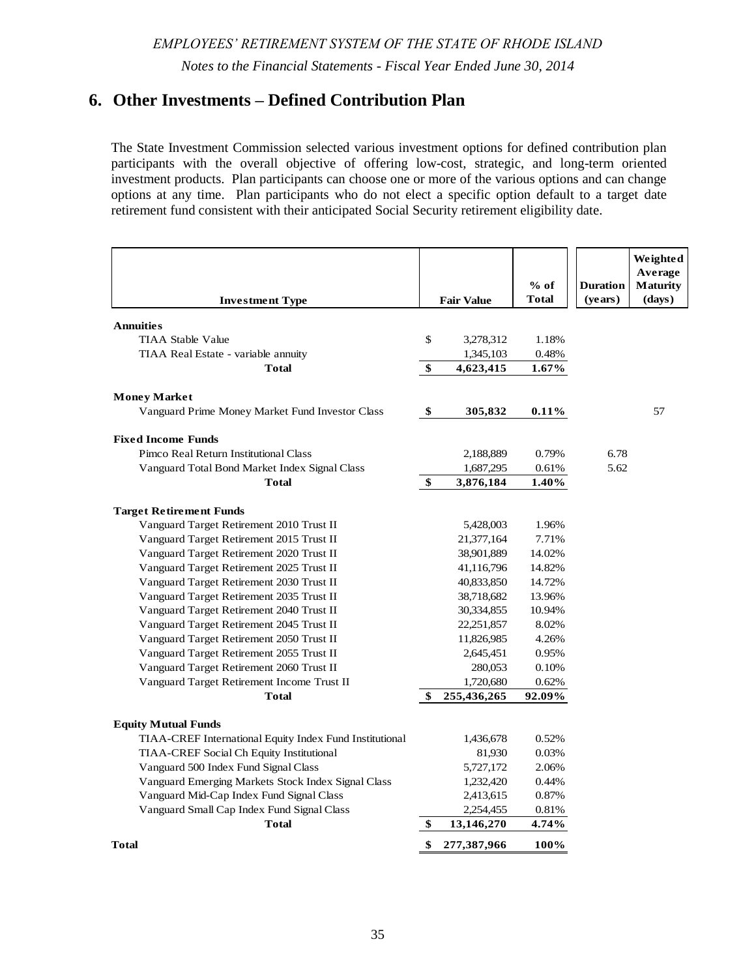# **Management's Discussion and Analysis**

| <b>Assets, Liabilities and Fiduciary Net Position – All Plans</b><br>(in millions) |                      |                      |  |  |  |
|------------------------------------------------------------------------------------|----------------------|----------------------|--|--|--|
|                                                                                    | <b>June 30, 2014</b> | <b>June 30, 2013</b> |  |  |  |
| <b>Assets:</b>                                                                     |                      |                      |  |  |  |
| Cash and cash equivalents                                                          | \$<br>2.4            | \$<br>2.3            |  |  |  |
| Investments                                                                        | 8,482.9              | 7,653.3              |  |  |  |
| Contribution and other receivables                                                 | 49.0                 | 59.5                 |  |  |  |
| Total assets                                                                       | 8,534.3              | 7,715.1              |  |  |  |
| <b>Liabilities:</b>                                                                |                      |                      |  |  |  |
| Accounts payable and other liabilities                                             | 6.9                  | 4.5                  |  |  |  |
| <b>Total liabilities</b>                                                           | 6.9                  | 4.5                  |  |  |  |
| <b>Fiduciary Net Position:</b>                                                     | \$ 8.527.4           |                      |  |  |  |

| <b>Summary of Changes in Fiduciary Net Position - All Plans</b><br>(in millions) |                                    |                                    |  |  |  |
|----------------------------------------------------------------------------------|------------------------------------|------------------------------------|--|--|--|
|                                                                                  | <b>Year Ended</b><br>June 30, 2014 | <b>Year Ended</b><br>June 30, 2013 |  |  |  |
| <b>Additions:</b>                                                                |                                    |                                    |  |  |  |
| Contributions                                                                    | 600.6<br>\$.                       | \$.<br>571.3                       |  |  |  |
| Net investment gain                                                              | 1,141.9                            | 777.9                              |  |  |  |
| <b>Total Additions</b>                                                           | 1,742.5                            | 1,349.2                            |  |  |  |
| <b>Deductions:</b>                                                               |                                    |                                    |  |  |  |
| Benefits and distributions                                                       | 904.7                              | 903.1                              |  |  |  |
| Refunds of contributions                                                         | 12.5                               | 11.9                               |  |  |  |
| Administrative expenses                                                          | 8.5                                | 7.5                                |  |  |  |
| Service credit transfers                                                         |                                    | .6                                 |  |  |  |
| <b>Total Deductions</b>                                                          | 925.7                              | 923.1                              |  |  |  |
| <b>Increase in Net Position:</b>                                                 | 816.8                              | 426.1                              |  |  |  |
| <b>Fiduciary Net Position:</b>                                                   |                                    |                                    |  |  |  |
| Beginning of year                                                                | 7,710.6                            | 7,284.5                            |  |  |  |
| End of year                                                                      | <u>\$8,527.4</u>                   | 7.710.6                            |  |  |  |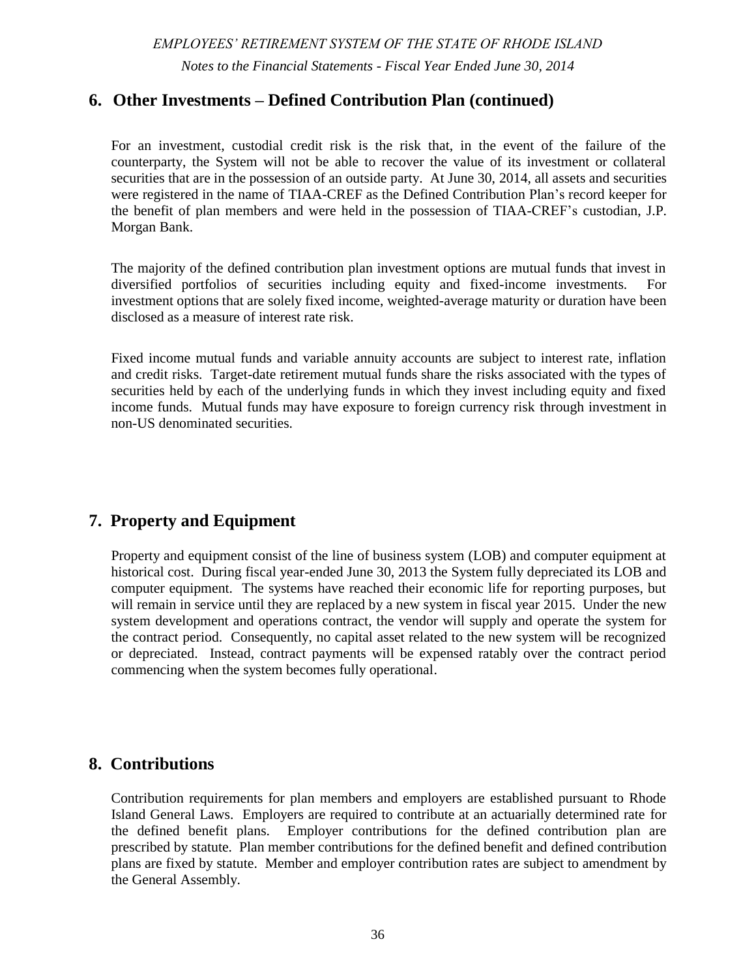#### **Management's Discussion and Analysis**

#### **Investments**

The State Investment Commission (SIC) establishes long-term asset allocation policy and monitors investment performance of the plan. An asset/liability (A/L) study is conducted every two to four years to identify an optimal diversified investment portfolio that maximizes return within an acceptable level of risk. As long-term investors, the SIC stays committed to the strategic asset allocation that has been developed as part of a comprehensive A/L study. The A/L study incorporates capital market return expectations, risks and correlations associated with each asset class as well as the unique profile and objectives of the System. As a mature defined benefit plan where distributions exceed contributions, the System seeks to balance its short-term cash flow requirements with the much longer time horizon of its total obligations.

Given the need for steady cash flows as well as asset growth, the SIC seeks to achieve its targeted investment return, while minimizing risk and volatility. Diversification across asset classes that respond differently to different market environments is a key tool the SIC uses to achieve strong risk-adjusted returns. The allocation of assets among stocks, bonds, and alternative investments can have a significant impact on risk-adjusted investment performance.

#### **Pooled Investment Trust – Asset Allocation - June 30, 2014**  (in millions)

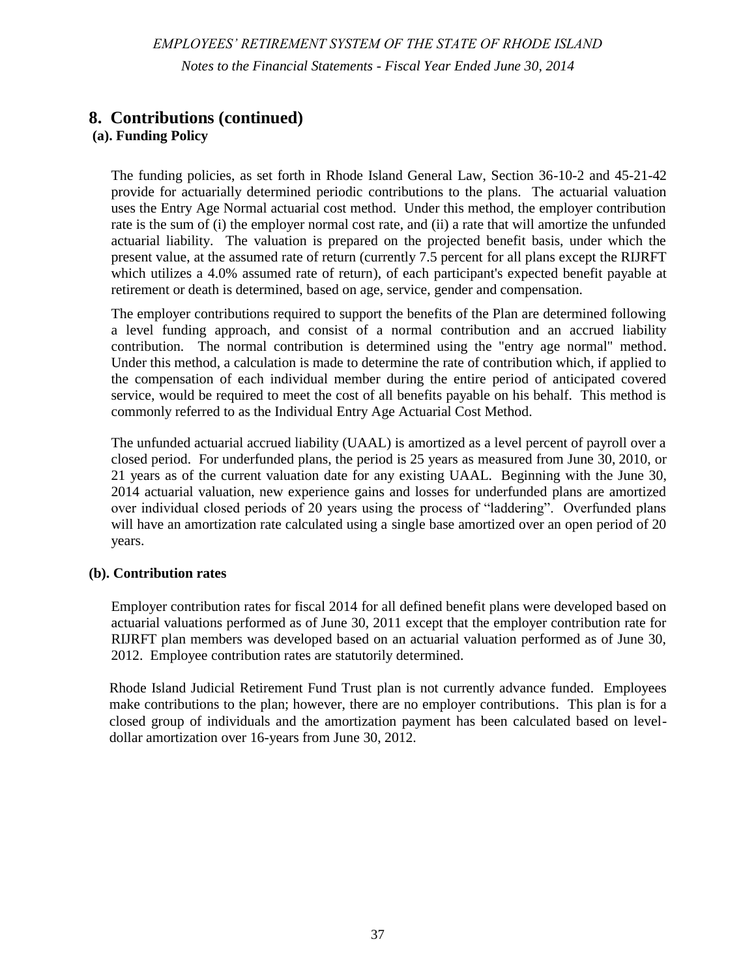#### *EMPLOYEES' RETIREMENT SYSTEM OF THE STATE OF RHODE ISLAND*

#### **Management's Discussion and Analysis**

Having adopted the asset allocation targets of the most recent A/L study, the State Investment Commission periodically adjusts these targets in major asset categories – domestic and international equity, fixed income, real return, alternative investments, and real estate – based on market conditions and opportunities, as well as timing to allow for prudent implementation. The SIC engages external investment managers to manage portions of the portfolio and performance is measured in relation to benchmarks adopted for each asset category. A composite benchmark, based on weighted asset allocations, is used to measure overall manager performance. Asset allocation performance is assessed over a longer time frame, and compared to a basic 60% global equities/40% bonds benchmark.

The SIC selected various investment options to make available to participants in the newly formed defined contribution plan. The options include, but are not limited to, target date retirement funds corresponding to an employee's anticipated retirement date. Approximately 92% of defined contribution plan assets are invested in target date retirement funds.

#### **Investment Performance**

The System's one-year, time weighted rate of return was 15.12% which was slightly below the composite benchmark (15.53%) and the 60/40 benchmark's 15.31% return. The three-year average was 9.05%, which was 23bps below the 9.28% benchmark return and 1.19% better than the 60/40 benchmark's 7.86% return. The five-year average was 12.05%, which matched the 12.05% benchmark return and was 131bps better than the 60/40 at 10.74%.



The composite benchmark is weighted based on asset allocation targets. It is currently comprised: **47%** MSCI World Free; **15%** Barclays Aggregate; **7%** HFRI Fund of Funds Composite Index; **4%** Bank of America Merrill Lynch 3-month US Treasury Bill; **7.5%** HFRI Equity Hedge (Total) Index; **3.5%** NCREIF Property 1st Qtr in Arrears BNYM Calc; **4%** Barclays World Government Inflation-Linked All Maturities; **5%** Custom High Yield and Bank Loan Index – 30% Bank of America Merrill Lynch 1-3 BB-B High Yield and 70% Credit Suisse Institutional Leveraged Loan Index; and **7%** Venture Economics Custom BM.

The composite benchmark for each of the years shown in the chart reflects the asset allocation targets in place for that fiscal year and the related indices used to measure performance.

The 60% global equity/40% bonds benchmark is 60% MSCI All-Country World and 40% Barclays Aggregate.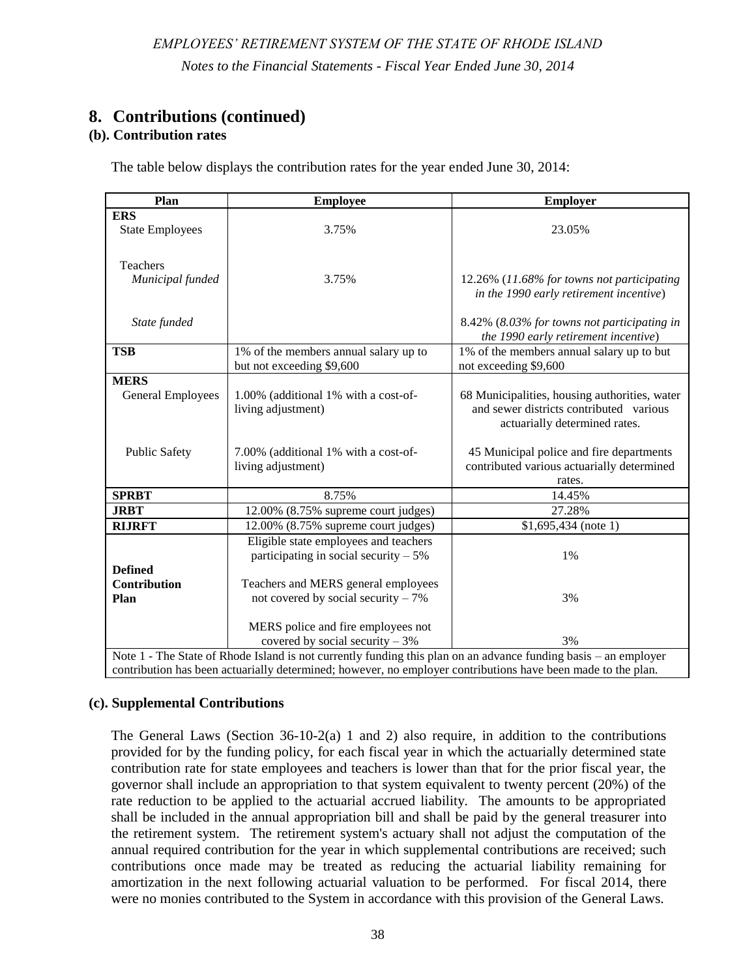#### **Management's Discussion and Analysis**

#### **Additional Investment Performance Reporting**

The investment performance discussed in the previous section is the time-weighted return, as reported by the System's investment custodian for the Pooled Investment Trust as a whole. Commencing with this year's financial report, due to the implementation of GASB Statement No. 67, investment performance is also measured on a money-weighted return basis for each defined benefit retirement plan. The money-weighted returns for each defined benefit plan are disclosed in the notes to the financial statements and the required supplementary information section. The money-weighted return is plan specific and reflects each individual plan's specific cash inflows and outflows, as well as the portfolio returns.

The System's actuarial investment return assumption is 7.50% for all plans except the Judicial Retirement Fund Trust which uses a 4% investment return assumption. This return expectation is approved by the Retirement Board. It is based on a thirty-year time horizon. The actuarial value of assets is determined based on a five-year smoothing methodology.

Fiscal 2014 investment returns within the defined contribution plan ranged from 0.02% to 26.51% depending upon which of the various investment options available to plan members was chosen.

#### **Net Pension Liability (Asset) of the Plans within the System**

Independent actuarial valuations are conducted of the System each year. Due to the implementation of Governmental Accounting Standards Board (GASB) Statement No. 67 – *Financial Reporting for Pension Plan*s in fiscal 2014, the System has presented the accounting measures of the net pension liability (asset) for each of the defined benefit plans. Calculation of the net pension liability (asset) of the plans is performed by the actuary in accordance with GASB requirements. The total pension liability and net pension liability are based on an actuarial valuation performed as of June 30, 2013, rolled-forward from the valuation date to the plan's fiscal year ended using generally accepted actuarial principles.

This accounting measure of the net pension liability (asset) of each plan is different from the actuarial valuations performed for funding purposes and the determination of annual actuarially determined contributions to each of the defined benefit plans. One of the principal differences is that the accounting measure of the net pension liability at June 30, 2014 utilizes each plan's fiduciary net position, which reflects the fair value of investments at that date. For funding purposes, the actuarial valuation uses the actuarial value of assets, which reflects a five-year smoothed asset valuation.

The measure of the net pension liability for all defined benefit plans except for the RIJRFT utilized the System's investment return assumption of 7.5%. The RIJRFT utilized the Municipal Bond Index rate of 4.29%. The calculation of the net pension liability (asset) was measured as of June 30, 2014.

The Teachers' Survivors Benefit plan was over-funded with a fiduciary net position equal to 173.3% of the plan's total pension liability at June 30, 2014. The fiduciary net position of the ERS plan covering state employees and teachers was equal to 58.6% and 61.4% respectively of the total pension liability measure for each of those employee groups. The fiduciary net position of the State Police and JRBT plans was equal to 97.0% and 93.7% respectively of the total pension liability measure for each of those employee groups. The fiduciary net position of the RIJRFT plan covering a small group of judges was only equal to 1.8% of the total pension liability for that plan due to the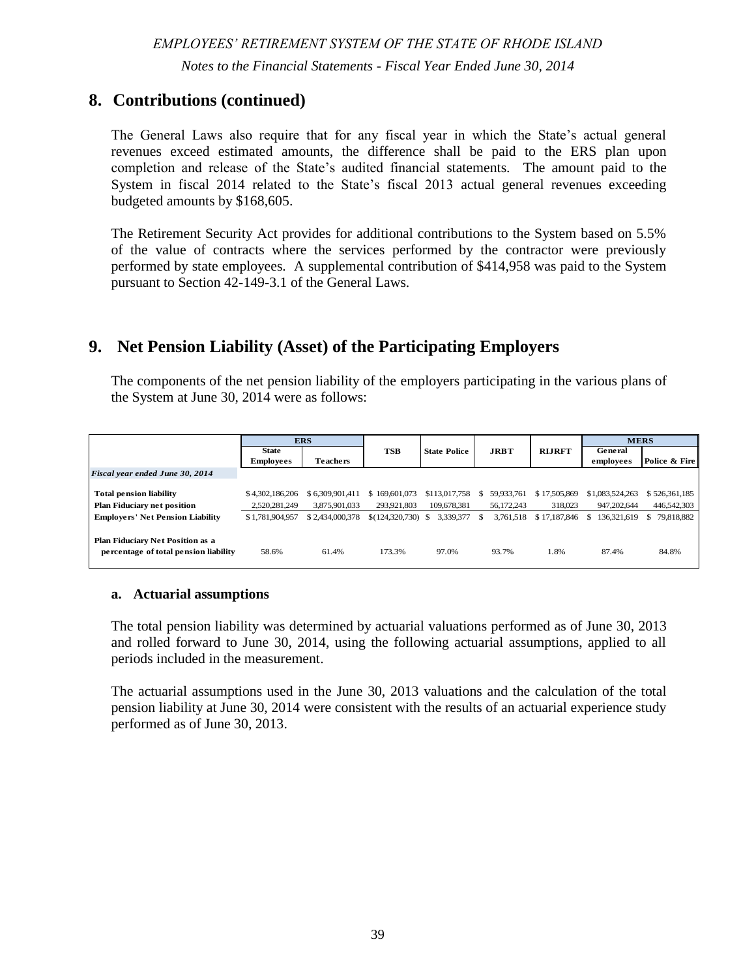#### *EMPLOYEES' RETIREMENT SYSTEM OF THE STATE OF RHODE ISLAND*

#### **Management's Discussion and Analysis**

recent formation of the plan and the fact that the State (employer) has not made actuarially determined employer contributions to the plan. The fiduciary net position of the agent MERS plans covering general employees and police and fire personnel was equal to 87.4% and 84.8% respectively of the total pension liability measure for each of those employee groups.

All employers participating in the System's plans contributed 100% of their annual actuarially determined contribution during fiscal 2014, except that the State did not contribute the employer contribution for the Rhode Island Judicial Retirement Fund Trust.

For fiscal 2014, certain supplemental contributions, as required by the General Laws, were made to the ERS plan within the System, which resulted in actual contributions that exceeded actuarially determined contribution amounts.

#### **Future Contribution Rates**

Except for the Rhode Island Judicial Retirement Fund Trust, the fiscal 2015 employer contribution rates are based upon the actuarial valuations performed for funding purposes at June 30, 2012. The employer contribution rates for fiscal 2015 are 23.33% for State employees, 22.60% for Teachers, 28.32% for Judges, and 17.24% for State Police. For the Rhode Island Judicial Retirement Fund Trust, the actuarially determined employer contribution is \$1,623,061 for fiscal 2015, which was based on a valuation performed as of June 30, 2012.

As discussed more fully in Note 13 to the financial statements, various legal challenges to legislatively enacted pension reform measures continue in Superior Court. The ultimate outcome of the judicial process could impact the contributions paid to and benefits paid from the System.

#### **Contacting the System's Management**

This discussion and analysis presentation is designed to provide a general overview of the System's financial activity. Questions concerning any of the information provided in this report or requests for additional financial information should be addressed to the Employees' Retirement System, 50 Service Avenue, Warwick, RI, 02886.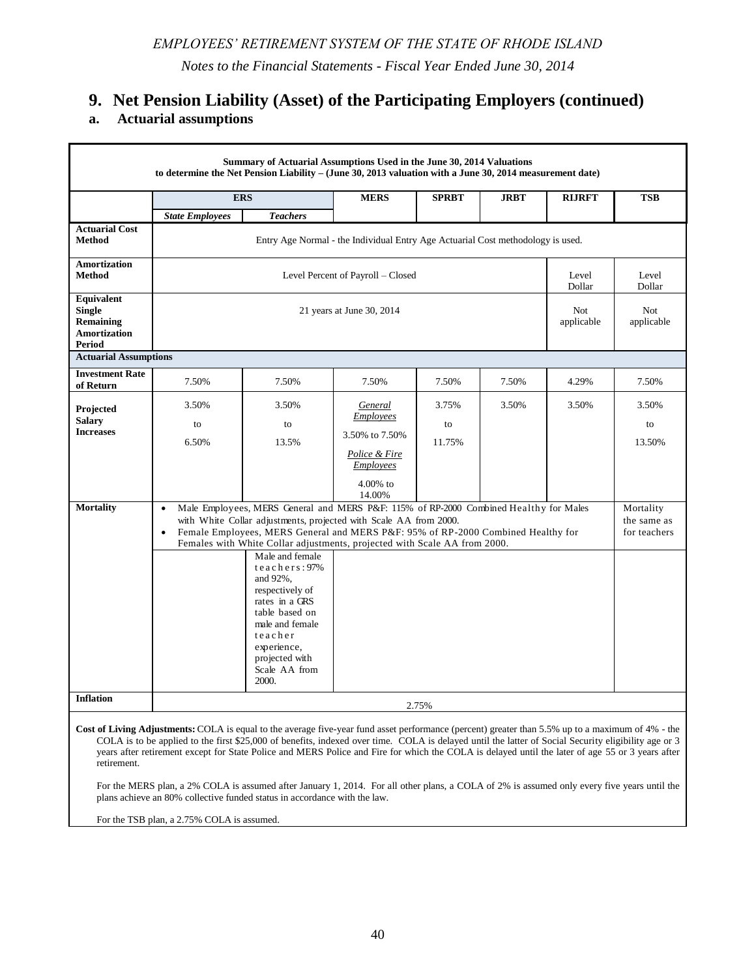# *EMPLOYEES' RETIREMENT SYSTEM OF THE STATE OF RHODE ISLAND*

*Notes to the Financial Statements - Fiscal Year Ended June 30, 2014*

# **1. System Description and Governance**

The Employees' Retirement System of the State of Rhode Island (the System) acts as a common investment and administrative agent for pension benefits to be provided through six defined benefit retirement plans and one defined contribution plan as listed below:

| <b>Plan Name</b>                                      | <b>Type of Plan</b>                                 |  |
|-------------------------------------------------------|-----------------------------------------------------|--|
|                                                       |                                                     |  |
| <b>Employees' Retirement System (ERS)</b>             | Cost-sharing multiple-employer defined benefit plan |  |
| <b>Teachers' Survivors Benefits (TSB)</b>             | Cost-sharing multiple-employer defined benefit plan |  |
| <b>Municipal Employees' Retirement System (MERS)</b>  | Agent multiple-employer defined benefit plan        |  |
| <b>State Police Retirement Benefits Trust (SPRBT)</b> | Single-employer defined benefit plan                |  |
| <b>Judicial Retirement Benefits Trust (JRBT)</b>      | Single-employer defined benefit plan                |  |
| <b>RI Judicial Retirement Fund Trust (RIJRFT)</b>     | Single-employer defined benefit plan                |  |
| Rhode Island Defined Contribution Plan                | Defined contribution plan                           |  |

Each plan's assets are accounted for separately and may be used only for the payment of benefits to the members of that plan, in accordance with the terms of that plan.

The System's financial statements are included as Pension Trust Funds within the Fiduciary Funds in the Comprehensive Annual Financial Report of the State of Rhode Island and Providence Plantations. The accompanying financial statements are not intended to present the financial position and results of operations of the State.

The System is administered by the State of Rhode Island Retirement Board which was authorized, created and established in the Office of the General Treasurer as an independent retirement board to hold and administer, in trust, the funds of the retirement system. The fifteen members of the retirement board are: the general treasurer or his or her designee who shall be a subordinate within the general treasurer's office; the director of administration or his or her designee who shall be a subordinate within the department of administration; a representative of the budget office or his or her designee from within the budget office, who shall be appointed by the director of administration; the president of the league of cities and towns or his or her designee; two (2) active state employee members of the retirement system or officials from state employee unions to be elected by active state employees; two (2) active teacher members of the retirement system or officials from a teachers union to be elected by active teachers; one active municipal employee member of the retirement system or an official from a municipal employees union to be elected by active municipal employees; two (2) retired members of the retirement system to be elected by retired members of the system; and four (4) public members, all of whom shall be competent by training or experience in the field of finance, accounting or pensions; two (2) of the public members shall be appointed by the governor, one of whom shall serve an initial term of three (3) years and one of whom shall serve an initial term of four (4) years and until his or her successor is appointed and qualified; and two (2) of the public members shall be appointed by the general treasurer, one of whom shall serve an initial term of three (3) years and one of whom shall serve an initial term of four (4) years and until his or her successor is appointed and qualified. Thereafter, the term of these four (4) public members shall be for four (4) years or until their successors are appointed and qualified by the Senate.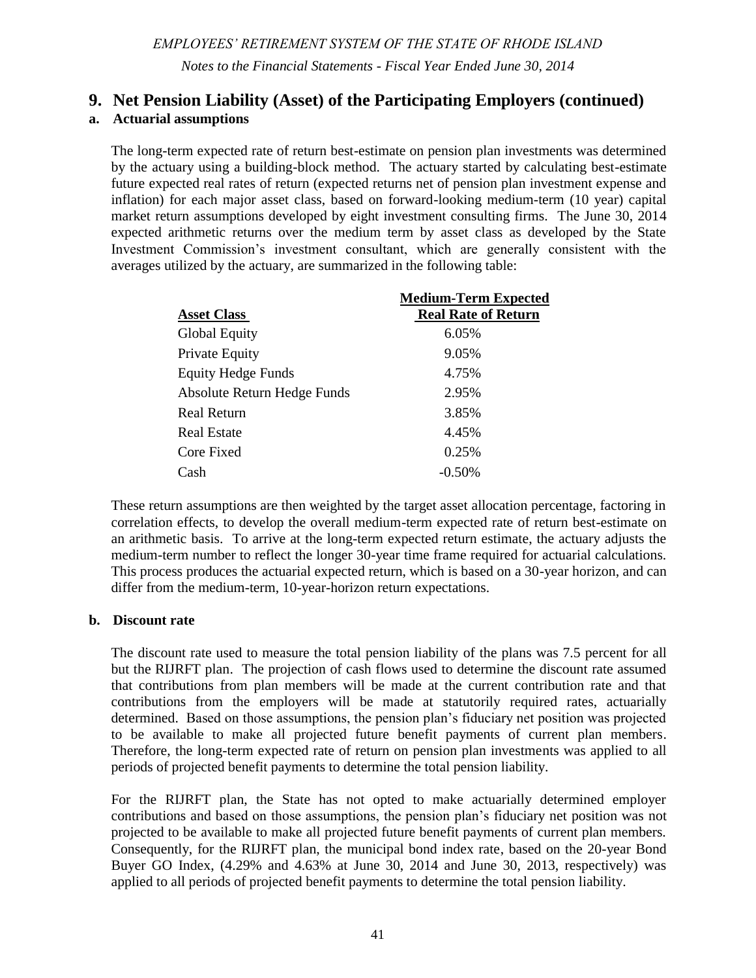# **1. System Description and Governance (continued)**

The System's purpose is to provide retirement benefits to state employees, public school teachers, certain general and public safety municipal employees, state police officers, and judges.

A summary of membership by plan as of the June 30, 2013 actuarial valuation follows:

|                        |               | Terminated plan<br>members<br>entitled to but |               |            |          |
|------------------------|---------------|-----------------------------------------------|---------------|------------|----------|
|                        | Retirees and  | not yet receiving                             | Active        | Active     | Total by |
|                        | beneficiaries | benefits                                      | <b>Vested</b> | Non-vested | Plan     |
| <b>ERS</b>             |               |                                               |               |            |          |
| <b>State Employees</b> | 11,139        | 2,776                                         | 8,530         | 2,750      | 25,195   |
| Teachers               | 10,776        | 2,947                                         | 11,193        | 2,000      | 26,916   |
| <b>TSB</b>             | 471           | 3,574                                         | 7,227         |            | 11,272   |
| <b>MERS</b>            |               |                                               |               |            |          |
| General Employees      | 4,393         | 2,545                                         | 3,418         | 2,483      | 12,839   |
| <b>Public Safety</b>   | 678           | 148                                           | 766           | 689        | 2,281    |
| <b>SPRBT</b>           | 19            | 10                                            | 48            | 174        | 251      |
| <b>JRBT</b>            | 12            |                                               | 17            | 37         | 66       |
| <b>RIJRFT</b>          | $\mathbf{0}$  | $\overline{0}$                                | 7             |            | 7        |
| Total by type          | 27,488        | 12,000                                        | 31,206        | 8,133      | 78,827   |

A summary of participating employees and employers within the defined contribution plan follows:

| Employers    | 157    |
|--------------|--------|
| Participants | 31,737 |

# **2. Plan Membership and Benefit Provisions**

Membership and benefit provisions are outlined in the Rhode Island General Laws and are subject to modification by the General Assembly. Modifications to pension benefit and eligibility provisions have been made in recent years (2005, 2009, and 2010) as well as the comprehensive pension reform provisions contained in the Rhode Island Retirement Security Act enacted on November 18, 2011 and effective July 1, 2012. Accordingly, specific member retirement benefit and eligibility provisions vary depending upon a number of factors including years of service, age, and vesting provisions.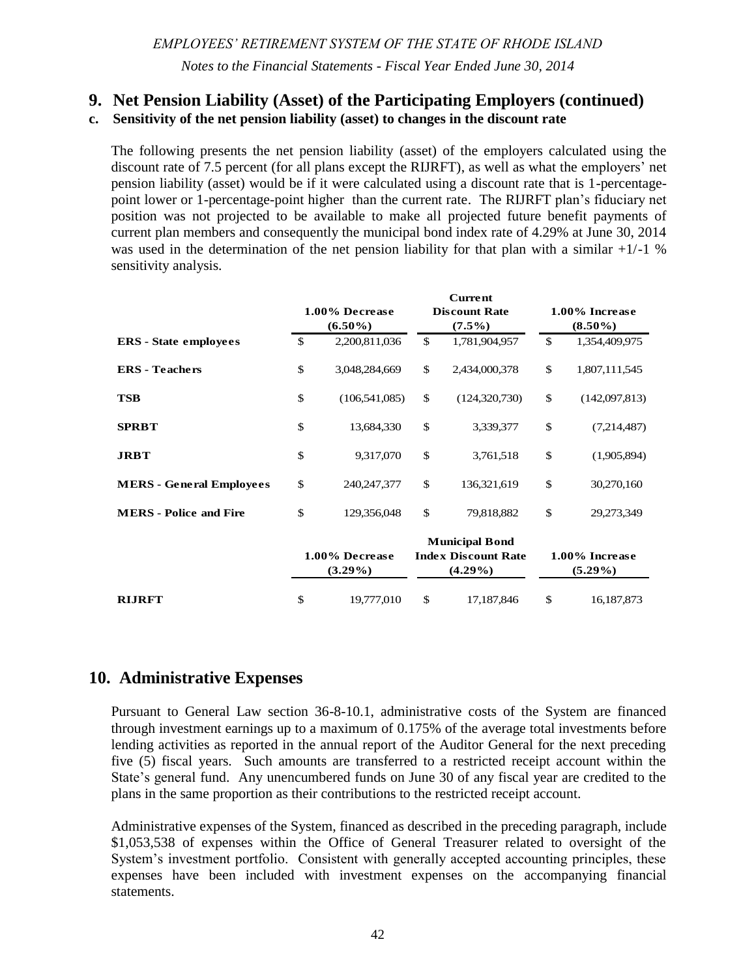# **2. Plan Membership and Benefit Provisions (continued)**

## *EMPLOYEES' RETIREMENT SYSTEM (ERS)*

The ERS was established and placed under the management of the Retirement Board for the purpose of providing retirement allowances for employees of the State of Rhode Island under the provisions of chapters 8 to 10, inclusive, of Title 36, and public school teachers under the provisions of chapters 15 to 17, inclusive, of Title 16 of the Rhode Island General Laws.

*Plan members* - The plan covers most State employees other than certain personnel at the State colleges and university (principally faculty and administrative personnel). The plan also covers teachers, including superintendents, principals, school nurses, and certain other school officials in the public schools in the cities and towns. Membership in the plan is mandatory for all covered state employees and teachers. Elected officials may become members on an optional basis and legislators may participate if elected to office prior to January 1, 1995.

Certain employees of the Rhode Island Airport Corporation (hired before July 1, 1993), the Rhode Island Commerce Corporation (active contributing members and employees of the Department of Economic Development before October 31, 1995 who elected to continue membership) and, the Narragansett Bay Water Quality District Commission (members of a collective bargaining unit) are also covered and have the same benefits as State employees.

*Plan vesting provisions –* after five years of service*.* 

| <b>Schedule</b> |                                                                                                                              | <b>Retirement Eligibility</b>                                                                                                                                                                     | <b>Benefit accrual rates</b>                                                                                                                                                                                              | <b>Maximum</b><br>benefit                                                                              |
|-----------------|------------------------------------------------------------------------------------------------------------------------------|---------------------------------------------------------------------------------------------------------------------------------------------------------------------------------------------------|---------------------------------------------------------------------------------------------------------------------------------------------------------------------------------------------------------------------------|--------------------------------------------------------------------------------------------------------|
| (A)             | Completed 10<br>years of service on<br>or before July, 1,<br>2005 and eligible<br>to retire as of<br>September 30,<br>2009   | Age 60 with 10 years of<br>service or after 28 years<br>of service at any age                                                                                                                     | Effective until June 30, 2012:<br>1.7% for each of first ten years<br>1.9% for each of next ten<br>years<br>3.0% for each of next fourteen<br>years<br>2% for the $35th$ year<br>Effective July 1, 2012: 1.0%<br>per year | 80% of final<br>average (3)<br>consecutive<br>highest years)<br>earnings and<br>35 years of<br>service |
| (AB)            | Completed 10<br>years of service on<br>or before July, 1,<br>2005 but ineligible<br>to retire as of<br>September 30,<br>2009 | Minimum retirement age<br>of 62 and ten years of<br>service with a<br>downward adjustment of<br>the minimum retirement<br>age based on the years<br>of service credit as of<br>September 30, 2009 | Effective until June 30, 2012:<br>Same accrual rates as $(A)$<br>above to September 30, 2009<br>and then Schedule B rates<br>(below) thereafter<br>Effective July 1, 2012: 1.0%<br>per year                               | 80% of final<br>average (5)<br>consecutive<br>highest years)<br>earnings                               |

*Retirement eligibility and plan benefits –* are summarized in the following table: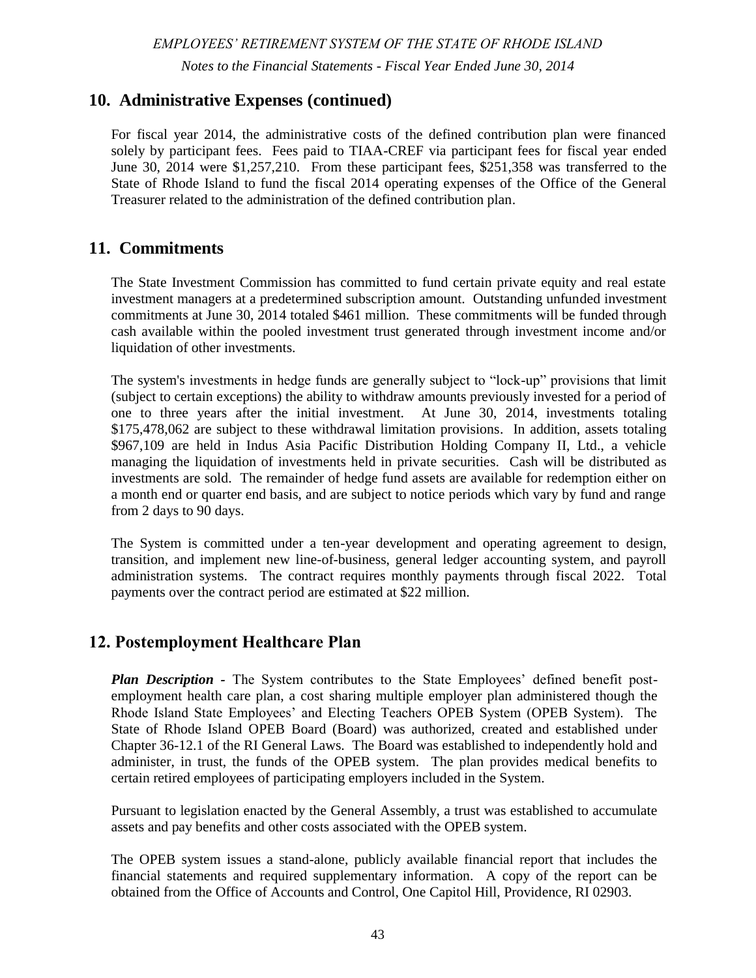# *EMPLOYEES' RETIREMENT SYSTEM OF THE STATE OF RHODE ISLAND*

*Notes to the Financial Statements - Fiscal Year Ended June 30, 2014*

| <b>Schedule</b> |                                                                                                                    | <b>Retirement Eligibility</b>                                                                                                                                                                                                | <b>Benefit accrual rates</b>                                                                                                                                                                                                                                                                             | <b>Maximum</b><br>benefit                                                                             |
|-----------------|--------------------------------------------------------------------------------------------------------------------|------------------------------------------------------------------------------------------------------------------------------------------------------------------------------------------------------------------------------|----------------------------------------------------------------------------------------------------------------------------------------------------------------------------------------------------------------------------------------------------------------------------------------------------------|-------------------------------------------------------------------------------------------------------|
| (B)             | Less than 10 years<br>of service before<br>July 1, 2005 and<br>eligible to retire as<br>of September 30,<br>2009   | Age 65 with 10 years of<br>service or after 29 years<br>of service and age 59                                                                                                                                                | Effective until June 30, 2012:<br>1.6% for each of first ten years<br>1.8% for each of next ten<br>years<br>2.0% for each of next five<br>years<br>2.25% for each of next five<br>years<br>2.5% for each of next seven<br>years<br>2.25% for the $38th$ year<br>Effective July 1, 2012: 1.0%<br>per year | 75% of final<br>average<br>earnings (3<br>consecutive<br>highest years)<br>and 38 years of<br>service |
| (B1)            | Less than 10 years<br>of service before<br>July 1, 2005 and<br>ineligible to retire<br>as of September<br>30, 2009 | Age 65 with ten years of<br>service, or age 62 with<br>at least 29 years of<br>service with a<br>downward adjustment of<br>the minimum retirement<br>age based on the years<br>of service credit as of<br>September 30, 2009 | Same as Schedule B                                                                                                                                                                                                                                                                                       | 75% of final<br>average<br>earnings (5<br>consecutive<br>highest years)<br>and 38 years of<br>service |
| (B2)            | Less than 5 years<br>of service as of<br>July 1, 2012                                                              | Social Security Normal<br>Retirement Age not to<br>exceed age 67 and 5<br>years of contributory<br>service                                                                                                                   | 1.6% for each of first ten years<br>Effective July 1, 2012: 1.0%<br>per year                                                                                                                                                                                                                             | 75% of final<br>average<br>earnings (5<br>consecutive<br>highest years)<br>and 38 years of<br>service |

# **2. Plan Membership and Benefit Provisions (continued)**

State correctional officers may retire at age 50 with 20 years of service. However, if not eligible to retire as of September 30, 2009, the minimum retirement age was modified to 55 with 25 years of service credit for correctional officers and registered nurses at the Department of Behavioral Healthcare, Developmental Disabilities, and Hospitals.

The plan provides for survivor's benefits for service-connected death and certain lump sum death benefits.

Joint and survivor options are available to members. The Service Retirement Allowance (SRA) Plus option provides for the payment of a larger benefit before the attainment of age sixty-two (62) and a reduced amount thereafter. The reduced amount is equal to the benefit before age sixty-two (62), including cost-of-living increases, minus the member's estimated social security benefit payable at age sixty-two (62).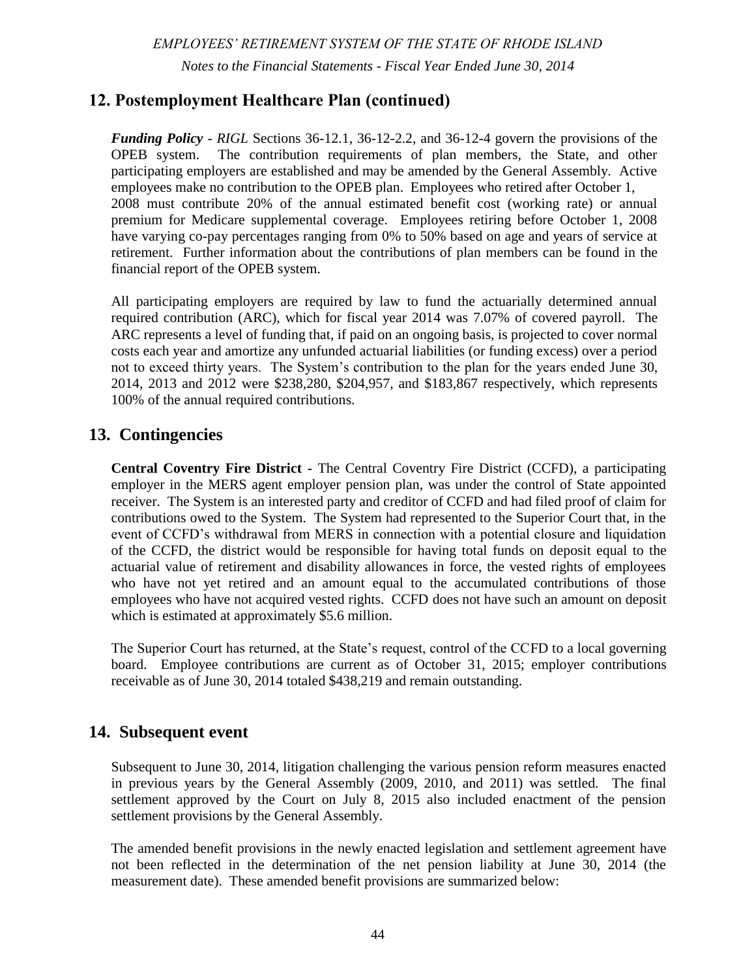# **2. Plan Membership and Benefit Provisions (continued)**

Vested members that have 10 or more years of contributing service credit on June 30, 2012, may choose to retire at a retirement eligibility date that was calculated as of September 30, 2009, if the member continues to work and make retirement contributions until that date. If the member chooses this option, their retirement benefits will be calculated using the benefit that they have accrued as of June 30, 2012 - members will accumulate no additional defined benefits after this date, but the benefit will be paid without any actuarial reduction.

State employees and public school teachers may retire with a reduced pension benefit if they have 20 years of service credit and they are within five years of their retirement date as prescribed in the Rhode Island Retirement Security Act (RIRSA). The actuarially reduced benefit will be calculated based on how close the member is to their RIRSA eligibility date.

- *Cost of Living Adjustments –* The Cost of Living Adjustment (COLA) has been suspended until the collective ERS, SPRBT, and JRBT plans reach a funded status of 80%. The COLA provision can be reviewed in a five-year interval. When the collective funding level of the plans exceeds 80%, eligible retirees may receive a COLA annually effective on their date of retirement plus one month. The COLA will be calculated as the five (5) year smoothed investment rate of return less 5.50%, with a 0.00% floor and a 4.00% cap. COLA will be delayed until the later of the Social Security Normal Retirement Age or three years after retirement. The COLA will be applied to the first \$25,000 of benefits indexed annually.
- *Disability retirement provisions -* the plan also provides nonservice-connected disability benefits after five years of service and service-connected disability pensions with no minimum service requirement. Effective for applications filed after September 30, 2009, accidental disability will be available at 66 2/3% for members who are permanently and totally disabled as determined by the Retirement Board. If the disability is determined to be partial and the member is able to work in other jobs, the benefit will be limited to 50%. Disability benefits are subject to annual review by the Retirement Board.
- *Other plan provisions -* Service credit purchases, excluding contribution refund paybacks and military service, requested after June 16, 2009 are calculated at full actuarial cost.

#### *TEACHERS' SURVIVORS BENEFIT (TSB)*

*Plan members* – the TSB covers all teachers who do not participate in Social Security. This includes all teachers in 24 school districts.

*Plan vesting provisions* – Survivors are eligible for benefits if the member has made contributions for at least six months prior to death or retirement.

*Eligibility and plan benefits* **-** the plan provides a survivor benefit to public school teachers in lieu of Social Security since not all school districts participate in the plan. The cost of the benefits provided by the plan are two percent (2%) of the member's annual salary up to but not exceeding an annual salary of \$9,600; one-half (1/2) of the cost is contributed by the member by deductions from his or her salary, and the other half  $(1/2)$  is contributed and paid by the respective school district by which the member is employed. These contributions are in addition to the contributions required for regular pension benefits.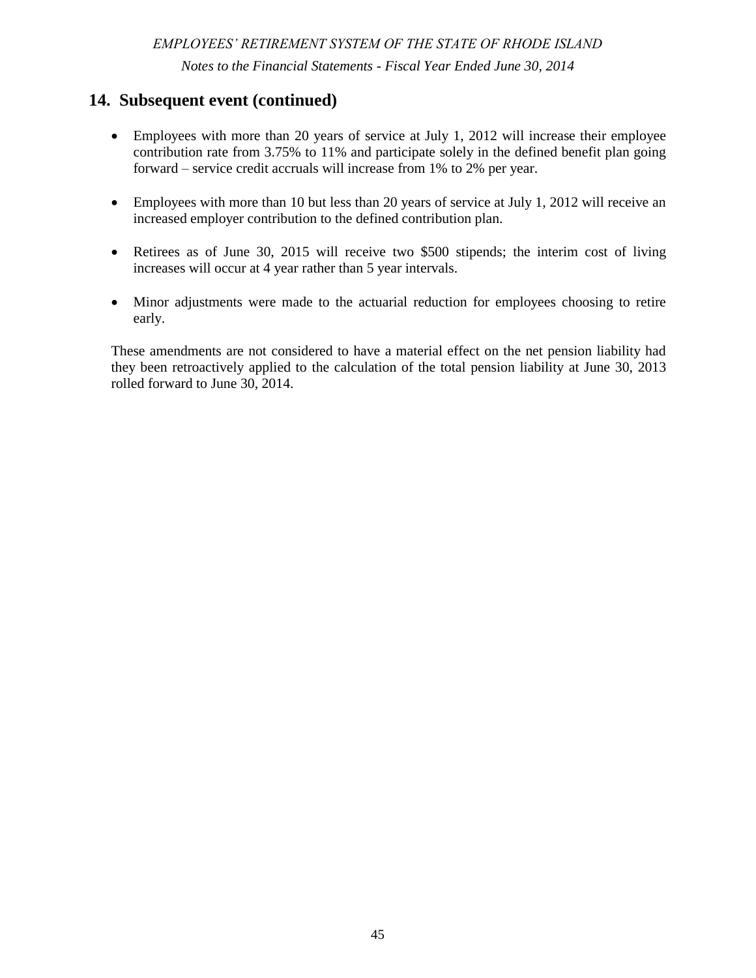# **2. Plan Membership and Benefit Provisions (continued)**

Spouse, parents, family and children's benefits are payable following the death of a member. A spouse shall be entitled to benefits upon attaining the age of sixty (60) years. Children's benefits are payable to the child, including a stepchild or adopted child of a deceased member if the child is unmarried and under the age of eighteen (18) years or twenty-three (23) years and a full time student, and was dependent upon the member at the time of the member's death. Family benefits are provided if at the time of the member's death the surviving spouse has in his or her care a child of the deceased member entitled to child benefits. Parents benefits are payable to the parent or parents of a deceased member if the member did not leave a widow, widower, or child who could ever qualify for monthly benefits on the member's wages and the parent has reached the age of 60 years, has not remarried, and received support from the member. In January, a yearly cost-of-living adjustment for spouse's benefits is paid and based on the annual social security adjustment.

The TSB plan provides benefits based on the highest salary at the time of retirement of the teacher. Benefits are payable in accordance with the following table:

|                              | <b>Basic Monthly</b> |
|------------------------------|----------------------|
| <b>Highest Annual Salary</b> | Spouses's Benefit    |
| \$17,000 or less             | - 750                |
| \$17,001 to \$25,000         | \$ 875               |
| \$25,001 to \$33,000         | \$1,000              |
| \$33,001 to \$40,000         | \$1,125              |
| \$40,001 and over            | \$1,250              |

Benefits payable to children and families are equal to the spousal benefit multiplied by the percentage below:

|            | Parent and 2 | One   | Two      | Three or more |           |
|------------|--------------|-------|----------|---------------|-----------|
| Parent and | or more      | Child | Children | Children      | Dependent |
| 1 Child    | Children     | Alone | Alone    | Alone         | Parent    |
| 150%       | 175%         | 75%   | 150%     | 175%          | 100%      |

*Cost of Living Adjustments –* current eligible members beneficiaries of the TSB receive the same COLA granted to members of Social Security. This increase was 1.5% as of January 1, 2014.

#### *MUNICIPAL EMPLOYEES' RETIREMENT SYSTEM (MERS)*

The MERS was established under the Rhode Island General Laws and placed under the management of the Retirement Board to provide retirement allowances to employees of municipalities, housing authorities, water and sewer districts, and municipal police and fire persons that have elected to participate.

*Plan members* – A summary of participating employers is listed below:

| Municipalities, housing authorities, water and sewer districts | -68             |
|----------------------------------------------------------------|-----------------|
| Municipal police and fire departments                          | <u>45</u>       |
| Total participating units as of the actuarial valuation        |                 |
| at June 30, 2013                                               | $\frac{113}{1}$ |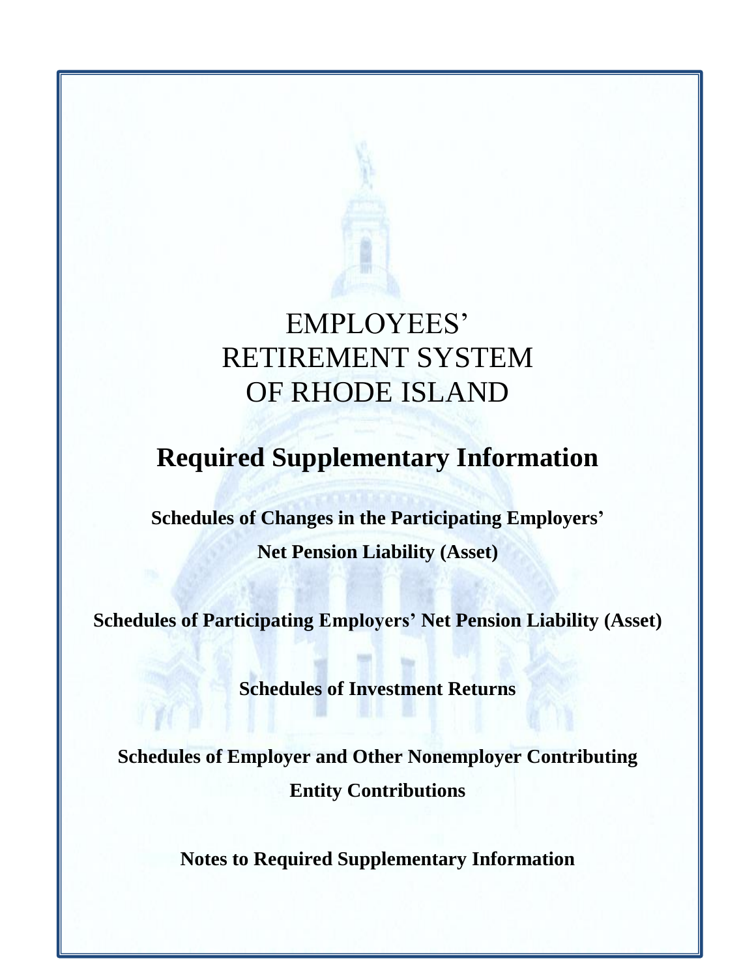# **2. Plan Membership and Benefit Provisions (continued)**

*Plan vesting provisions –* after five years of service*.* 

*Retirement eligibility and plan benefits –* For general employees prior to June 30, 2012 the plan provided retirement benefits equal to 2% of a member's final average salary multiplied by the number of years of total service up to a maximum of 75%. Such benefits are available to members at least age 58 with 10 years of service or after 30 years of service at any age. Benefits accrued at June 30, 2012 are protected under the Rhode Island Retirement Security Act until it is exceeded by the member's full years of service credit, including service after June 30, 2012, multiplied by the average of five consecutive years of compensation. Effective July 1, 2012 the retirement age will mirror the Social Security Normal Retirement Age not to exceed age 67. Members will receive a benefit accrual of 1.0% per year based on the five-year average compensation.

Joint and survivor options are available as well as the Service Retirement Allowance (SRA) Plus option that provides for the payment of a larger benefit before the attainment of age sixtytwo (62) and a reduced amount thereafter. The reduced amount is equal to the benefit before age sixty-two (62), including cost-of-living increases, minus the member's estimated social security benefit payable at age sixty-two (62).

Prior to June 30, 2012 police and fire personnel may retire at age 55 if they have 10 years of service or after 25 years of service at any age. An option may be elected to provide a 20 year service pension with a benefit equal to 2.5% for each year of service up to a maximum of 75% for police and fire personnel. Benefits are based on the average of the highest three consecutive years' earnings, exclusive of overtime.

The new retirement age will be 55 years old with 25 years of total service or for members with five years of service but less than 25 years of service the new retirement age will mirror the Social Security Normal Retirement Age not to exceed 67. Police officers or firefighters, that are at least 45 years old, have 10 or more years of contributing service and are eligible to retire prior to age 52 under the law in effect on June 30, 2012, may retire at age 52.

As of June 30, 2012 members will continue to have a frozen benefit accrual of 2.0% per year for a standard 25 year with any age and out plan; 2.5% for a standard 20 year with any age and out plan. Effective July 1, 2012 the optional 20 and 25 year with retirement at any age plans have been eliminated. The benefit accrual for all plans will be 2.0% per year based on the fiveyear average compensation, exclusive of overtime. Police and fire employees may retire with a reduced pension benefit if they have 20 years of service and are within five years of their retirement eligibility. The actuarially reduced benefit will be calculated based on how close the member is to the eligibility date that is prescribed in the Rhode Island Retirement Security Act.

The plan also provides survivor's benefits; and certain lump sum death benefits.

*Cost of Living Adjustments –* An optional cost-of-living provision may be elected for police and fire personnel and general employees. The Cost of Living Adjustment (COLA) has been suspended for any unit whose funding level is less than 80%. The COLA provision can be reviewed in a five-year interval. When the funding level of a plan exceeds 80% funded eligible retirees may receive a COLA annually effective on their date of retirement plus one month.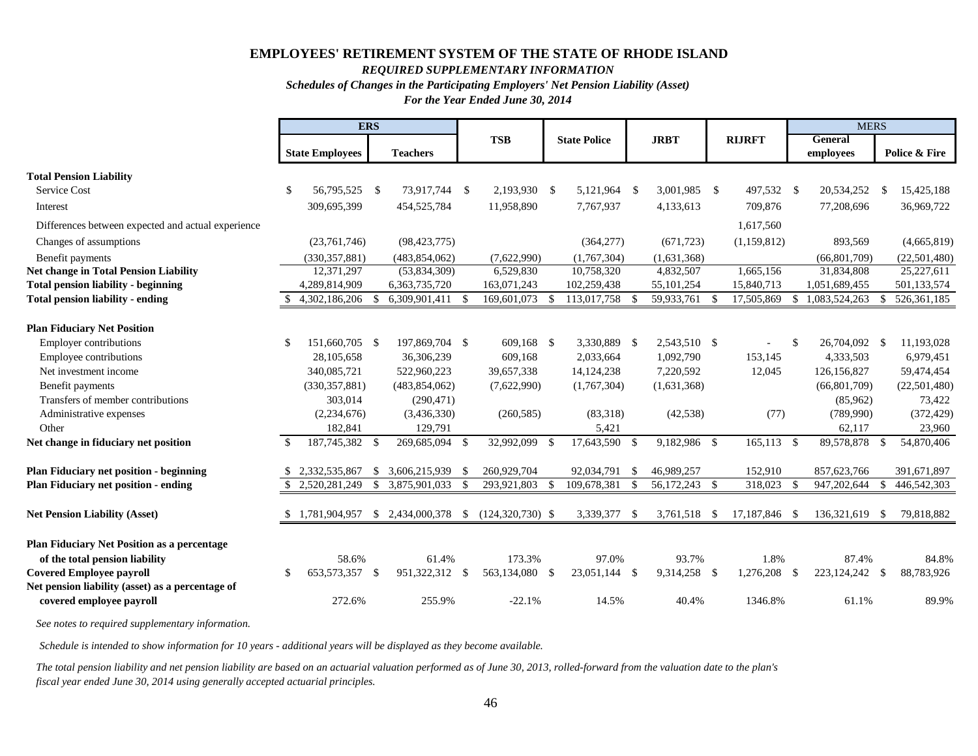# **2. Plan Membership and Benefit Provisions (continued)**

The COLA will be calculated as the five (5) year smoothed investment rate of return less 5.50%, with a 0.00% floor and a 4.00% cap. For police and fire units, COLA will be delayed until the later of age 55 or three years after retirement. For general employee units, COLA will be delayed until the later of the Social Security Normal Retirement Age or three years after retirement. The COLA will be applied to the first \$25,000 of benefits indexed annually.

*Disability retirement provisions -* The plan also provides nonservice-connected disability benefits after 5 years of service; service-connected disability pensions with no minimum service requirement.

#### *STATE POLICE RETIREMENT BENEFITS TRUST (SPRBT)*

The State Police Retirement Benefits Trust was established under Rhode Island General Law Section 42-28-22.1 and was placed under the management of the Retirement Board for the purpose of providing retirement allowances to State Police.

*Plan members* – the plan covers all State Police and Superintendents hired after July 1, 1987.

*Retirement eligibility and plan benefits –* Prior to June 30, 2012 the plan generally provides retirement benefits equal to 50% of final salary after 20 years of service, plus 3.0% of final salary times service in excess of 20 years through 25 years to a maximum of 65% of final salary. Such benefits are available to members after 20 years of service regardless of age. The Superintendent of the State Police will receive 50% of his/her final salary and may retire after attainment of age 60 and 10 years of service.

The General laws were amended such that any member of the state police, other than the superintendent, who is hired on or after July 1, 2007 and who has served for twenty-five (25) years shall be entitled to a retirement allowance of 50% of the final salary. In addition, any member may serve up to a maximum of 30 years, and shall be allowed an additional amount equal to 3.0% for each completed year served after 25 years to a maximum retirement allowance not to exceed 65% of the final salary.

Benefits are based on the final base salary earned at retirement including longevity increment, holiday pay, clothing allowance and up to 400 overtime hours.

Effective July 1, 2012 state police officers are eligible to retire once they have accrued a retirement benefit equal to 50% of their whole salary, with mandatory retirement once they have accrued a retirement benefit equal to 65% of their whole salary. State police officers will earn a 2% accrual rate for each year of contributing service. Benefits will be calculated on the average of the highest five consecutive years of salary, including up to 400 hours of mandatory overtime service. Benefits accrued as of June 30, 2012 will be protected under the Rhode Island Retirement Security Act.

*Cost of Living Adjustments –* the Cost of Living Adjustment (COLA) has been suspended until the collective ERS, SPRBT, and JRBT plans reach a funded status of 80%. The COLA provision can be reviewed in a five-year interval. When the collective funding level of the plans exceeds 80%, eligible retirees may receive a COLA annually effective on their date of retirement plus one month. The COLA will be calculated as the five (5) year smoothed investment rate of return less 5.50%, with a 0.00% floor and a 4.00% cap. COLA will be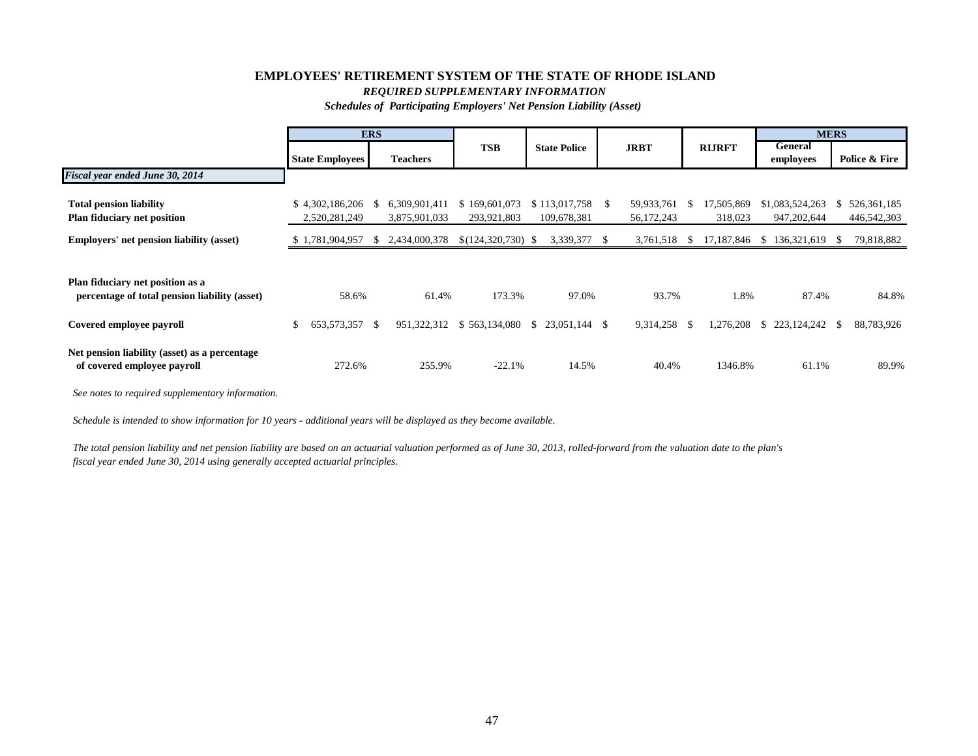# **2. Plan Membership and Benefit Provisions (continued)**

delayed until the later of age 55 or three years after retirement. The COLA will be applied to the first \$25,000 of benefits indexed annually.

*Disability retirement provisions -* the plan provides nonservice-connected disability benefits after 10 years of service and service-connected disability pensions with no minimum service requirement.

# *JUDICIAL RETIREMENT BENEFITS TRUST (JRBT)*

The Judicial Retirement Benefits Trust was established under Rhode Island General Laws 8-8.2- 7; 8-3-16; 8-8-10.1; 28-30-18.1; and was placed under the management of the Retirement Board for the purpose of providing retirement allowances to Justices of the Traffic Tribunal, Supreme, Superior, Family, District and Workers Compensation courts.

*Plan members* – the plan covers all Judges appointed after December 31, 1989.

*Retirement eligibility and plan benefits –* are summarized in the following table:

|                                                                        | <b>Retirement benefit</b>                                                                                                                                                                                                                                                                                                                                                                                                                                                                                                                                                                                                                                                                                                                                                                                                                                                                 |
|------------------------------------------------------------------------|-------------------------------------------------------------------------------------------------------------------------------------------------------------------------------------------------------------------------------------------------------------------------------------------------------------------------------------------------------------------------------------------------------------------------------------------------------------------------------------------------------------------------------------------------------------------------------------------------------------------------------------------------------------------------------------------------------------------------------------------------------------------------------------------------------------------------------------------------------------------------------------------|
| Judges appointed after<br>December 31, 1989 but<br>before July 2, 1997 | 75% of the final salary at the time of retirement after 20 years of service, or<br>10 years of service and attainment of age 65. Judges retiring after 20 years of<br>service after age 65 or 15 years of service after age 70 receive full retirement<br>benefits, which is the final salary at time of retirement.                                                                                                                                                                                                                                                                                                                                                                                                                                                                                                                                                                      |
| Judges appointed after July<br>2, 1997 but before January<br>1,2009    | Same as above except, salary is the average highest three (3) consecutive<br>years of compensation rather than final salary.                                                                                                                                                                                                                                                                                                                                                                                                                                                                                                                                                                                                                                                                                                                                                              |
| Judges appointed after<br>January 1, 2009 but before<br>July 1, 2009   | Judges with 20 years of service after age 65 or judges with 15 years of service<br>after age 70 will receive 90% of the average of the highest three consecutive<br>years of compensation. Judges appointed on or after January 1, 2009 with 10<br>years of service and age 65 or 20 years of service at any age are entitled to a<br>reduced benefit of 70% of the average highest three consecutive years of<br>compensation.<br>Judges designating a survivor benefit with 20 years of service and age 65 or 15<br>years of service and age 70 receive a reduced benefit equal to 80% of the<br>average highest three consecutive years of compensation. Judges designating<br>a survivor benefit with 10 years of service after age 65 or 20 years of service<br>at any age receive a reduced benefit equal to 60% of the average highest three<br>consecutive years of compensation. |
| Judges appointed after July<br>1,2009                                  | Judges with 20 years of service after age 65 or with 15 years of service after<br>age 70 will receive 80% of the average of the highest five consecutive years of<br>compensation. Judges with 10 years of service and age 65 or 20 years of<br>service at any age are entitled to a reduced benefit of 65% of the average<br>highest five consecutive years of compensation.<br>Judges designating a survivor benefit with 20 years of service and age 65 or 15<br>years of service and age 70 receive a reduced benefit equal to 70% of average<br>highest five consecutive years of compensation. Judges designating a survivor<br>benefit with 10 years of service after age 65 or 20 years of service at any age<br>receive a reduced benefit equal to 55% of average highest five consecutive<br>years of compensation.                                                             |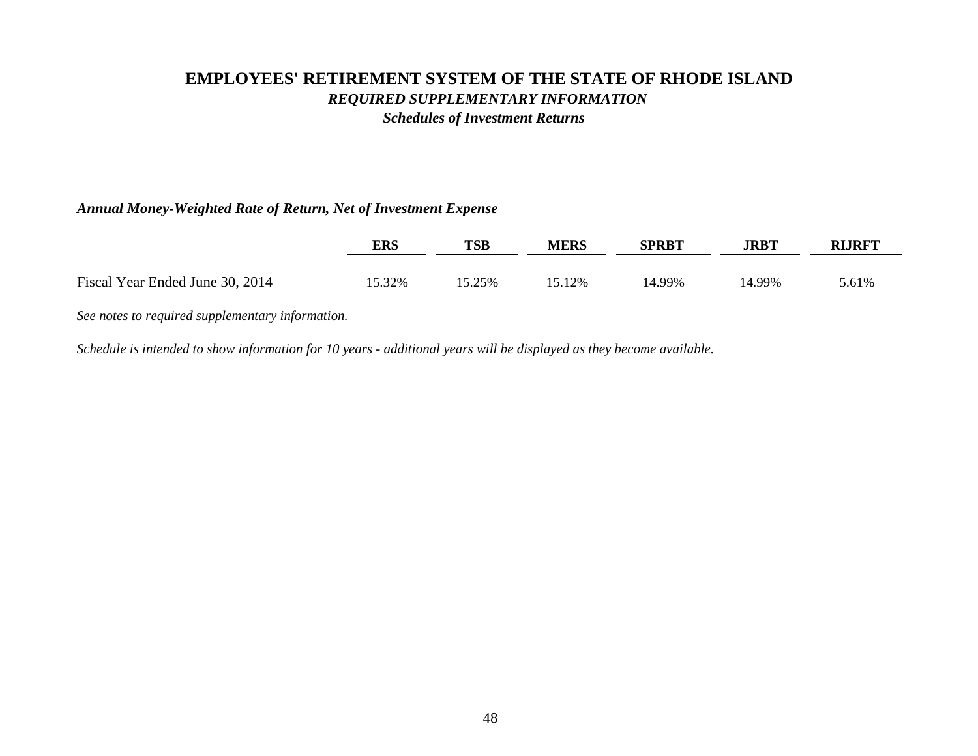# **2. Plan Membership and Benefit Provisions (continued)**

Certain survivor benefits are also provided to judges who are plan members, which is 50% of the benefit amount payable to the judicial member.

*Cost of Living Adjustments –* the Cost of Living Adjustment (COLA) has been suspended until the collective ERS, SPRBT, and JRBT plans reach a funded status of 80%. The COLA provision can be reviewed in a five-year interval. When the collective funding level of the plans exceeds 80%, eligible retirees may receive a COLA annually effective on their date of retirement plus one month. The COLA will be calculated as the five (5) year smoothed investment rate of return less 5.50%, with a 0.00% floor and a 4.00% cap. COLA will be delayed until the later of age 55 or three years after retirement. The COLA will be applied to the first \$25,000 of benefits indexed annually.

#### *STATE OF RHODE ISLAND JUDICIAL RETIREMENT FUND TRUST (RIJRFT)*

Effective July 1, 2012 under the direction of Rhode Island General Law 8-3-16 the retirement board established a trust to collect proceeds for the purpose of paying retirement benefits to participating judges or their beneficiaries.

- *Plan members* the plan covers seven (7) judges appointed prior to January 1, 1990. These members are active judges (as of June 30, 2012) appointed prior to January 1, 1990 that do not participate in the Judicial Retirement Benefit Trust. Prior to creating the trust, benefits for these members were intended to be funded on a pay-as-you-go basis. To the extent assets in the trust are insufficient to fund member benefits, the State would also fund retirement benefits on a payas-you-go basis as it does for sixty-five (65) retired judges and surviving beneficiaries that were not members of either judicial plan. The employee contribution rate is 12% of salary (except for members of the Supreme Court contribute 8.75%).
- *Retirement eligibility and plan benefits* The plan generally provides retirement benefits for members who have served as a justice of the supreme court, the superior court, the family court, the district court, or any of them for 20 years and has the reached age of 65 years, or has served 15 years, and reached the age of 70 years may retire from regular service and receive a benefit equal to the annual salary the justice was receiving at the time of their retirement. Members of the traffic tribunal who served as a justice for 20 years, or has served for 10 years and reached age 65 years may retire from regular service and receive a benefit equal to the 75% of the annual salary at the time of retirement. However, any traffic tribunal judge who has served 20 years and has reached age 65 years, or has so served for 15 years and age 70 years may retire from active service and receive a benefit equal to annual salary the justice was receiving at the time of their retirement.
- *Cost of Living Adjustments –* The Cost of Living Adjustment (COLA) has been suspended until the collective ERS, SPRBT, and JRBT plans reach a funded status of 80%. The COLA provision can be reviewed in a five-year interval. When the collective funding level of the plans exceeds 80%, eligible retirees may receive a COLA annually effective on their date of retirement plus one month. The COLA will be calculated as the five (5) year smoothed investment rate of return less 5.50%, with a 0.00% floor and a 4.00% cap. COLA will be delayed until the later of the SSNRA or three years after retirement. The COLA will be applied to the first \$25,000 of benefits indexed annually.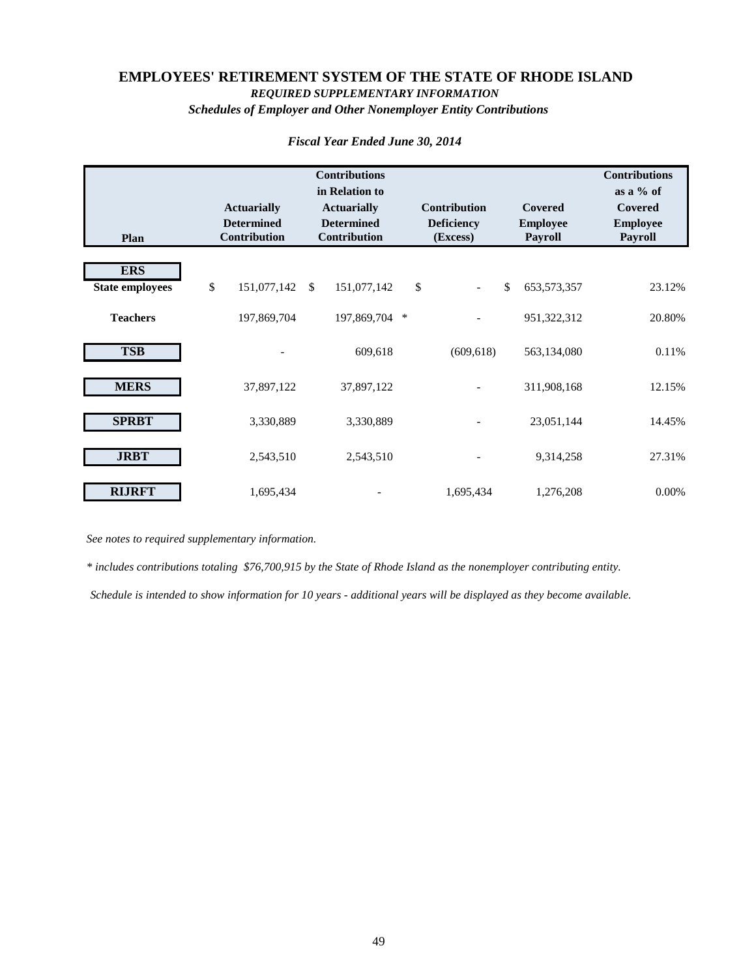# **2. Plan Membership and Benefit Provisions (continued)**

#### *DEFINED CONTRIBUTION PLAN*

The State of Rhode Island Defined Contribution Retirement Plan (the "Plan") is a defined contribution (money purchase) plan that operates under Section 401(a) of the Internal Revenue Code. The Plan was established under Rhode Island General Law section 36-10.3-2 and was placed under the management of the Retirement Board. The Retirement Board is the Plan administrator and Plan trustee. The law authorizes the State Investment Commission to select the appropriate third-party administrator for the Plan and to adopt Plan, trust, and/or custodial documents subject to certain guidelines outlined in the statute. The State Investment Commission is responsible for implementing the investment policy of the Plan and selecting the investment options available to members. TIAA-CREF serves as record keeper for the Plan and Plan assets are held by J.P. Morgan as investment custodian.

- *Plan members* The plan covers members of the Employees' Retirement System of Rhode Island (ERS), excluding legislators, correction officers and MERS general police and fire employees who participate in Social Security. For covered employees, participation in the defined contribution plan is mandatory. Judges and state police officers are also excluded from the Plan.
- *Plan vesting provisions* The total amount contributed by the member, including associated investment gains and losses, shall immediately vest in the member's account and is nonforfeitable. The total amount contributed by the employer, including associated investment gains and losses, vests with the member and is non-forfeitable upon completion of three (3) years of contributory service. Service credit under ERS or MERS prior to July 1, 2012 is credited to the member for vesting purposes.
- *Member accounts* Each member's account is credited with the member and employer's contribution and an allocation of the plan's earnings. Allocations are based on a relationship of the member's account balance in each investment fund to the total of all account balances in that fund. The retirement benefit to which a member is entitled is the benefit that can be provided from the member's account.
- *Forfeitures –* Non-vested employer contributions are forfeited upon termination of employment. Such forfeitures can be used by employers to offset future remittances to the plan.
- *Contributions* the plan's benefits are funded by contributions from the participants and the employer, as specified in Rhode Island General Law 36-10.3-4 and 36-10.3-5. Eligible state employees and teachers and MERS general employees that participate in Social Security contribute 5% of the member's compensation. Employers contribute to these member's individual accounts an amount equal to 1% of the member's compensation.

Teachers and MERS general employees not covered by social security must contribute 7% of their compensation; employers contribute to these member's individual accounts an amount equal to 3% of the member's compensation. MERS police and fire employees not covered by social security must contribute 3%; employers contribute to these member's individual accounts an amount equal to 3% of the member's compensation.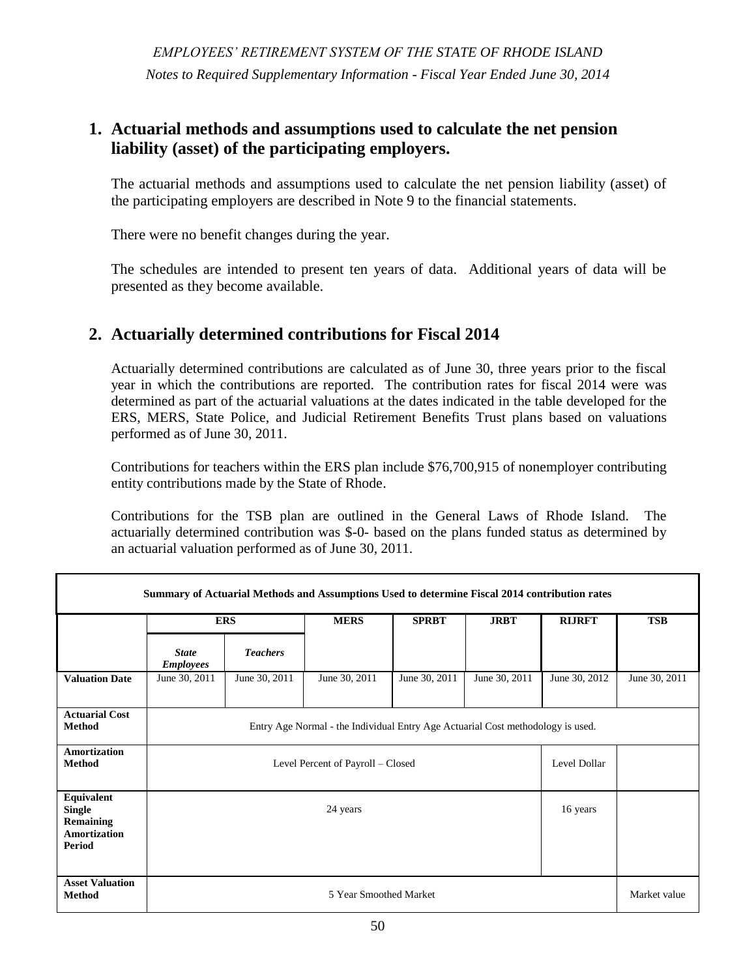# **2. Plan Membership and Benefit Provisions (continued)**

*Investment options* – Member and employer contributions may be invested in a variety of investment options broadly diversified with distinct risk and return characteristics. The investment options provide opportunities to diversify across the risk-return spectrum with a range of investment choices within varied asset classes.

The investment programs are managed by TIAA-CREF and have various investment strategies.

*Retirement benefits* – Benefits may be paid to a member after severance from employment, death, Plan termination, or upon a deemed severance from employment for participants performing qualified military service. At a minimum, retirement benefits must begin no later than April 1 of the calendar year following the year in which you attain age 70  $\frac{1}{2}$  or terminate employment, if later. Members have the option to receive benefit payments in the form of a Single Life Annuity, Two Life Annuity, Lump Sum Benefit, or Installments. These payments are subject to any restrictions in the investment vehicles.

# **3. Summary of Significant Accounting Policies**

These financial statements were prepared in accordance with accounting principles generally accepted in the United States of America as prescribed by the Governmental Accounting Standards Board (GASB). The Governmental Accounting Standards Board (GASB) is responsible for establishing generally accepted accounting principles for defined benefit and defined contribution plans established and administered by governmental entities.

**Basis of Accounting -** The financial statements of the System are prepared on the accrual basis of accounting. Under this method, revenues are recorded when earned and expenses are recorded when incurred.

**Cash and Cash Equivalents -** Cash represents cash held in trust in a financial institution. Cash equivalents are highly liquid investments with a maturity of three months or less at the time of purchase.

**Investments** - Investment transactions are recorded on a trade date basis. Gains or losses on foreign currency exchange contracts are included in income consistent with changes in the underlying exchange rates. Dividend income is recorded on the ex-dividend date.

**Method Used to Value Investments -** Investments are recorded in the financial statements at fair value. Fair value is the amount that a plan can reasonably expect to receive for an investment in a current sale between a willing buyer and a willing seller - that is, other than a forced liquidation sale.

Short-term investments are generally carried at cost or amortized cost, which approximates fair value.

The fair value of fixed income securities and domestic and international equity securities is generally based on published market prices and quotations from national security exchanges and securities pricing services. The fair value of mutual fund investments reflects the published closing net asset value as reported by the fund manager.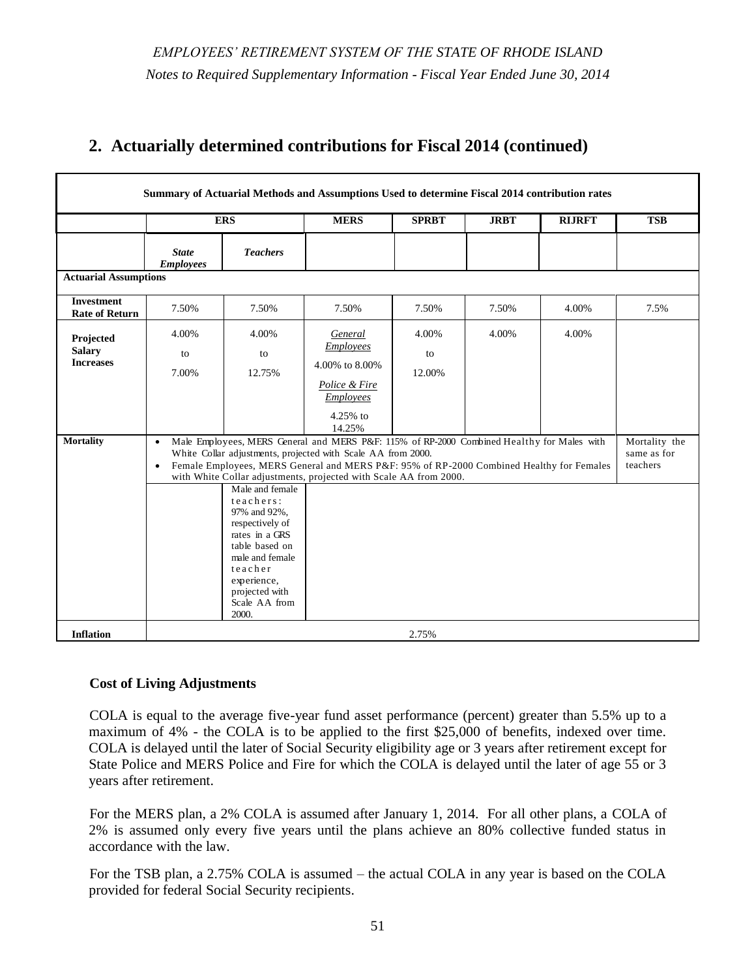# **3. Summary of Significant Accounting Policies (continued)**

Commingled funds include institutional domestic equity index and international equity index funds. The fair value of these commingled funds is based on the reported net asset value (NAV) based upon the fair value of the underlying securities or assets held in the fund. The determination of fair value for other commingled funds, which include hedge, private equity, and real estate funds is described in the succeeding paragraphs.

Futures contracts are valued at the settlement price established each day by the board of trade or exchange on which they are traded.

The System also trades in foreign exchange contracts to manage exposure to foreign currency risks. Such contracts are used to purchase and sell foreign currency at a guaranteed future price. The change in the estimated fair value of these contracts, which reflects current foreign exchange rates, is included in the determination of the fair value of the System's investments.

Other investments that are not traded on a national security exchange (primarily private equity and real estate investments) are generally valued based on audited December 31 net asset values adjusted for (1) cash flows for the period January 1 to June 30 (which principally include additional investments and partnership distributions), and (2) significant changes in fair value as determined or estimated by the general partners as of June 30. The general partners estimate the fair value of the underlying investments held by the partnership periodically. Publicly traded investments held by the partnerships are valued based on quoted market prices. If not publicly traded, the fair value is determined by the general partner. Financial Accounting Standards Board ASC Topic 820, *Fair Value Measurements and Disclosures,* requires private equity and real estate limited partnership general partners to value non-publicly traded assets at current fair value, taking into consideration the financial performance of the issuer, cash flow analysis, recent sales prices, market comparable transactions, a new round of financing, a change in economic conditions, and other pertinent information. ERSRI management considers the fair values reported by the general partners at June 30 in addition to the audited net asset values at December 31 adjusted for cash flows for the period January 1 to June 30 in determining the fair value of private equity and real estate investments on the financial statements of ERSRI.

Private equity and real estate investments represented 6.6% and 3.1%, respectively of the total reported fair value of all ERSRI investments at June 30, 2014. Of the underlying holdings within private equity investments, approximately 21% were valued based on quoted market prices. The remaining underlying assets were valued generally following the objectives outlined above. Because these fair values were not determined based on quoted market prices, the fair values may differ from the values that would have been determined had a ready market for these investments existed.

Hedge funds are valued based on information provided by the fund manager and as verified by their respective third party administrator. Of the underlying holdings within the hedge funds approximately 69% were valued based on Tier 1 inputs (unadjusted quoted prices in active markets that are accessible at the measurement date for identical, unrestricted investments) and 25% as Tier 2 inputs (other significant inputs, either directly or indirectly, at the measurement date such as a) quoted prices for similar assets or liabilities in active markets; b) quoted prices for identical or similar assets and liabilities in markets that are not active; c) observable inputs, other than quoted prices, for assets and liabilities; or d) inputs that are derived from or corroborated by observable market data by correlation or other means). The remaining underlying holdings within the hedge funds approximating 6% were valued based on Tier 3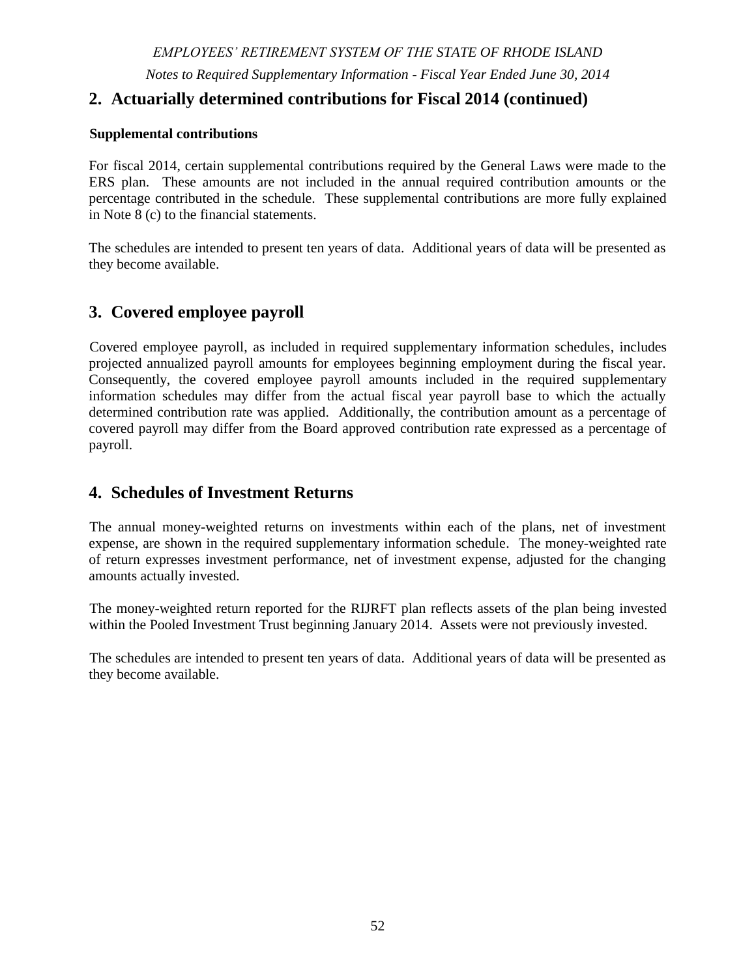# **3. Summary of Significant Accounting Policies (continued)**

inputs (unobservable inputs which are developed based on the best information available in the circumstances, which might include the fund's own data).

**Contributions** - Plan member contributions for the defined benefit plans are recognized in the period in which the wages, subject to required contributions, are earned for the performance of duties for covered employment. Employer contributions to each defined benefit plan are recognized when due and the employer has made a formal commitment to provide the contributions.

Plan member and employer contributions for the defined contribution plan are contributed to the member's individual account in the plan as a defined percentage of the member's compensation paid during the plan year ending June 30.

**Benefits** - Benefits and refunds are recognized when due and payable in accordance with the terms of each plan.

**Investment expenses –** Certain investment management expenses are presented separately as a component of net investment income and include investment consultants, custodial fees, direct investment expenses allocated by managers, and allocated Office of the General Treasurer expenses associated with oversight of the portfolio. In some instances (hedge funds, private equity, real estate investments, and cash investments), investment related costs are not readily separable from investment income and consequently investment income is recorded net of related expenses.

Net investment income within the defined contribution plan is reported on a net-of–fees basis.

**Property and Equipment –** These assets represent the Line of Business System and computer equipment recorded at cost. Depreciation is provided on a straight-line basis over the estimated useful lives, ten and five years respectively. Property and equipment is allocated to each plan based on its proportionate share of net assets. The System's capitalization threshold is \$5,000.

**Prepaid Assets –** These assets represent the amounts paid to a vendor pursuant to a contract to design, transition, and implement new line-of-business, general ledger accounting system, and payroll administration systems. The amounts paid before the system becomes operational have been accounted for as prepaid items and will be amortized ratably over the remaining contract period once system operations commence.

**Memorandum Total Columns -** Total columns on the financial statements are captioned "memorandum only" to indicate that they are presented only to facilitate financial analysis. Data in these columns are not comparable to a consolidation. Inter-fund eliminations have not been made in the aggregation of this data.

**Use of Estimates –** The preparation of financial statements in conformity with accounting principles generally accepted in the United States of America requires management to make estimates and assumptions that affect the reported amounts of assets and liabilities and disclosures of contingencies. These estimates are subject to a certain amount of uncertainty in the near term, which could result in changes in the values reported for those assets in the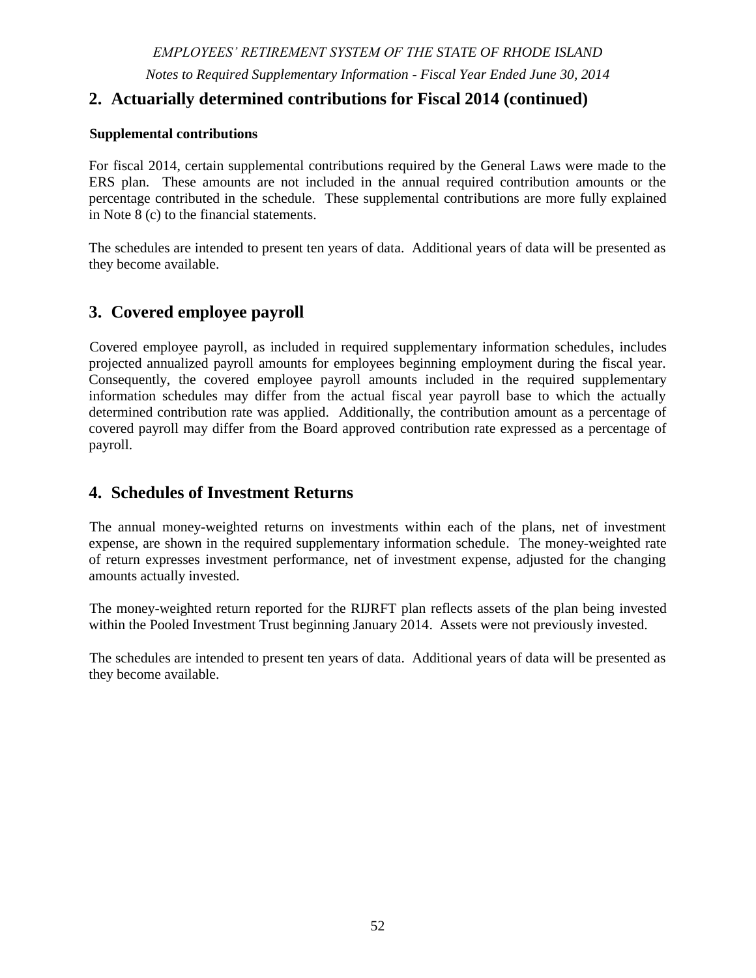# **3. Summary of Significant Accounting Policies (continued)**

statements of fiduciary net position. Because of the inherent uncertainty in the valuation of privately held securities, the fair value may differ from the values that would have been used if a ready market for such securities existed, and the difference can be material. Estimates also affect the reported amounts of income/additions and expenses/deductions during the reporting period. Actual results could differ from these estimates.

**New Accounting Standards** – The System implemented Governmental Accounting Standards Board issued Statement No. 67 – *Financial Reporting for Pension Plan*s during fiscal 2014. Implementation of the new accounting standard resulted in changes in presentation of the financial statements, notes to the financial statements, and required supplementary information. The notes to the financial statements and required supplementary information include the total and net pension liability (asset) calculated by the actuary in accordance with the provisions of GASB Statement No. 67. The notes to the financial statements also include new disclosures regarding the sensitivity of the net pension liability to the discount rate, as well as disclosures regarding the development of the investment return assumption.

GASB Statement No. 68 – *Accounting and Financial Reporting for Pensions* will impact the financial statements of employers participating in defined benefit plans administered by the System.

**Changes in Financial Statement Presentation** – The Teachers' Survivors Benefit plan is presented in a discrete column for fiscal 2014 rather than being included within the ERS plan. Beginning fiduciary net position for the ERS plan was reduced by \$260,929,704 with a like increase in beginning net position of the Teachers' Survivors Benefit plan.

# **4. Cash Deposits and Cash Equivalents**

At June 30, 2014, the carrying amounts of the plans' cash deposits are listed below:

| <b>Cash Deposits:</b> | ERS         | <b>MERS</b> | <b>SPRBT</b> | <b>JRBT</b> | <b>RLIRFT</b> | Total       |
|-----------------------|-------------|-------------|--------------|-------------|---------------|-------------|
| Book balance          | \$1.452,810 | \$487.901   | \$256.549    | \$147.626   | \$ 39.969     | \$2.384.855 |
| Bank balance          | \$1.684.846 | \$524.110   | \$256,549    | \$147.626   | \$ 39.969     | \$2,653,100 |

The bank and book balances represent the plans' deposits in short-term trust accounts, which include demand deposit accounts and interest-bearing, collateralized bank deposit accounts. The bank balance, \$885,868 and the remainder representing interest-bearing collateralized bank deposits totaling \$1,767,232 are either federally insured or collateralized (102%) with U.S. Treasury, agencies, and federal home loan bank letters of credit held by a third party custodian.

In accordance with Rhode Island General Law Chapter 35-10.1, depository institutions holding deposits of the State, its agencies or governmental subdivisions of the State shall, at a minimum, insure or pledge eligible collateral equal to one hundred percent of time deposits with maturities greater than sixty days. Any of these institutions that do not meet minimum capital standards prescribed by federal regulators shall insure or pledge eligible collateral equal to one hundred percent of deposits, regardless of maturity. None of the System's deposits were required to be collateralized at June 30, 2014 (excluding the collateralized interest-bearing deposits). However,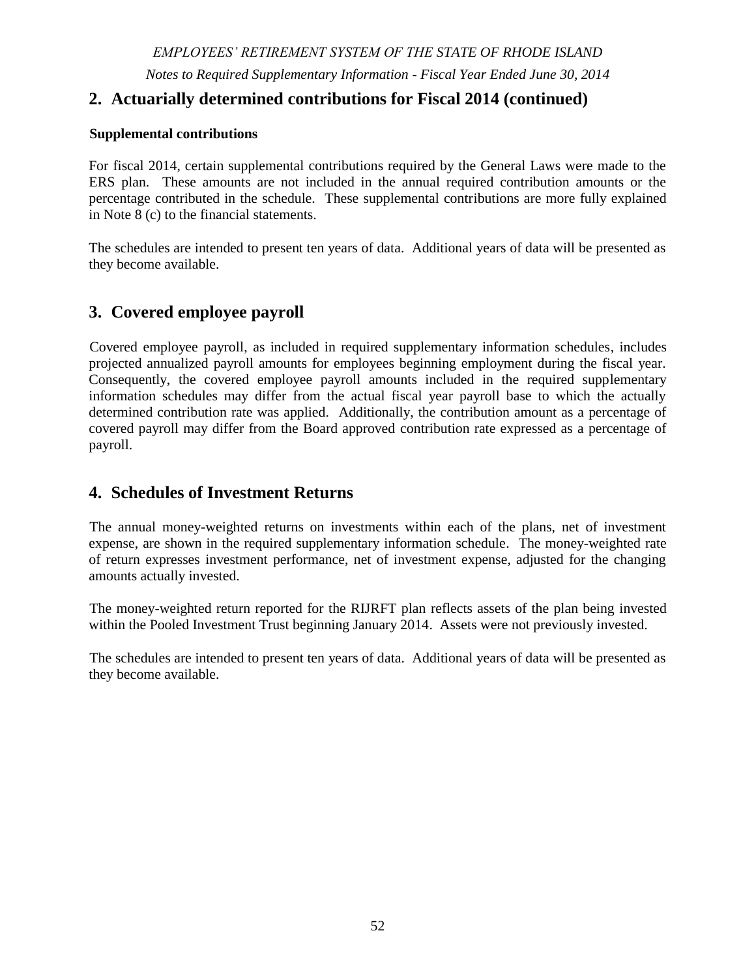# **4. Cash Deposits and Cash Equivalents (continued)**

the State Investment Commission has adopted a collateralization requirement for institutions holding the State's deposits. Financial institutions are required to pledge collateral equal to 102% of the deposit amounts that are not insured by federal depository insurance.

The General Treasurer makes certain short-term investments on a daily basis. Rhode Island General Law Section 35-10-11 (b)(3) requires that all investments shall be made in securities as would be acquired by prudent persons of discretion and intelligence who are seeking a reasonable income and the preservation of capital.

# **5. Investments – Pooled Investment Trust**

#### **(a). General**

On July 1, 1992, the State Investment Commission pooled the assets of the ERS with the assets of the MERS for investment purposes only, and assigned units to the plans based on their respective share of market value. On September 29, 1994 and November 1, 1995, the assets of the SPRBT and the JRBT, respectively, were added to the pool for investment purposes only. In January 2014, the assets of the RIJRFT plan were added to the pooled investment trust for investment purposes. The assets of the TSB plan had previously been pooled with the assets of the ERS plan.

The custodian bank holds assets of the System in a Pooled Trust and each plan holds units in the trust. The number of units held by each plan is a function of each plans' respective contributions to, or withdrawals from, the trust.

**Investment policy** - The State Investment Commission (SIC) oversees all investments made by the State of Rhode Island, including those made for the System's Pooled Investment Trust. The SIC has established an asset allocation policy which may be amended by the SIC Board by a majority vote of its members. The SIC's asset allocation policy seeks to achieve the assumed rate of return adopted by the System over the long-term while reducing risk through the prudent diversification of the portfolio across various asset classes.

The following was the SIC's adopted asset allocation policy targets as of June 30, 2014.

|                                 | <b>Policy Targets for</b> |
|---------------------------------|---------------------------|
| <b>Type of Investment</b>       | <b>Fiscal Year 2014</b>   |
| <b>Global Equity</b>            | 38.0%                     |
| <b>Equity Hedge Funds</b>       | 8.0%                      |
| Private Equity                  | 7.0%                      |
| Core Fixed Income               | 15.0%                     |
| Absolute Return Hedge Funds     | 7.0%                      |
| <b>Real Estate</b>              | 8.0%                      |
| <b>Other Real Return Assets</b> | 14.0%                     |
| Cash, Overlay and Money Market  | 3.0%                      |
| Total                           | 100.0%                    |

Consistent with a target asset allocation model adopted by the State Investment Commission (SIC), the System directs its separate-account investment managers to maintain, within the mandate specified by the SIC, diversified portfolios by sector, credit rating and issuer using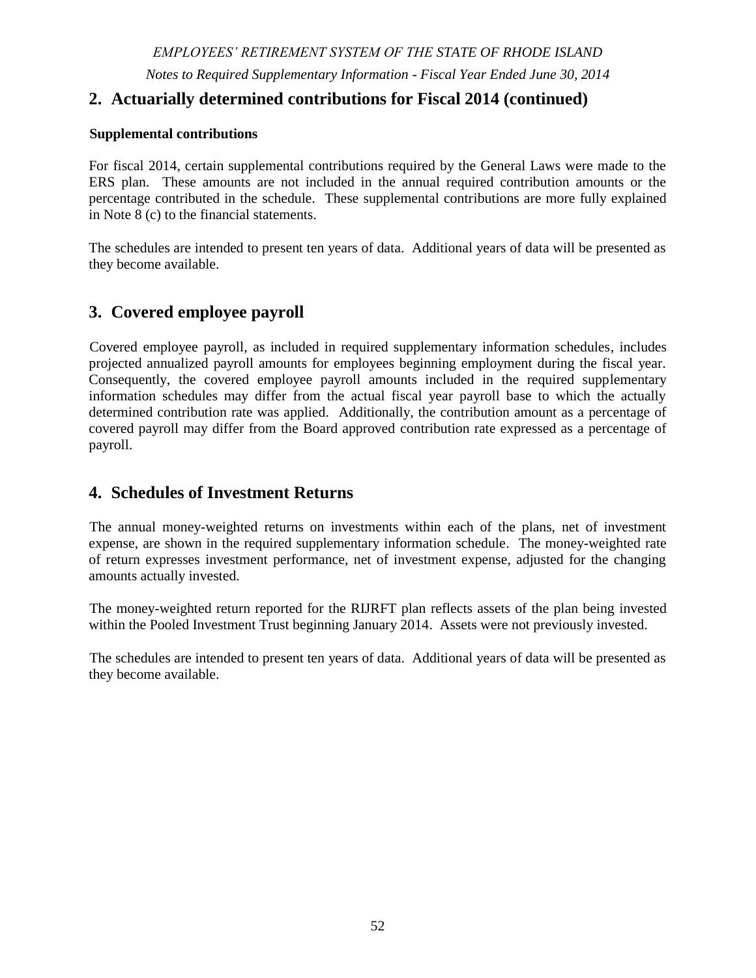# **5. Pooled Investment Trust (continued)**

#### **(a). General**

the prudent person standard, which is the standard of care employed solely in the interest of the participants and beneficiaries of the funds and for the exclusive purpose of providing benefits to participants and defraying reasonable expenses of administering the funds.

Specific manager performance objectives are outlined and generally stated in relation to a benchmark or relevant index. These guidelines also include prohibited investments, limitations on maximum exposure to a single industry or single issuer, a minimum number of holdings within the manager's portfolio and, for fixed income managers, minimum credit quality ratings and duration/maturity targets.

Investment expense is allocated to each plan based on the plan's units in the Pooled Trust at the end of each month.

The following table presents the fair value of investments by type that are held within the Pooled Trust for the defined benefit plans at June 30, 2014:

| <b>Pooled Investment Trust - Investment Type</b>      |               | <b>Fair Value</b> |  |  |  |
|-------------------------------------------------------|---------------|-------------------|--|--|--|
| Cash and Cash Equivalents                             | $\mathcal{S}$ | 21,476,054        |  |  |  |
| Foreign Currencies                                    |               | 1,246,418         |  |  |  |
| Money Market Mutual Fund                              | 319,975,569   |                   |  |  |  |
| <b>US Government Securities</b>                       | 557,956,464   |                   |  |  |  |
| <b>US Government Agency Securities</b>                |               | 351,280,031       |  |  |  |
| <b>Collateralized Mortgage Obligations</b>            | 18,802,085    |                   |  |  |  |
| Corporate Bonds                                       | 422,340,935   |                   |  |  |  |
| <b>International Government Bonds</b>                 | 112,540,587   |                   |  |  |  |
| Term Loans                                            | 341,054,658   |                   |  |  |  |
| Domestic Equity Securities                            |               | 823,990           |  |  |  |
| <b>International Equity Securities</b>                |               | 271,782           |  |  |  |
| Commingled Funds - Domestic Equity                    | 2,055,284,666 |                   |  |  |  |
| Commingled Funds - International Equity               |               | 2,035,354,197     |  |  |  |
| <b>Private Equity</b>                                 |               | 544,762,738       |  |  |  |
| Real Estate Limited Partnerships and Commingled Funds |               | 252,952,973       |  |  |  |
| Hedge Funds                                           |               | 1,154,573,599     |  |  |  |
| Derivative Investments                                |               | 121,643           |  |  |  |
| <b>Investments at Fair Value</b>                      | $\mathbb{S}$  | 8,190,818,388     |  |  |  |
| Receivable for investments sold                       |               | 240,732,129       |  |  |  |
| Payable for investments purchased                     |               | (226, 011, 460)   |  |  |  |
| <b>Total</b>                                          | \$            | 8, 205, 539, 057  |  |  |  |

#### **(b). Rate of Return**

For the year ended June 30, 2014, the annual money-weighted returns on investments within each of the plans, net of investment expense, are shown in the following table. The moneyweighted rate of return expresses investment performance, net of investment expense, adjusted for the changing amounts actually invested.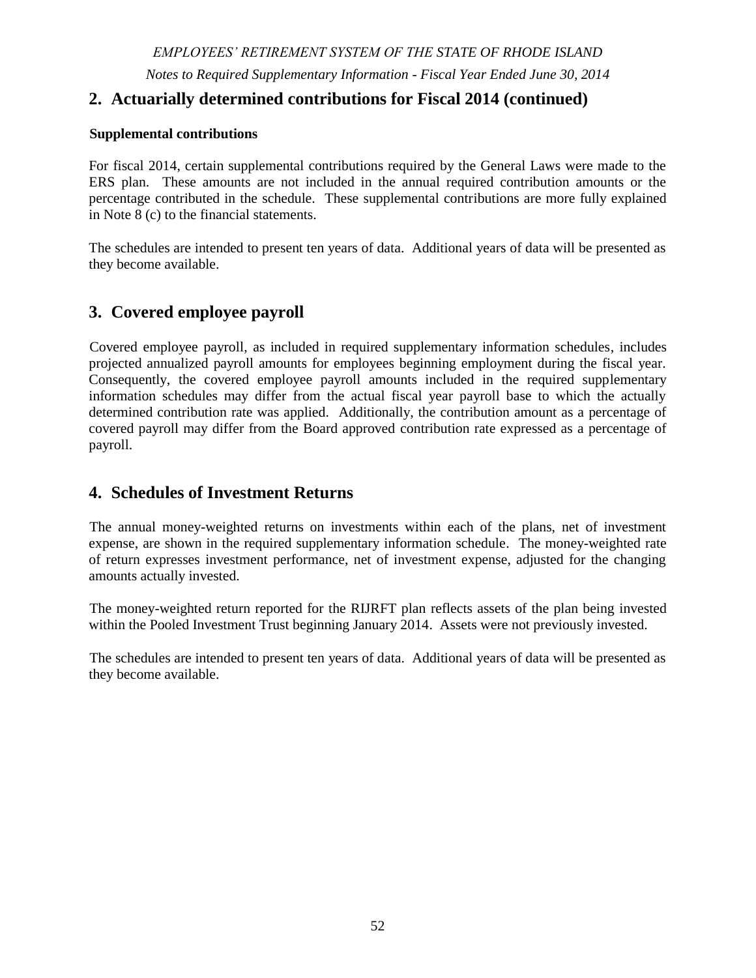# **5. Pooled Investment Trust (continued)**

# **(b). Rate of Return**

|                                                                                                                                          | <b>ERS</b> | TSB    | <b>MERS</b> | <b>SPRBT</b> | <b>JRBT</b> | <b>RIJRFT</b> * |  |
|------------------------------------------------------------------------------------------------------------------------------------------|------------|--------|-------------|--------------|-------------|-----------------|--|
| Money-weighted rate<br>of return $-$ year ended<br>June 30, 2014                                                                         | 15.32%     | 15.25% | 15.12%      | 14.99%       | 14.99%      | 5.61%           |  |
| * Assets of the RIJRFT plan were invested within the Pooled Investment Trust beginning January 2014 and were<br>previously not invested. |            |        |             |              |             |                 |  |

#### **(c). Interest Rate Risk**

Interest rate risk is the risk that changes in interest rates will adversely affect the fair value of an investment. Duration is a measure of a debt security's sensitivity to fair value changes arising from changes in the level of interest rates. It is the weighted average maturity of a bond's cash flows. The System manages its exposure to interest rate risk by comparing each fixed income manager portfolio's effective duration against a predetermined benchmark index based on that manager's mandate. The fixed income indices currently used by the System are:

- Barclays US Aggregate Index
- Barclays World Government Inflation –Linked All Maturities USD Hedge
- Custom High Yield and Bank Loan Index 30% Bank of America Merrill Lynch 1-3 BB-B High Yield and 70% Credit Suisse Institutional Leveraged Loan Index

At June 30, 2014, no fixed income manager was outside of the policy guidelines.

The following table shows the System's fixed income investments by type, fair value and the effective duration at June 30, 2014:

| <b>Investment Type</b>                     | <b>Fair Value</b> | <b>Effective</b><br><b>Duration</b> |
|--------------------------------------------|-------------------|-------------------------------------|
| <b>US Government Securities</b>            | 557,956,464<br>\$ | 4.26                                |
| <b>US Government Agency Securities</b>     | 351,280,031       | 3.69                                |
| <b>Collateralized Mortgage Obligations</b> | 18,802,085        | 2.17                                |
| Corporate Bonds                            | 422,340,935       | 6.24                                |
| <b>International Government Bonds</b>      | 112,540,587       | 3.93                                |
| <b>Term Loans</b>                          | 341,054,658       | 0.52                                |
| <b>Total Fixed Income</b>                  | \$1,803,974,760   | 3.78                                |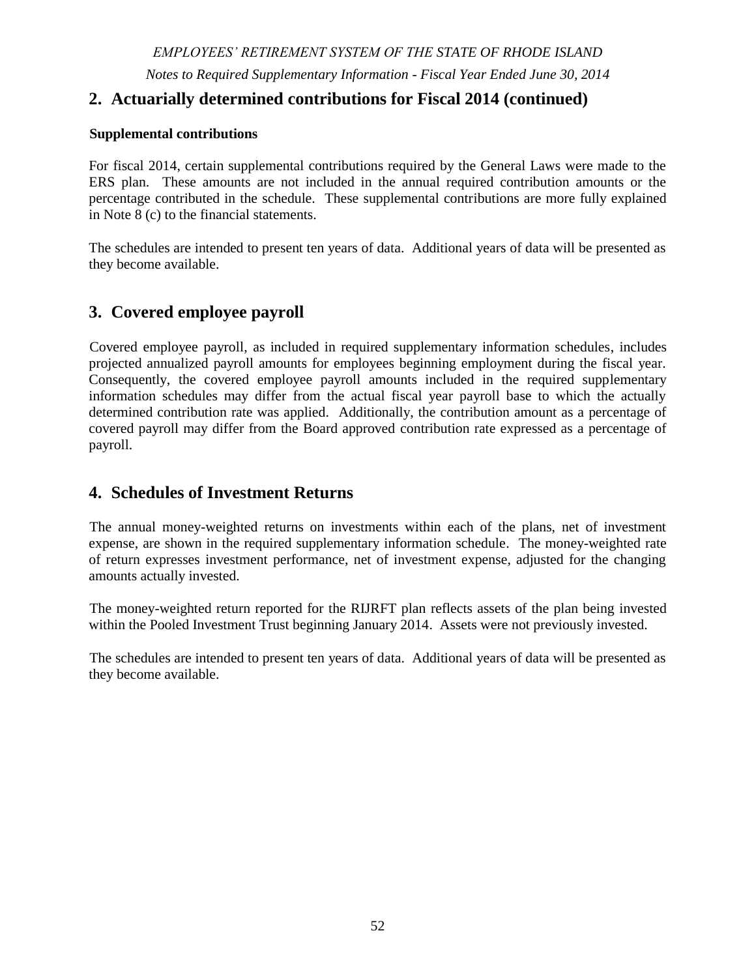# **5. Pooled Investment Trust (continued)**

#### **(c). Interest Rate Risk**

The System had investments at June 30, 2014 totaling \$170,358,479 in the Ocean State Investment Pool Trust (OSIP), an investment pool established by the State General Treasurer. The System's investment accounted for 34% of the total OSIP at June 30, 2014.

OSIP operates in a manner consistent with SEC Rule 2a-7 like pool and thus, reports all investments at amortized cost rather than fair value. The OSIP is not rated and the weighted average maturity of investments held in the pool, by policy, is not to exceed 60 days. OSIP issues a publicly available financial report that can be obtained by writing to the Office of the General Treasurer, Finance Department, 50 Service Avenue - 2nd Floor, Warwick, RI 02886.

The System also invested \$149,616,358 in a short-term money market mutual fund that held investments with a weighted average maturity of 66 days at June 30, 2014.

The System invests in various mortgage-backed securities, such as collateralized mortgage obligations (CMO), interest-only and principal-only strips. They are reported in U.S. Government Agency Securities and Collateralized Mortgage Obligations in the table above. CMO's are bonds that are collateralized by whole loan mortgages, mortgage pass-through securities or stripped mortgage-backed securities. Income is derived from payments and prepayments of principal and interest generated from collateral mortgages. Cash flows are distributed to different investment classes or tranches in accordance with the CMO's established payment order. Some CMO tranches have more stable cash flows relative to changes in interest rates while others are significantly sensitive to interest rate fluctuations.

The System may invest in interest-only and principal-only strips in part to hedge against a rise in interest rates. Interest-only strips are based on cash flows from interest payments on underlying mortgages. Therefore, they are sensitive to pre-payments by mortgagees, which may result from a decline in interest rates. Principal-only strips receive principal cash flows from the underlying mortgages. In periods of rising interest rates, homeowners tend to make fewer mortgage prepayments.

#### **(d). Credit Risk**

The System manages exposure to credit risk generally by instructing fixed income managers to adhere to an overall target weighted average credit quality for their portfolios and by establishing limits on the percentage of the portfolios that are invested in non-investment grade securities. The System's exposure to credit risk as of June 30, 2014 is as follows: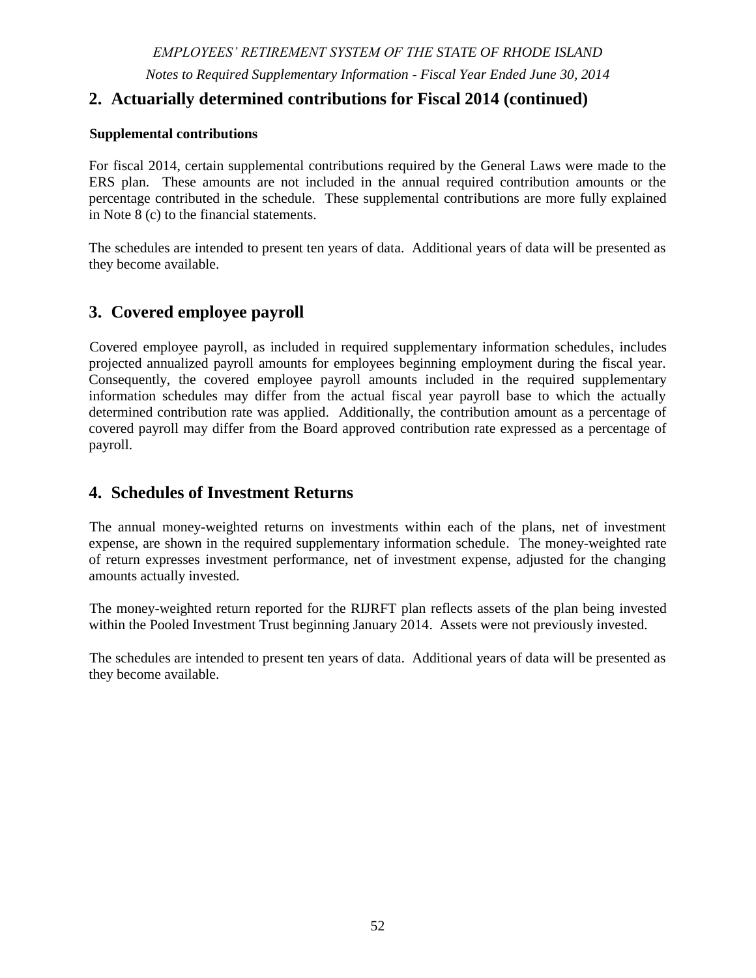# **5. Pooled Investment Trust (continued)**

## **(d). Credit Risk**

|                   | <b>Collateralized</b><br>Mortgage | <b>US Government</b><br>Agency |    | Corporate    |    | <b>International</b><br>Government |   | Term          |  |       |
|-------------------|-----------------------------------|--------------------------------|----|--------------|----|------------------------------------|---|---------------|--|-------|
| <b>Rating</b>     | <b>Obligations</b>                | <b>Obligations</b>             |    | <b>Bonds</b> |    |                                    |   | <b>B</b> onds |  | Loans |
| Aaa               | \$<br>10,967,557                  | \$<br>351,280,031              | \$ | 17,791,596   | \$ | 26,909,778                         |   |               |  |       |
| Aa                | 1,908,183                         |                                |    | 15,267,128   |    | 78, 171, 173                       |   |               |  |       |
| $\mathbf{A}$      | 4,722,684                         |                                |    | 73,407,277   |    | 4,437,280                          |   |               |  |       |
| <b>Baa</b>        | 1,203,661                         |                                |    | 241,986,134  |    | 3,022,355                          |   | 4,490,064     |  |       |
| Ba                |                                   |                                |    | 23,884,599   |    |                                    |   | 93,172,883    |  |       |
| B                 |                                   |                                |    | 40,298,735   |    |                                    |   | 169,972,741   |  |       |
| Caa               |                                   |                                |    | 8,379,870    |    |                                    |   | 20,697,460    |  |       |
| Ca                |                                   |                                |    | 96,625       |    |                                    |   |               |  |       |
| $\mathbf C$       |                                   |                                |    |              |    |                                    |   |               |  |       |
| D                 |                                   |                                |    |              |    |                                    |   |               |  |       |
| <b>Not Rated</b>  |                                   |                                |    | 1,228,971    |    |                                    |   | 52,721,510    |  |       |
| <b>Fair Value</b> | \$<br>18,802,085                  | 351,280,031                    | \$ | 422,340,935  | \$ | 112,540,586                        | S | 341,054,658   |  |       |

#### **(e). Concentration of Credit Risk**

Concentration of credit risk is the risk of loss attributed to the magnitude of investments in a single issuer. There is no single issuer exposure within the System's pooled investment trust that comprises 5% of the overall portfolio.

#### **(f). Custodial Credit Risk**

For an investment, custodial credit risk is the risk that, in the event of the failure of a counterparty, the System will not be able to recover the value of its investment or collateral securities that are in the possession of an outside party. At June 30, 2014, all securities were registered in the name of the System (or in the nominee name of its custodial agent) and were held in the possession of the System's custodial bank, Bank of New York Mellon.

#### **(g). Foreign Currency Risk**

Foreign currency risk is the risk that changes in exchange rates will adversely impact the fair value of an investment. Portfolios are diversified to limit foreign currency and security risk. The System may enter into foreign currency exchange contracts to minimize the short-term impact of foreign currency fluctuations on foreign investments. The System's exposure to foreign currency risk at June 30, 2014, was as follows: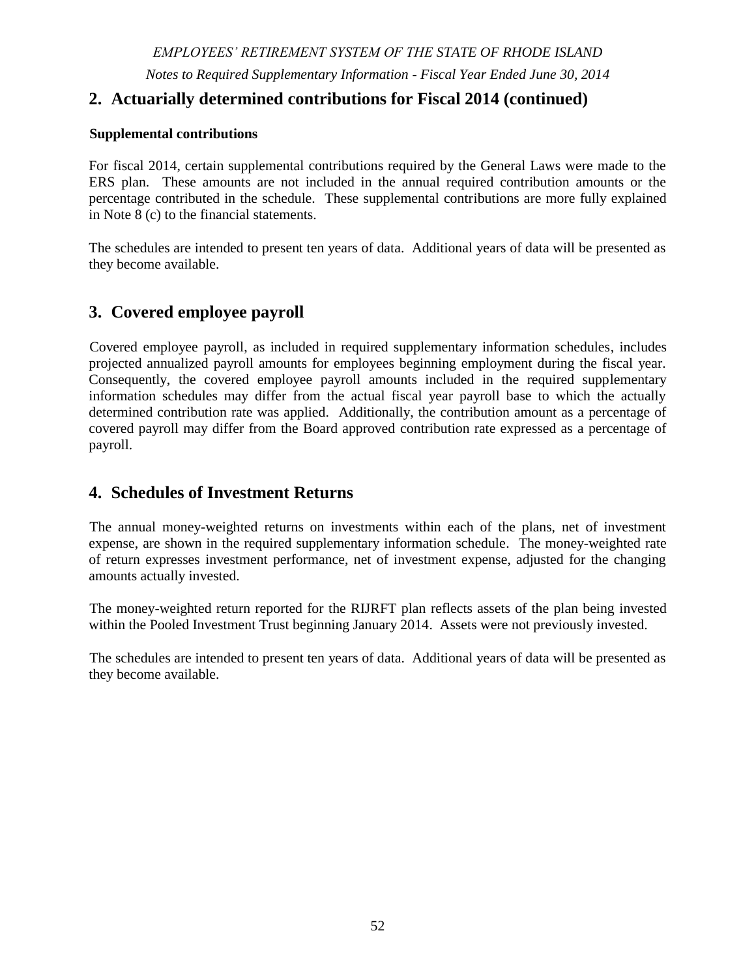#### *EMPLOYEES' RETIREMENT SYSTEM OF THE STATE OF RHODE ISLAND*

*Notes to the Financial Statements - Fiscal Year Ended June 30, 2014*

# **5. Pooled Investment Trust (continued)**

#### **(g). Foreign Currency Risk**

|                             | Commingled      |                 |                 | <b>Private</b> | <b>International</b> | Term          |                          |                              |
|-----------------------------|-----------------|-----------------|-----------------|----------------|----------------------|---------------|--------------------------|------------------------------|
| <b>Currency</b>             | <b>Funds</b>    | <b>Currency</b> | <b>Equities</b> | <b>Equity</b>  | <b>Bonds</b>         | Loans         | <b>Derivatives</b>       | <b>Total</b>                 |
| Australian Dollar           | \$108,320,001   | \$<br>71,150    | $\mathbb{S}$    | $\blacksquare$ | \$<br>3,349,879      | \$            | \$<br>53                 | $\mathcal{S}$<br>111,741,083 |
| Austrian Shilling           | 3,802,392       |                 |                 |                |                      |               | ÷,                       | 3,802,392                    |
| Belgian Franc               | 17,176,938      |                 |                 |                |                      |               | $\overline{a}$           | 17,176,938                   |
| Brazilian Real              | 45,281,324      |                 |                 |                |                      |               | $\overline{a}$           | 45,281,324                   |
| Canadian Dollar             | 156,740,127     | (40, 223)       | 192,148         | 14,878,739     | 4,677,070            |               | (46, 942)                | 176,400,919                  |
| Chilean Peso                | 6,984,622       |                 |                 |                |                      |               |                          | 6,984,622                    |
| Chinese Yuan                | 58,822,474      |                 |                 |                |                      |               |                          | 58,822,474                   |
| Colombian Peso              | 4,561,557       |                 |                 |                |                      |               | L,                       | 4,561,557                    |
| Czech Republic Koruna       | 1,110,548       |                 |                 |                |                      |               |                          | 1,110,548                    |
| Danish Krone                | 21,099,617      |                 |                 |                |                      |               | $\overline{a}$           | 21,099,617                   |
| Egyptian Pound              | 897,913         |                 |                 |                |                      |               |                          | 897,913                      |
| Euro Currency               | 430,187,274     | 55,545          | 73              | 81,777,633     | 36,652,387           | 137,124       | 205,985                  | 549,016,021                  |
| <b>Great Britain Pound</b>  | 290,003,464     | (192, 141)      | 79,554          |                | 46,701,692           |               | 10,332                   | 336,602,901                  |
| Hong Kong Dollar            | 66,589,994      | 1,158,643       |                 | ÷,             |                      |               | 109,085                  | 67,857,722                   |
| Hungarian Forint            | 999,780         |                 |                 |                |                      |               |                          | 999,780                      |
| Indian Rupee                | 31,621,649      |                 |                 |                |                      |               | $\overline{a}$           | 31,621,649                   |
| Indonesia Rupiah            | 11,097,237      |                 |                 |                |                      |               | $\sim$                   | 11,097,237                   |
| Israeli Shekel              | 7,469,771       |                 |                 |                |                      |               | $\overline{a}$           | 7,469,771                    |
| Japanese Yen                | 290,584,322     | (39,199)        |                 | ÷,             | 8,263,419            |               | (230,600)                | 298,577,942                  |
| Malaysian Ringgit           | 17,564,547      |                 |                 |                |                      |               | ÷,                       | 17,564,547                   |
| <b>Mauritian Rupee</b>      | 321,629         |                 |                 |                |                      |               |                          | 321,629                      |
| Mexican Peso                | 23,153,854      |                 |                 |                |                      |               | $\overline{\phantom{a}}$ | 23,153,854                   |
| New Zealand Dollar          | 1,993,782       |                 |                 |                |                      |               | $\overline{a}$           | 1,993,782                    |
| Norwegian Krone             | 12,115,618      |                 |                 |                |                      |               |                          | 12,115,618                   |
| Peruvian Nouveau Sol        | 1,436,768       |                 |                 |                |                      |               |                          | 1,436,768                    |
| Philippine Peso             | 4,473,536       |                 |                 |                |                      |               |                          | 4,473,536                    |
| Polish Zloty                | 7,590,933       |                 |                 |                |                      |               |                          | 7,590,933                    |
| <b>Oatari</b> Real          | 1,658,606       |                 |                 |                |                      |               | $\overline{a}$           | 1,658,606                    |
| Russian Ruble               | 24,582,094      |                 |                 |                |                      |               | $\overline{a}$           | 24,582,094                   |
| Singapore Dollar            | 19,259,409      |                 | 7               |                |                      |               | $\sim$                   | 19,259,416                   |
| Swedish Krona               | 42,499,854      | (109, 246)      |                 |                |                      |               | 4,615                    | 42,395,223                   |
| Swiss Franc                 | 130,682,982     |                 |                 |                |                      |               | $\omega$                 | 130,682,982                  |
| South African Rand          | 34, 361, 608    | 341,889         |                 |                |                      |               | 3,583                    | 34,707,080                   |
| South Korean Won            | 70,889,434      |                 |                 |                |                      |               | $\overline{a}$           | 70,889,434                   |
| Taiwan Dollar               | 55,333,875      |                 |                 |                |                      |               | $\overline{a}$           | 55,333,875                   |
| <b>Thailand Baht</b>        | 9,644,063       |                 |                 |                |                      |               |                          | 9,644,063                    |
| Turkish Lira                | 7,774,059       |                 |                 |                |                      |               |                          | 7,774,059                    |
| United Arab Emirates Dirham | 1,836,202       |                 |                 |                |                      |               |                          | 1,836,202                    |
| Total                       | \$2,020,523,857 | \$1,246,418     | \$<br>271,782   | \$96,656,372   | \$99,644,447         | \$<br>137,124 | \$<br>56,111             | \$2,218,536,111              |
| <b>US</b> Dollar            | 14,830,340      |                 |                 |                |                      |               |                          |                              |
| <b>Grand Total</b>          | \$2,035,354,197 |                 |                 |                |                      |               |                          |                              |

In addition to the foreign currency exposure highlighted in the foregoing table, certain hedge and private equity fund investments may have foreign currency exposure.

#### **(h). Derivatives and Other Similar Investments**

Certain of the System's investment managers are allowed to invest in derivative type transactions consistent with the terms and limitations governing their investment objective and related contract specifications. Derivatives and other similar investments are financial contracts whose value depends on one or more underlying assets, reference rates, or financial indices.

The System's derivative investments include forward foreign currency transactions, futures contracts, options, rights, and warrants. The System enters into these transactions to enhance performance, rebalance the portfolio consistent with overall asset allocation targets, gain or reduce exposure to a specific market, or mitigate specific risks.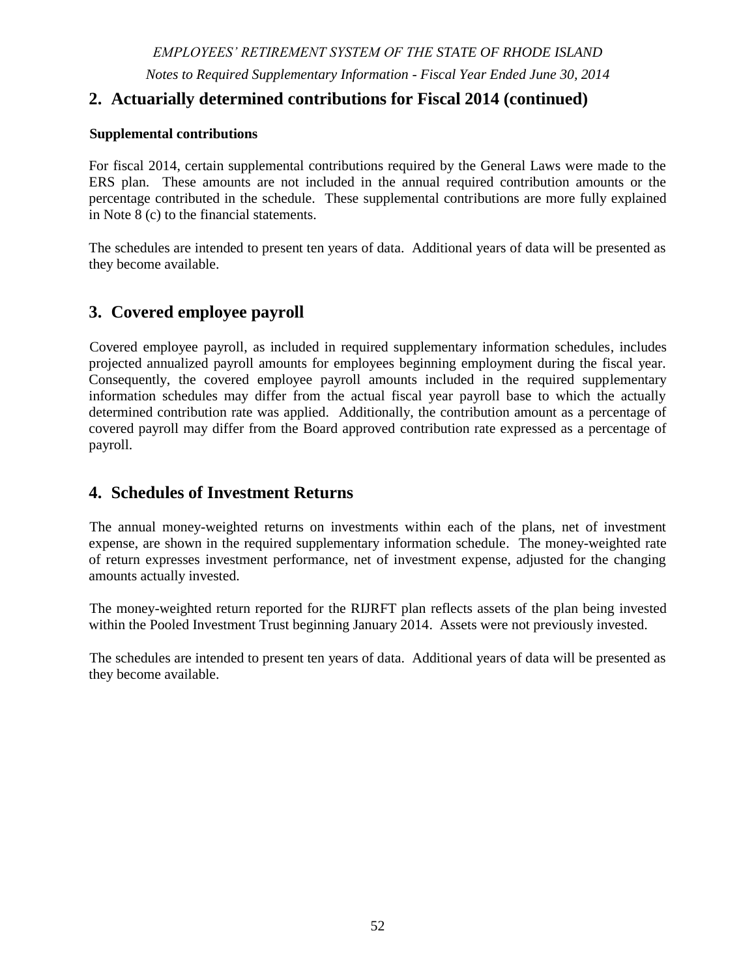# **5. Pooled Investment Trust (continued)**

#### **(h). Derivatives and Other Similar Investments**

**Forward foreign currency contract**s – The System enters into foreign currency exchange contracts to minimize the short-term impact of foreign currency fluctuations on foreign investments. A currency forward is a contractual agreement to pay or receive specific amounts of foreign currency at a future date in exchange for another currency at an agreed upon exchange rate. If not offset by a corresponding position with the opposite currency exposure, these contracts involve risk in excess of the amount reflected in the System's Statements of Fiduciary Net Position. The face or contract amount in U.S. dollars reflects the total exposure the System has in currency contracts. The U.S. dollar value of forward foreign currency contracts is determined using forward currency exchange rates supplied by a quotation service. Losses may arise due to changes in the value of the foreign currency or if the counterparty does not perform under the contract.

**Futures contract**s – The System uses futures to manage its exposure to the domestic and international equity, money market, and bond markets and the fluctuations in interest rates and currency values. Futures are also used to obtain target market exposures in a cost effective manner and to narrow the gap between the System's actual cash exposures and the target policy exposures. Using futures contracts in this fashion is designed to reduce (or hedge) the risk of the actual plan portfolio deviating from the policy portfolio more efficiently than by using cash securities. The program is only used to manage intended exposures and asset allocation rebalancing.

Buying futures tends to increase the System's exposure to the underlying instrument. Selling futures tends to decrease the System's exposure to the underlying instrument, or hedge other System investments. Losses may arise due to movements in the underlying or reference markets.

Through commingled funds, the System also indirectly holds derivative type instruments, primarily equity index futures.

The System invests in mortgage-backed securities, which are included in the categories described as collateralized mortgage obligations and U.S. Government Agency Securities in Note 5. These securities are based on the cash flows from interest and principal payments by the underlying mortgages. As a result, they are sensitive to prepayments by mortgagees, which are likely in declining interest rate environments, thereby reducing the value of these securities.

Additional information regarding interest rate risks for these investments is included in Note 5(b) *Interest Rate Risk*.

The System may sell a security in anticipation of a decline in the fair value of that security or to lessen the portfolio allocation of an asset class. Short sales may increase the risk of loss to the System when the price of a security underlying the short sale increases and the System is obligated to deliver the security in order to cover the position.

The following summarize the System's exposure to specific derivative investments at June 30, 2014.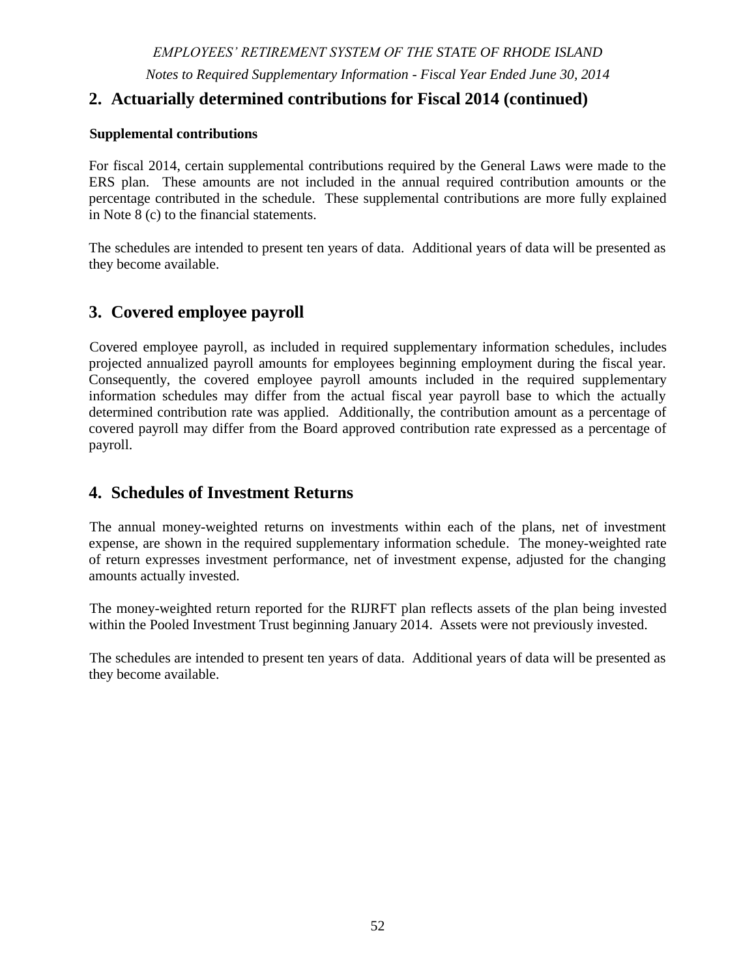# **5. Pooled Investment Trust (continued)**

#### **(h). Derivatives and Other Similar Investments**

| <b>Investment Derivative</b><br><b>Instruments</b>                 | Change in fair<br>value included in<br>investment<br>income | <b>Fair Value at</b><br>June 30, 2014 | <b>Notional</b><br>Amount |  |
|--------------------------------------------------------------------|-------------------------------------------------------------|---------------------------------------|---------------------------|--|
| Fixed income futures - long                                        | \$<br>610,060                                               | \$<br>(5,018)                         | \$48,493,266              |  |
| Index futures - long                                               | 664,231                                                     | 260,912                               | 28,129,215                |  |
| Index futures - short                                              | (736,269)                                                   | (676,249)                             | (79,324,324)              |  |
| Credit default swaps                                               | 23,650                                                      | 85,732                                | 2,990,000                 |  |
| Interest rate swaps                                                | 463,829                                                     | 456,266                               | 4,950,000                 |  |
| <b>Total</b>                                                       | \$<br>1,025,501                                             | \$<br>121,643                         |                           |  |
| Foreign Currency Forward Contracts:<br>Pending payable (liability) |                                                             | \$<br>(1,406,042)                     |                           |  |

The System is exposed to counterparty risk on foreign currency contracts that are in asset positions. The aggregate fair value of derivative instruments in asset positions at June 30, 2014 was \$113,240. This represents the maximum loss that would be recognized if all counterparties failed to perform as contracted. Risk is mitigated by using a continuous linked settlement process.

Credit Default Swaps can be used in the portfolio by the credit manager to either obtain exposure to the high yield market efficiently (i.e. by selling protection) at a similar or better price than what can be obtained in cash bonds, or to hedge the credit risk of the portfolio (i.e. buy protection). The actual swap entered into sold protection on an index to effectively and quickly gain long exposure to the high yield markets giving this new manager time to invest in individual cash bonds in line with the mandate.

Interest rate swaps can be used to manage interest rate risk and increase returns in the fixed income or term loan portion of the portfolio.

The System executes (through its investment managers) derivative instruments with various counterparties. The credit ratings of these counterparties were Baa2(Moody's) or better, one counterparty was not rated by Moody's but is rated A+ by Fitch.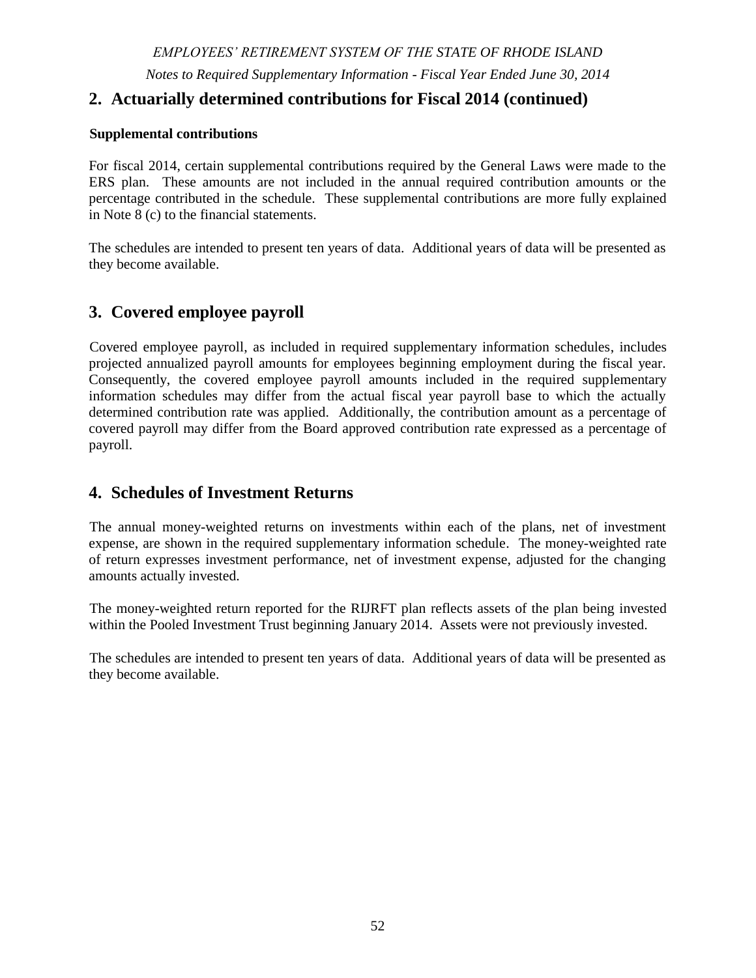# *EMPLOYEES' RETIREMENT SYSTEM OF THE STATE OF RHODE ISLAND*

*Notes to the Financial Statements - Fiscal Year Ended June 30, 2014*

# **6. Other Investments – Defined Contribution Plan**

The State Investment Commission selected various investment options for defined contribution plan participants with the overall objective of offering low-cost, strategic, and long-term oriented investment products. Plan participants can choose one or more of the various options and can change options at any time. Plan participants who do not elect a specific option default to a target date retirement fund consistent with their anticipated Social Security retirement eligibility date.

|                                                         |                   | $%$ of       | <b>Duration</b> | Weighted<br>Average<br><b>Maturity</b> |
|---------------------------------------------------------|-------------------|--------------|-----------------|----------------------------------------|
| <b>Investment Type</b>                                  | <b>Fair Value</b> | <b>Total</b> | (years)         | (days)                                 |
| <b>Annuities</b>                                        |                   |              |                 |                                        |
| <b>TIAA Stable Value</b>                                | \$<br>3,278,312   | 1.18%        |                 |                                        |
| TIAA Real Estate - variable annuity                     | 1,345,103         | 0.48%        |                 |                                        |
| <b>Total</b>                                            | \$<br>4,623,415   | $1.67\%$     |                 |                                        |
|                                                         |                   |              |                 |                                        |
| <b>Money Market</b>                                     | \$<br>305,832     |              |                 | 57                                     |
| Vanguard Prime Money Market Fund Investor Class         |                   | $0.11\%$     |                 |                                        |
| <b>Fixed Income Funds</b>                               |                   |              |                 |                                        |
| Pimco Real Return Institutional Class                   | 2,188,889         | 0.79%        | 6.78            |                                        |
| Vanguard Total Bond Market Index Signal Class           | 1,687,295         | 0.61%        | 5.62            |                                        |
| <b>Total</b>                                            | \$<br>3,876,184   | 1.40%        |                 |                                        |
|                                                         |                   |              |                 |                                        |
| <b>Target Retirement Funds</b>                          |                   |              |                 |                                        |
| Vanguard Target Retirement 2010 Trust II                | 5,428,003         | 1.96%        |                 |                                        |
| Vanguard Target Retirement 2015 Trust II                | 21,377,164        | 7.71%        |                 |                                        |
| Vanguard Target Retirement 2020 Trust II                | 38,901,889        | 14.02%       |                 |                                        |
| Vanguard Target Retirement 2025 Trust II                | 41,116,796        | 14.82%       |                 |                                        |
| Vanguard Target Retirement 2030 Trust II                | 40,833,850        | 14.72%       |                 |                                        |
| Vanguard Target Retirement 2035 Trust II                | 38,718,682        | 13.96%       |                 |                                        |
| Vanguard Target Retirement 2040 Trust II                | 30,334,855        | 10.94%       |                 |                                        |
| Vanguard Target Retirement 2045 Trust II                | 22,251,857        | 8.02%        |                 |                                        |
| Vanguard Target Retirement 2050 Trust II                | 11,826,985        | 4.26%        |                 |                                        |
| Vanguard Target Retirement 2055 Trust II                | 2,645,451         | 0.95%        |                 |                                        |
| Vanguard Target Retirement 2060 Trust II                | 280,053           | 0.10%        |                 |                                        |
| Vanguard Target Retirement Income Trust II              | 1,720,680         | 0.62%        |                 |                                        |
| <b>Total</b>                                            | \$<br>255,436,265 | 92.09%       |                 |                                        |
| <b>Equity Mutual Funds</b>                              |                   |              |                 |                                        |
| TIAA-CREF International Equity Index Fund Institutional | 1,436,678         | 0.52%        |                 |                                        |
| TIAA-CREF Social Ch Equity Institutional                | 81,930            | 0.03%        |                 |                                        |
| Vanguard 500 Index Fund Signal Class                    | 5,727,172         | 2.06%        |                 |                                        |
| Vanguard Emerging Markets Stock Index Signal Class      | 1,232,420         | 0.44%        |                 |                                        |
| Vanguard Mid-Cap Index Fund Signal Class                | 2,413,615         | 0.87%        |                 |                                        |
| Vanguard Small Cap Index Fund Signal Class              | 2,254,455         | 0.81%        |                 |                                        |
| <b>Total</b>                                            | \$<br>13,146,270  | 4.74%        |                 |                                        |
| <b>Total</b>                                            | \$<br>277,387,966 | 100%         |                 |                                        |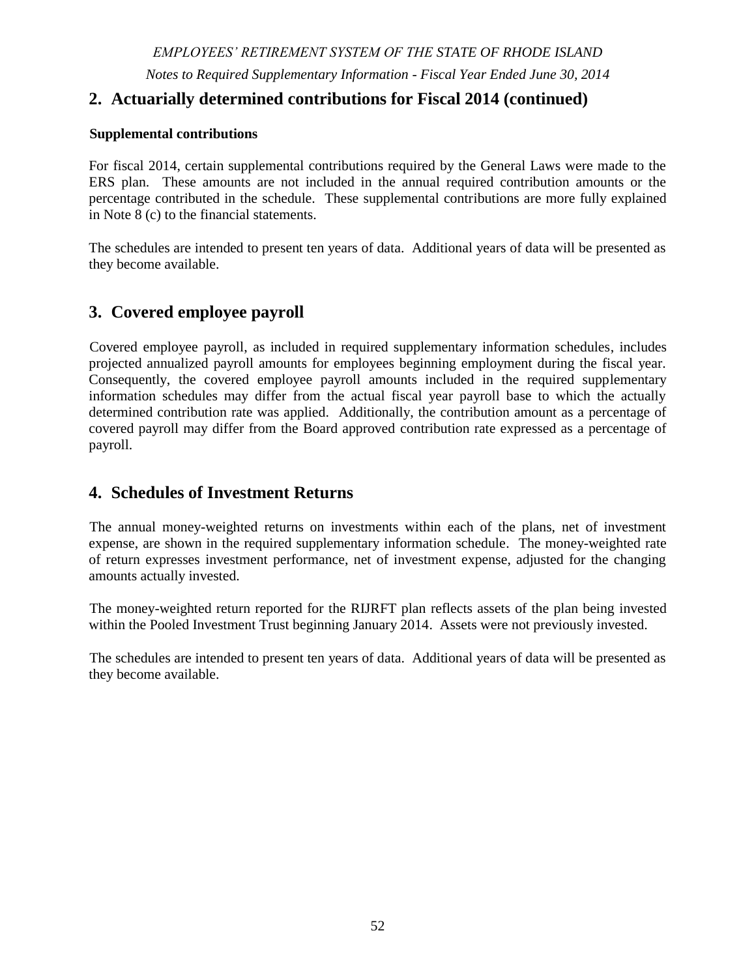# **6. Other Investments – Defined Contribution Plan (continued)**

For an investment, custodial credit risk is the risk that, in the event of the failure of the counterparty, the System will not be able to recover the value of its investment or collateral securities that are in the possession of an outside party. At June 30, 2014, all assets and securities were registered in the name of TIAA-CREF as the Defined Contribution Plan's record keeper for the benefit of plan members and were held in the possession of TIAA-CREF's custodian, J.P. Morgan Bank.

The majority of the defined contribution plan investment options are mutual funds that invest in diversified portfolios of securities including equity and fixed-income investments. For investment options that are solely fixed income, weighted-average maturity or duration have been disclosed as a measure of interest rate risk.

Fixed income mutual funds and variable annuity accounts are subject to interest rate, inflation and credit risks. Target-date retirement mutual funds share the risks associated with the types of securities held by each of the underlying funds in which they invest including equity and fixed income funds. Mutual funds may have exposure to foreign currency risk through investment in non-US denominated securities.

# **7. Property and Equipment**

Property and equipment consist of the line of business system (LOB) and computer equipment at historical cost. During fiscal year-ended June 30, 2013 the System fully depreciated its LOB and computer equipment. The systems have reached their economic life for reporting purposes, but will remain in service until they are replaced by a new system in fiscal year 2015. Under the new system development and operations contract, the vendor will supply and operate the system for the contract period. Consequently, no capital asset related to the new system will be recognized or depreciated. Instead, contract payments will be expensed ratably over the contract period commencing when the system becomes fully operational.

# **8. Contributions**

Contribution requirements for plan members and employers are established pursuant to Rhode Island General Laws. Employers are required to contribute at an actuarially determined rate for the defined benefit plans. Employer contributions for the defined contribution plan are prescribed by statute. Plan member contributions for the defined benefit and defined contribution plans are fixed by statute. Member and employer contribution rates are subject to amendment by the General Assembly.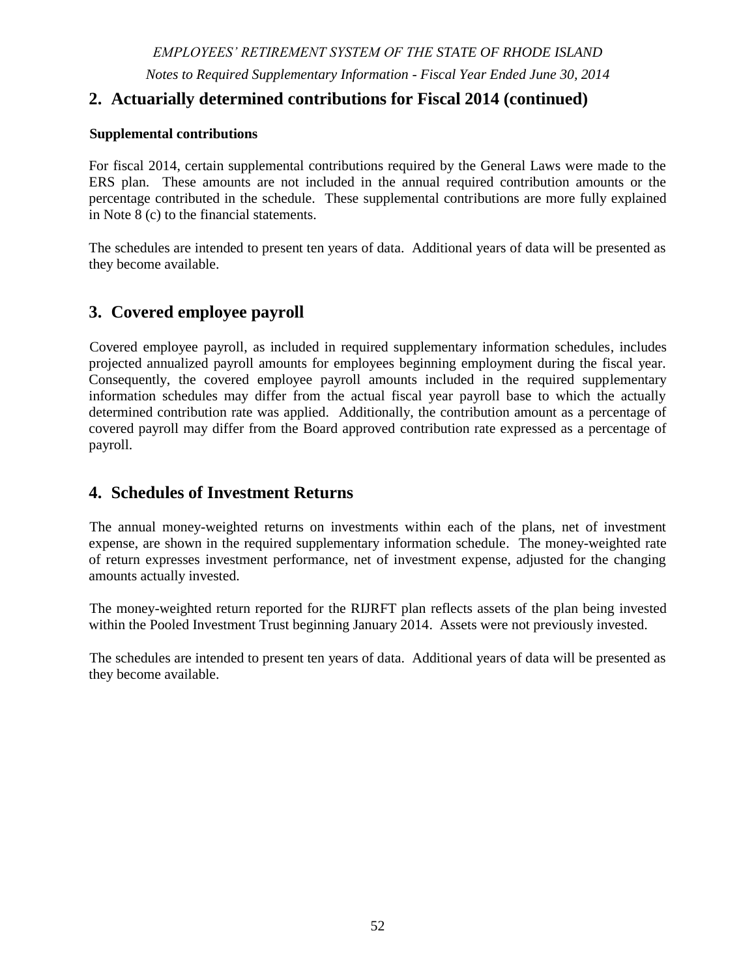# **8. Contributions (continued)**

## **(a). Funding Policy**

The funding policies, as set forth in Rhode Island General Law, Section 36-10-2 and 45-21-42 provide for actuarially determined periodic contributions to the plans. The actuarial valuation uses the Entry Age Normal actuarial cost method. Under this method, the employer contribution rate is the sum of (i) the employer normal cost rate, and (ii) a rate that will amortize the unfunded actuarial liability. The valuation is prepared on the projected benefit basis, under which the present value, at the assumed rate of return (currently 7.5 percent for all plans except the RIJRFT which utilizes a 4.0% assumed rate of return), of each participant's expected benefit payable at retirement or death is determined, based on age, service, gender and compensation.

The employer contributions required to support the benefits of the Plan are determined following a level funding approach, and consist of a normal contribution and an accrued liability contribution. The normal contribution is determined using the "entry age normal" method. Under this method, a calculation is made to determine the rate of contribution which, if applied to the compensation of each individual member during the entire period of anticipated covered service, would be required to meet the cost of all benefits payable on his behalf. This method is commonly referred to as the Individual Entry Age Actuarial Cost Method.

The unfunded actuarial accrued liability (UAAL) is amortized as a level percent of payroll over a closed period. For underfunded plans, the period is 25 years as measured from June 30, 2010, or 21 years as of the current valuation date for any existing UAAL. Beginning with the June 30, 2014 actuarial valuation, new experience gains and losses for underfunded plans are amortized over individual closed periods of 20 years using the process of "laddering". Overfunded plans will have an amortization rate calculated using a single base amortized over an open period of 20 years.

#### **(b). Contribution rates**

Employer contribution rates for fiscal 2014 for all defined benefit plans were developed based on actuarial valuations performed as of June 30, 2011 except that the employer contribution rate for RIJRFT plan members was developed based on an actuarial valuation performed as of June 30, 2012. Employee contribution rates are statutorily determined.

Rhode Island Judicial Retirement Fund Trust plan is not currently advance funded. Employees make contributions to the plan; however, there are no employer contributions. This plan is for a closed group of individuals and the amortization payment has been calculated based on leveldollar amortization over 16-years from June 30, 2012.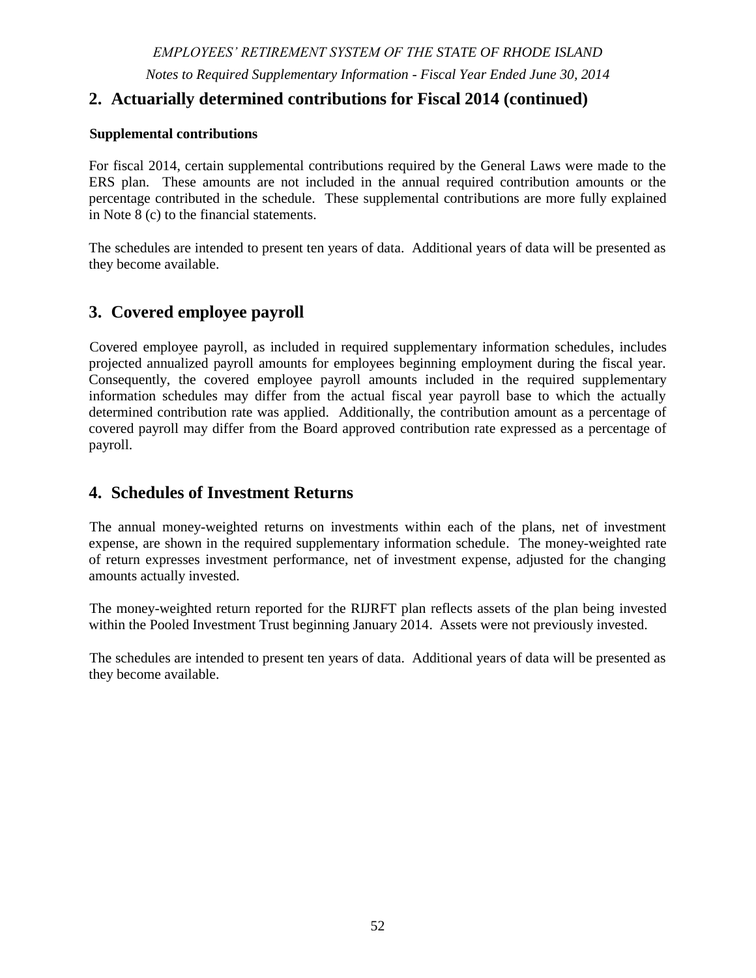# *EMPLOYEES' RETIREMENT SYSTEM OF THE STATE OF RHODE ISLAND*

*Notes to the Financial Statements - Fiscal Year Ended June 30, 2014*

# **8. Contributions (continued)**

#### **(b). Contribution rates**

The table below displays the contribution rates for the year ended June 30, 2014:

| Plan                                                                                                         | <b>Employee</b>                                                                                                 | <b>Employer</b>                               |  |  |  |  |  |
|--------------------------------------------------------------------------------------------------------------|-----------------------------------------------------------------------------------------------------------------|-----------------------------------------------|--|--|--|--|--|
| <b>ERS</b>                                                                                                   |                                                                                                                 |                                               |  |  |  |  |  |
| <b>State Employees</b>                                                                                       | 3.75%                                                                                                           | 23.05%                                        |  |  |  |  |  |
|                                                                                                              |                                                                                                                 |                                               |  |  |  |  |  |
| Teachers                                                                                                     |                                                                                                                 |                                               |  |  |  |  |  |
| Municipal funded                                                                                             | 3.75%                                                                                                           | 12.26% (11.68% for towns not participating    |  |  |  |  |  |
|                                                                                                              |                                                                                                                 | in the 1990 early retirement incentive)       |  |  |  |  |  |
|                                                                                                              |                                                                                                                 |                                               |  |  |  |  |  |
| State funded                                                                                                 |                                                                                                                 | 8.42% (8.03% for towns not participating in   |  |  |  |  |  |
|                                                                                                              |                                                                                                                 | the 1990 early retirement incentive)          |  |  |  |  |  |
| <b>TSB</b>                                                                                                   | 1% of the members annual salary up to                                                                           | 1% of the members annual salary up to but     |  |  |  |  |  |
|                                                                                                              | but not exceeding \$9,600                                                                                       | not exceeding \$9,600                         |  |  |  |  |  |
| <b>MERS</b>                                                                                                  |                                                                                                                 |                                               |  |  |  |  |  |
| <b>General Employees</b>                                                                                     | 1.00% (additional 1% with a cost-of-                                                                            | 68 Municipalities, housing authorities, water |  |  |  |  |  |
|                                                                                                              | living adjustment)                                                                                              | and sewer districts contributed various       |  |  |  |  |  |
|                                                                                                              |                                                                                                                 | actuarially determined rates.                 |  |  |  |  |  |
| <b>Public Safety</b>                                                                                         | 7.00% (additional 1% with a cost-of-                                                                            | 45 Municipal police and fire departments      |  |  |  |  |  |
|                                                                                                              | living adjustment)                                                                                              | contributed various actuarially determined    |  |  |  |  |  |
|                                                                                                              |                                                                                                                 | rates.                                        |  |  |  |  |  |
| <b>SPRBT</b>                                                                                                 | 8.75%                                                                                                           | 14.45%                                        |  |  |  |  |  |
| <b>JRBT</b>                                                                                                  | 12.00% (8.75% supreme court judges)                                                                             | 27.28%                                        |  |  |  |  |  |
| <b>RIJRFT</b>                                                                                                | 12.00% (8.75% supreme court judges)                                                                             | $$1,695,434$ (note 1)                         |  |  |  |  |  |
|                                                                                                              | Eligible state employees and teachers                                                                           |                                               |  |  |  |  |  |
|                                                                                                              | participating in social security $-5\%$                                                                         | 1%                                            |  |  |  |  |  |
| <b>Defined</b>                                                                                               |                                                                                                                 |                                               |  |  |  |  |  |
| <b>Contribution</b>                                                                                          | Teachers and MERS general employees                                                                             |                                               |  |  |  |  |  |
| Plan                                                                                                         | not covered by social security $-7\%$                                                                           | 3%                                            |  |  |  |  |  |
|                                                                                                              |                                                                                                                 |                                               |  |  |  |  |  |
|                                                                                                              | MERS police and fire employees not                                                                              |                                               |  |  |  |  |  |
|                                                                                                              | covered by social security $-3\%$                                                                               | 3%                                            |  |  |  |  |  |
|                                                                                                              | Note 1 - The State of Rhode Island is not currently funding this plan on an advance funding basis - an employer |                                               |  |  |  |  |  |
| contribution has been actuarially determined; however, no employer contributions have been made to the plan. |                                                                                                                 |                                               |  |  |  |  |  |

#### **(c). Supplemental Contributions**

The General Laws (Section  $36-10-2(a)$  1 and 2) also require, in addition to the contributions provided for by the funding policy, for each fiscal year in which the actuarially determined state contribution rate for state employees and teachers is lower than that for the prior fiscal year, the governor shall include an appropriation to that system equivalent to twenty percent (20%) of the rate reduction to be applied to the actuarial accrued liability. The amounts to be appropriated shall be included in the annual appropriation bill and shall be paid by the general treasurer into the retirement system. The retirement system's actuary shall not adjust the computation of the annual required contribution for the year in which supplemental contributions are received; such contributions once made may be treated as reducing the actuarial liability remaining for amortization in the next following actuarial valuation to be performed. For fiscal 2014, there were no monies contributed to the System in accordance with this provision of the General Laws.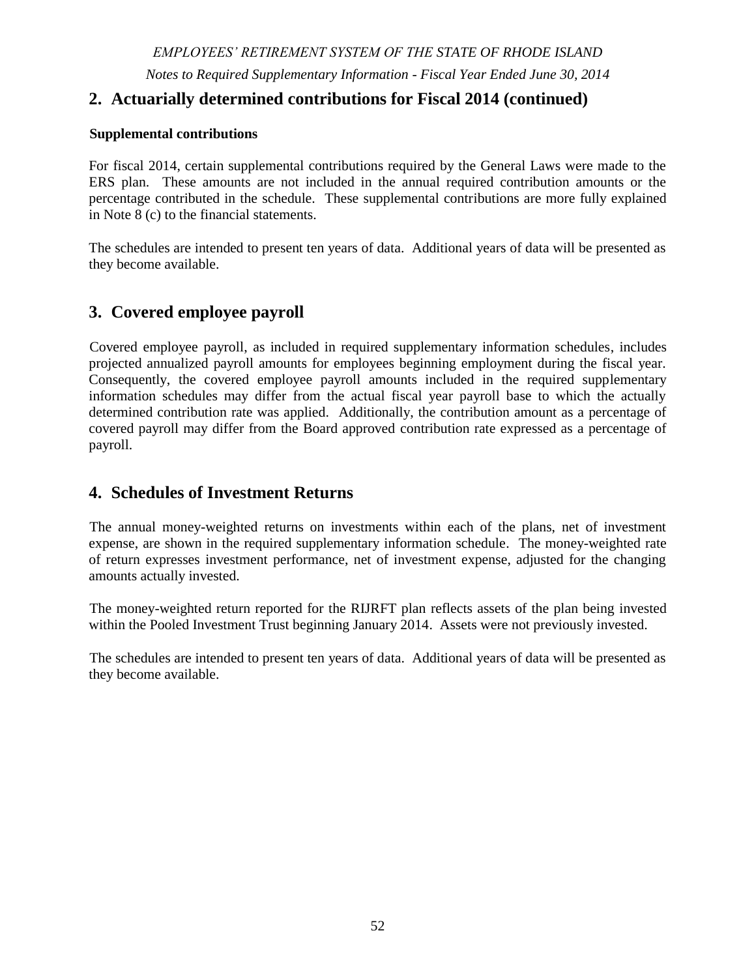*EMPLOYEES' RETIREMENT SYSTEM OF THE STATE OF RHODE ISLAND*

*Notes to the Financial Statements - Fiscal Year Ended June 30, 2014*

# **8. Contributions (continued)**

The General Laws also require that for any fiscal year in which the State's actual general revenues exceed estimated amounts, the difference shall be paid to the ERS plan upon completion and release of the State's audited financial statements. The amount paid to the System in fiscal 2014 related to the State's fiscal 2013 actual general revenues exceeding budgeted amounts by \$168,605.

The Retirement Security Act provides for additional contributions to the System based on 5.5% of the value of contracts where the services performed by the contractor were previously performed by state employees. A supplemental contribution of \$414,958 was paid to the System pursuant to Section 42-149-3.1 of the General Laws.

# **9. Net Pension Liability (Asset) of the Participating Employers**

The components of the net pension liability of the employers participating in the various plans of the System at June 30, 2014 were as follows:

|                                         |                  | <b>ERS</b>      |                     |                     |             | <b>RIJRFT</b> | <b>MERS</b>      |               |
|-----------------------------------------|------------------|-----------------|---------------------|---------------------|-------------|---------------|------------------|---------------|
|                                         | <b>State</b>     |                 | <b>TSB</b>          | <b>State Police</b> | <b>JRBT</b> |               | General          |               |
|                                         | <b>Employees</b> | <b>Teachers</b> |                     |                     |             |               | employees        | Police & Fire |
| Fiscal year ended June 30, 2014         |                  |                 |                     |                     |             |               |                  |               |
|                                         |                  |                 |                     |                     |             |               |                  |               |
| <b>Total pension liability</b>          | \$4,302,186,206  | \$6,309,901,411 | \$169,601,073       | \$113,017,758       | 59.933.761  | \$17,505,869  | \$1,083,524,263  | \$526,361,185 |
| <b>Plan Fiduciary net position</b>      | 2.520.281.249    | 3.875.901.033   | 293.921.803         | 109,678,381         | 56,172,243  | 318,023       | 947.202.644      | 446,542,303   |
| <b>Employers' Net Pension Liability</b> | \$1,781,904,957  | \$2,434,000,378 | $$(124.320.730)$ \; | 3,339,377           | 3.761.518   | \$17,187,846  | 136,321,619<br>S | 79,818,882    |
|                                         |                  |                 |                     |                     |             |               |                  |               |
| <b>Plan Fiduciary Net Position as a</b> |                  |                 |                     |                     |             |               |                  |               |
| percentage of total pension liability   | 58.6%            | 61.4%           | 173.3%              | 97.0%               | 93.7%       | 1.8%          | 87.4%            | 84.8%         |
|                                         |                  |                 |                     |                     |             |               |                  |               |

#### **a. Actuarial assumptions**

The total pension liability was determined by actuarial valuations performed as of June 30, 2013 and rolled forward to June 30, 2014, using the following actuarial assumptions, applied to all periods included in the measurement.

The actuarial assumptions used in the June 30, 2013 valuations and the calculation of the total pension liability at June 30, 2014 were consistent with the results of an actuarial experience study performed as of June 30, 2013.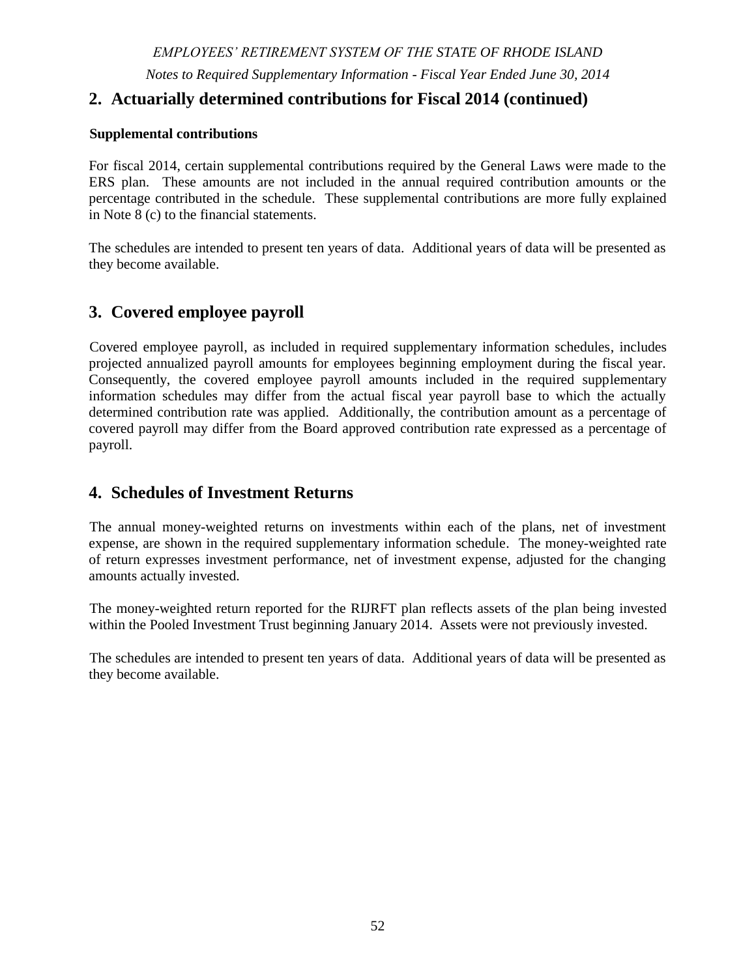*Notes to the Financial Statements - Fiscal Year Ended June 30, 2014*

# **9. Net Pension Liability (Asset) of the Participating Employers (continued)**

# **a. Actuarial assumptions**

|                                                                                  | <b>ERS</b>                                                                                                                                                                                                                                                                                                                                                                                                                                                                                                                                                                                                                                                                                |                                                                                                                                                                                                                                                                                                                                                                                                                                                                                                                                                     | <b>MERS</b>                                                                                              | <b>SPRBT</b>          | <b>JRBT</b> | <b>RIJRFT</b> | <b>TSB</b>                                                        |  |  |  |  |
|----------------------------------------------------------------------------------|-------------------------------------------------------------------------------------------------------------------------------------------------------------------------------------------------------------------------------------------------------------------------------------------------------------------------------------------------------------------------------------------------------------------------------------------------------------------------------------------------------------------------------------------------------------------------------------------------------------------------------------------------------------------------------------------|-----------------------------------------------------------------------------------------------------------------------------------------------------------------------------------------------------------------------------------------------------------------------------------------------------------------------------------------------------------------------------------------------------------------------------------------------------------------------------------------------------------------------------------------------------|----------------------------------------------------------------------------------------------------------|-----------------------|-------------|---------------|-------------------------------------------------------------------|--|--|--|--|
|                                                                                  | <b>State Employees</b>                                                                                                                                                                                                                                                                                                                                                                                                                                                                                                                                                                                                                                                                    | <b>Teachers</b>                                                                                                                                                                                                                                                                                                                                                                                                                                                                                                                                     |                                                                                                          |                       |             |               |                                                                   |  |  |  |  |
| <b>Actuarial Cost</b><br>Method                                                  | Entry Age Normal - the Individual Entry Age Actuarial Cost methodology is used.                                                                                                                                                                                                                                                                                                                                                                                                                                                                                                                                                                                                           |                                                                                                                                                                                                                                                                                                                                                                                                                                                                                                                                                     |                                                                                                          |                       |             |               |                                                                   |  |  |  |  |
| Amortization<br>Method                                                           | Level Percent of Payroll – Closed<br>Level<br>Dollar                                                                                                                                                                                                                                                                                                                                                                                                                                                                                                                                                                                                                                      |                                                                                                                                                                                                                                                                                                                                                                                                                                                                                                                                                     |                                                                                                          |                       |             |               |                                                                   |  |  |  |  |
| Equivalent<br><b>Single</b><br><b>Remaining</b><br><b>Amortization</b><br>Period | 21 years at June 30, 2014<br>Not<br>applicable                                                                                                                                                                                                                                                                                                                                                                                                                                                                                                                                                                                                                                            |                                                                                                                                                                                                                                                                                                                                                                                                                                                                                                                                                     |                                                                                                          |                       |             |               |                                                                   |  |  |  |  |
| <b>Actuarial Assumptions</b>                                                     |                                                                                                                                                                                                                                                                                                                                                                                                                                                                                                                                                                                                                                                                                           |                                                                                                                                                                                                                                                                                                                                                                                                                                                                                                                                                     |                                                                                                          |                       |             |               |                                                                   |  |  |  |  |
| <b>Investment Rate</b><br>of Return                                              | 7.50%                                                                                                                                                                                                                                                                                                                                                                                                                                                                                                                                                                                                                                                                                     | 7.50%                                                                                                                                                                                                                                                                                                                                                                                                                                                                                                                                               | 7.50%                                                                                                    | 7.50%                 | 7.50%       | 4.29%         | 7.50%                                                             |  |  |  |  |
| Projected<br><b>Salary</b><br><b>Increases</b><br><b>Mortality</b>               | 3.50%<br>to<br>6.50%<br>$\bullet$<br>$\bullet$                                                                                                                                                                                                                                                                                                                                                                                                                                                                                                                                                                                                                                            | 3.50%<br>to<br>13.5%<br>Male Employees, MERS General and MERS P&F: 115% of RP-2000 Combined Healthy for Males<br>with White Collar adjustments, projected with Scale AA from 2000.<br>Female Employees, MERS General and MERS P&F: 95% of RP-2000 Combined Healthy for<br>Females with White Collar adjustments, projected with Scale AA from 2000.<br>Male and female<br>teachers: 97%<br>and 92%,<br>respectively of<br>rates in a GRS<br>table based on<br>male and female<br>teacher<br>experience,<br>projected with<br>Scale AA from<br>2000. | General<br><b>Employees</b><br>3.50% to 7.50%<br>Police & Fire<br><b>Employees</b><br>4.00% to<br>14.00% | 3.75%<br>to<br>11.75% | 3.50%       | 3.50%         | 3.50%<br>to<br>13.50%<br>Mortality<br>the same as<br>for teachers |  |  |  |  |
| Inflation                                                                        |                                                                                                                                                                                                                                                                                                                                                                                                                                                                                                                                                                                                                                                                                           |                                                                                                                                                                                                                                                                                                                                                                                                                                                                                                                                                     |                                                                                                          | 2.75%                 |             |               |                                                                   |  |  |  |  |
| retirement.                                                                      | Cost of Living Adjustments: COLA is equal to the average five-year fund asset performance (percent) greater than 5.5% up to a maximum of 4% - the<br>COLA is to be applied to the first \$25,000 of benefits, indexed over time. COLA is delayed until the latter of Social Security eligibility age or 3<br>years after retirement except for State Police and MERS Police and Fire for which the COLA is delayed until the later of age 55 or 3 years after<br>For the MERS plan, a 2% COLA is assumed after January 1, 2014. For all other plans, a COLA of 2% is assumed only every five years until the<br>plans achieve an 80% collective funded status in accordance with the law. |                                                                                                                                                                                                                                                                                                                                                                                                                                                                                                                                                     |                                                                                                          |                       |             |               |                                                                   |  |  |  |  |

For the TSB plan, a 2.75% COLA is assumed.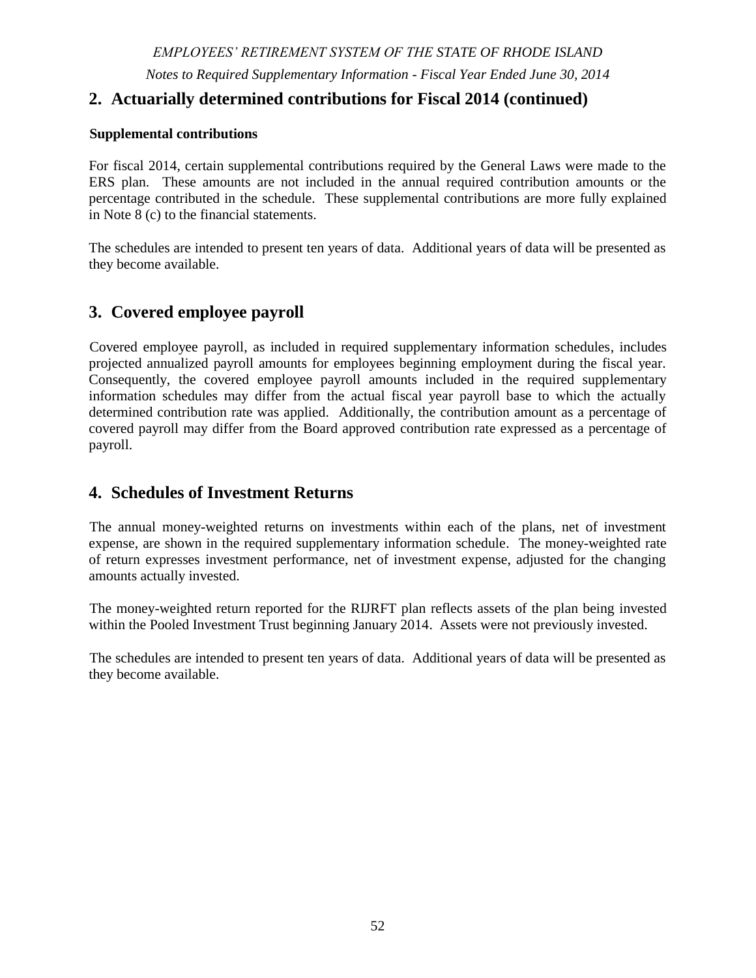# **9. Net Pension Liability (Asset) of the Participating Employers (continued)**

#### **a. Actuarial assumptions**

The long-term expected rate of return best-estimate on pension plan investments was determined by the actuary using a building-block method. The actuary started by calculating best-estimate future expected real rates of return (expected returns net of pension plan investment expense and inflation) for each major asset class, based on forward-looking medium-term (10 year) capital market return assumptions developed by eight investment consulting firms. The June 30, 2014 expected arithmetic returns over the medium term by asset class as developed by the State Investment Commission's investment consultant, which are generally consistent with the averages utilized by the actuary, are summarized in the following table:

|                             | <b>Medium-Term Expected</b> |
|-----------------------------|-----------------------------|
| <b>Asset Class</b>          | <b>Real Rate of Return</b>  |
| <b>Global Equity</b>        | 6.05%                       |
| Private Equity              | 9.05%                       |
| <b>Equity Hedge Funds</b>   | 4.75%                       |
| Absolute Return Hedge Funds | 2.95%                       |
| <b>Real Return</b>          | 3.85%                       |
| <b>Real Estate</b>          | 4.45%                       |
| Core Fixed                  | 0.25%                       |
| Cash                        | $-0.50\%$                   |

These return assumptions are then weighted by the target asset allocation percentage, factoring in correlation effects, to develop the overall medium-term expected rate of return best-estimate on an arithmetic basis. To arrive at the long-term expected return estimate, the actuary adjusts the medium-term number to reflect the longer 30-year time frame required for actuarial calculations. This process produces the actuarial expected return, which is based on a 30-year horizon, and can differ from the medium-term, 10-year-horizon return expectations.

#### **b. Discount rate**

The discount rate used to measure the total pension liability of the plans was 7.5 percent for all but the RIJRFT plan. The projection of cash flows used to determine the discount rate assumed that contributions from plan members will be made at the current contribution rate and that contributions from the employers will be made at statutorily required rates, actuarially determined. Based on those assumptions, the pension plan's fiduciary net position was projected to be available to make all projected future benefit payments of current plan members. Therefore, the long-term expected rate of return on pension plan investments was applied to all periods of projected benefit payments to determine the total pension liability.

For the RIJRFT plan, the State has not opted to make actuarially determined employer contributions and based on those assumptions, the pension plan's fiduciary net position was not projected to be available to make all projected future benefit payments of current plan members. Consequently, for the RIJRFT plan, the municipal bond index rate, based on the 20-year Bond Buyer GO Index, (4.29% and 4.63% at June 30, 2014 and June 30, 2013, respectively) was applied to all periods of projected benefit payments to determine the total pension liability.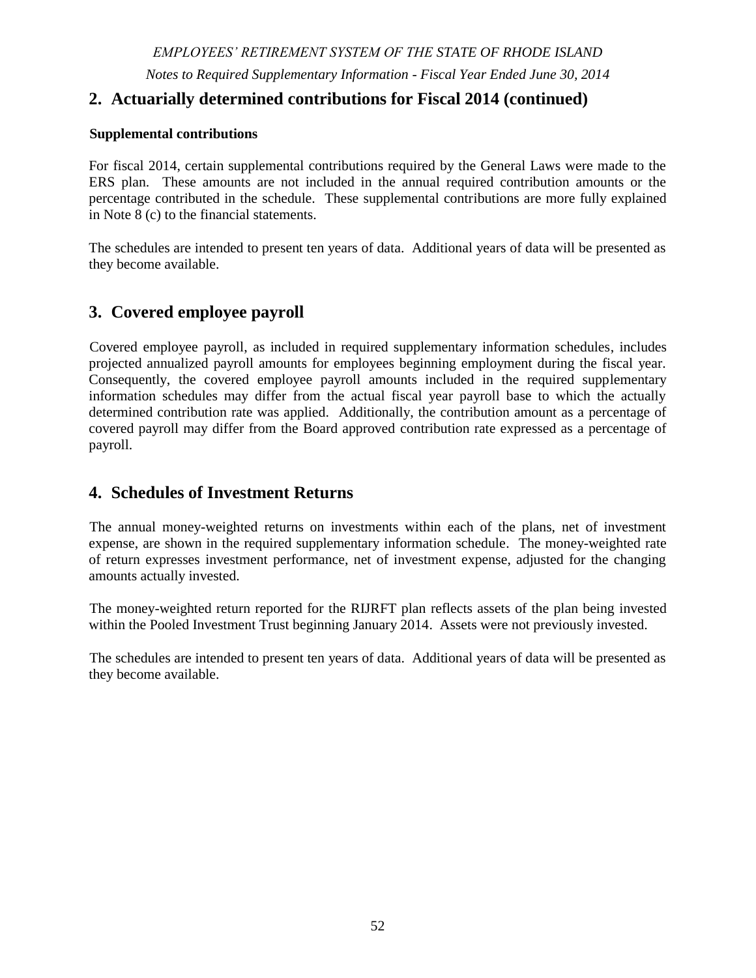# **9. Net Pension Liability (Asset) of the Participating Employers (continued)**

#### **c. Sensitivity of the net pension liability (asset) to changes in the discount rate**

The following presents the net pension liability (asset) of the employers calculated using the discount rate of 7.5 percent (for all plans except the RIJRFT), as well as what the employers' net pension liability (asset) would be if it were calculated using a discount rate that is 1-percentagepoint lower or 1-percentage-point higher than the current rate. The RIJRFT plan's fiduciary net position was not projected to be available to make all projected future benefit payments of current plan members and consequently the municipal bond index rate of 4.29% at June 30, 2014 was used in the determination of the net pension liability for that plan with a similar  $+1/-1$  % sensitivity analysis.

|                                 |               | 1.00% Decrease<br>$(6.50\%)$ |              | Current<br><b>Discount Rate</b><br>$(7.5\%)$                      | 1.00% Increase<br>$(8.50\%)$ |               |
|---------------------------------|---------------|------------------------------|--------------|-------------------------------------------------------------------|------------------------------|---------------|
| <b>ERS</b> - State employees    | $\mathcal{S}$ | 2,200,811,036                | \$           | 1,781,904,957                                                     | \$                           | 1,354,409,975 |
| <b>ERS</b> - Teachers           | \$            | 3,048,284,669                | \$           | 2,434,000,378                                                     | \$                           | 1,807,111,545 |
| <b>TSB</b>                      | \$            | (106, 541, 085)              | \$           | (124,320,730)                                                     | \$                           | (142,097,813) |
| <b>SPRBT</b>                    | \$            | 13,684,330                   | \$           | 3,339,377                                                         | \$                           | (7,214,487)   |
| <b>JRBT</b>                     | \$            | 9,317,070                    | \$           | 3,761,518                                                         | \$                           | (1,905,894)   |
| <b>MERS</b> - General Employees | \$            | 240, 247, 377                | \$           | 136,321,619                                                       | \$                           | 30,270,160    |
| <b>MERS</b> - Police and Fire   | \$            | 129,356,048                  | $\mathbb{S}$ | 79,818,882                                                        | \$                           | 29,273,349    |
|                                 |               | 1.00% Decrease<br>$(3.29\%)$ |              | <b>Municipal Bond</b><br><b>Index Discount Rate</b><br>$(4.29\%)$ | 1.00% Increase<br>$(5.29\%)$ |               |
| <b>RIJRFT</b>                   | \$            | 19,777,010                   | \$           | 17,187,846                                                        | \$                           | 16, 187, 873  |

# **10. Administrative Expenses**

Pursuant to General Law section 36-8-10.1, administrative costs of the System are financed through investment earnings up to a maximum of 0.175% of the average total investments before lending activities as reported in the annual report of the Auditor General for the next preceding five (5) fiscal years. Such amounts are transferred to a restricted receipt account within the State's general fund. Any unencumbered funds on June 30 of any fiscal year are credited to the plans in the same proportion as their contributions to the restricted receipt account.

Administrative expenses of the System, financed as described in the preceding paragraph, include \$1,053,538 of expenses within the Office of General Treasurer related to oversight of the System's investment portfolio. Consistent with generally accepted accounting principles, these expenses have been included with investment expenses on the accompanying financial statements.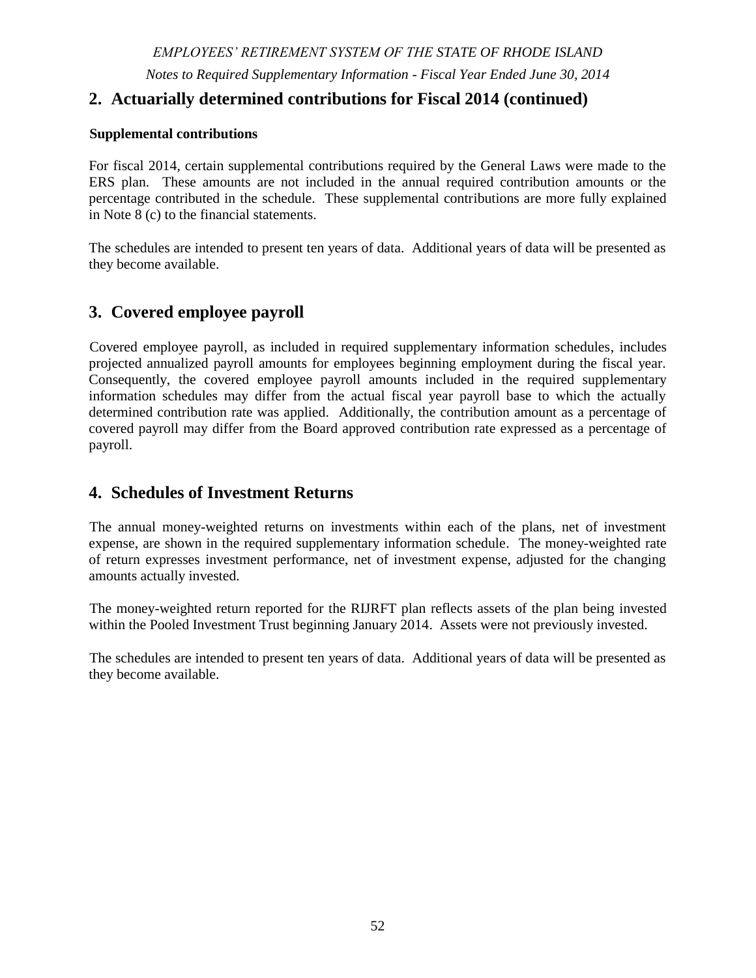# **10. Administrative Expenses (continued)**

For fiscal year 2014, the administrative costs of the defined contribution plan were financed solely by participant fees. Fees paid to TIAA-CREF via participant fees for fiscal year ended June 30, 2014 were \$1,257,210. From these participant fees, \$251,358 was transferred to the State of Rhode Island to fund the fiscal 2014 operating expenses of the Office of the General Treasurer related to the administration of the defined contribution plan.

# **11. Commitments**

The State Investment Commission has committed to fund certain private equity and real estate investment managers at a predetermined subscription amount. Outstanding unfunded investment commitments at June 30, 2014 totaled \$461 million. These commitments will be funded through cash available within the pooled investment trust generated through investment income and/or liquidation of other investments.

The system's investments in hedge funds are generally subject to "lock-up" provisions that limit (subject to certain exceptions) the ability to withdraw amounts previously invested for a period of one to three years after the initial investment. At June 30, 2014, investments totaling \$175,478,062 are subject to these withdrawal limitation provisions. In addition, assets totaling \$967,109 are held in Indus Asia Pacific Distribution Holding Company II, Ltd., a vehicle managing the liquidation of investments held in private securities. Cash will be distributed as investments are sold. The remainder of hedge fund assets are available for redemption either on a month end or quarter end basis, and are subject to notice periods which vary by fund and range from 2 days to 90 days.

The System is committed under a ten-year development and operating agreement to design, transition, and implement new line-of-business, general ledger accounting system, and payroll administration systems. The contract requires monthly payments through fiscal 2022. Total payments over the contract period are estimated at \$22 million.

# **12. Postemployment Healthcare Plan**

*Plan Description -* The System contributes to the State Employees' defined benefit postemployment health care plan, a cost sharing multiple employer plan administered though the Rhode Island State Employees' and Electing Teachers OPEB System (OPEB System). The State of Rhode Island OPEB Board (Board) was authorized, created and established under Chapter 36-12.1 of the RI General Laws. The Board was established to independently hold and administer, in trust, the funds of the OPEB system. The plan provides medical benefits to certain retired employees of participating employers included in the System.

Pursuant to legislation enacted by the General Assembly, a trust was established to accumulate assets and pay benefits and other costs associated with the OPEB system.

The OPEB system issues a stand-alone, publicly available financial report that includes the financial statements and required supplementary information. A copy of the report can be obtained from the Office of Accounts and Control, One Capitol Hill, Providence, RI 02903.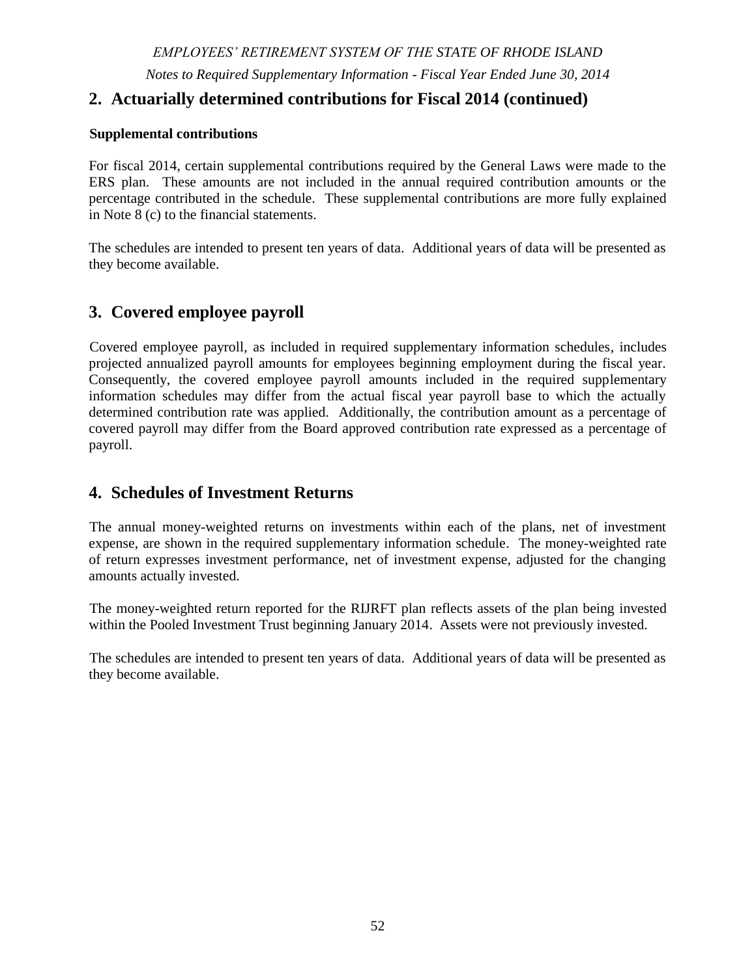# **12. Postemployment Healthcare Plan (continued)**

*Funding Policy - RIGL* Sections 36-12.1, 36-12-2.2, and 36-12-4 govern the provisions of the OPEB system. The contribution requirements of plan members, the State, and other participating employers are established and may be amended by the General Assembly. Active employees make no contribution to the OPEB plan. Employees who retired after October 1, 2008 must contribute 20% of the annual estimated benefit cost (working rate) or annual premium for Medicare supplemental coverage. Employees retiring before October 1, 2008 have varying co-pay percentages ranging from 0% to 50% based on age and years of service at retirement. Further information about the contributions of plan members can be found in the financial report of the OPEB system.

All participating employers are required by law to fund the actuarially determined annual required contribution (ARC), which for fiscal year 2014 was 7.07% of covered payroll. The ARC represents a level of funding that, if paid on an ongoing basis, is projected to cover normal costs each year and amortize any unfunded actuarial liabilities (or funding excess) over a period not to exceed thirty years. The System's contribution to the plan for the years ended June 30, 2014, 2013 and 2012 were \$238,280, \$204,957, and \$183,867 respectively, which represents 100% of the annual required contributions.

# **13. Contingencies**

**Central Coventry Fire District -** The Central Coventry Fire District (CCFD), a participating employer in the MERS agent employer pension plan, was under the control of State appointed receiver. The System is an interested party and creditor of CCFD and had filed proof of claim for contributions owed to the System. The System had represented to the Superior Court that, in the event of CCFD's withdrawal from MERS in connection with a potential closure and liquidation of the CCFD, the district would be responsible for having total funds on deposit equal to the actuarial value of retirement and disability allowances in force, the vested rights of employees who have not yet retired and an amount equal to the accumulated contributions of those employees who have not acquired vested rights. CCFD does not have such an amount on deposit which is estimated at approximately \$5.6 million.

The Superior Court has returned, at the State's request, control of the CCFD to a local governing board. Employee contributions are current as of October 31, 2015; employer contributions receivable as of June 30, 2014 totaled \$438,219 and remain outstanding.

# **14. Subsequent event**

Subsequent to June 30, 2014, litigation challenging the various pension reform measures enacted in previous years by the General Assembly (2009, 2010, and 2011) was settled. The final settlement approved by the Court on July 8, 2015 also included enactment of the pension settlement provisions by the General Assembly.

The amended benefit provisions in the newly enacted legislation and settlement agreement have not been reflected in the determination of the net pension liability at June 30, 2014 (the measurement date). These amended benefit provisions are summarized below: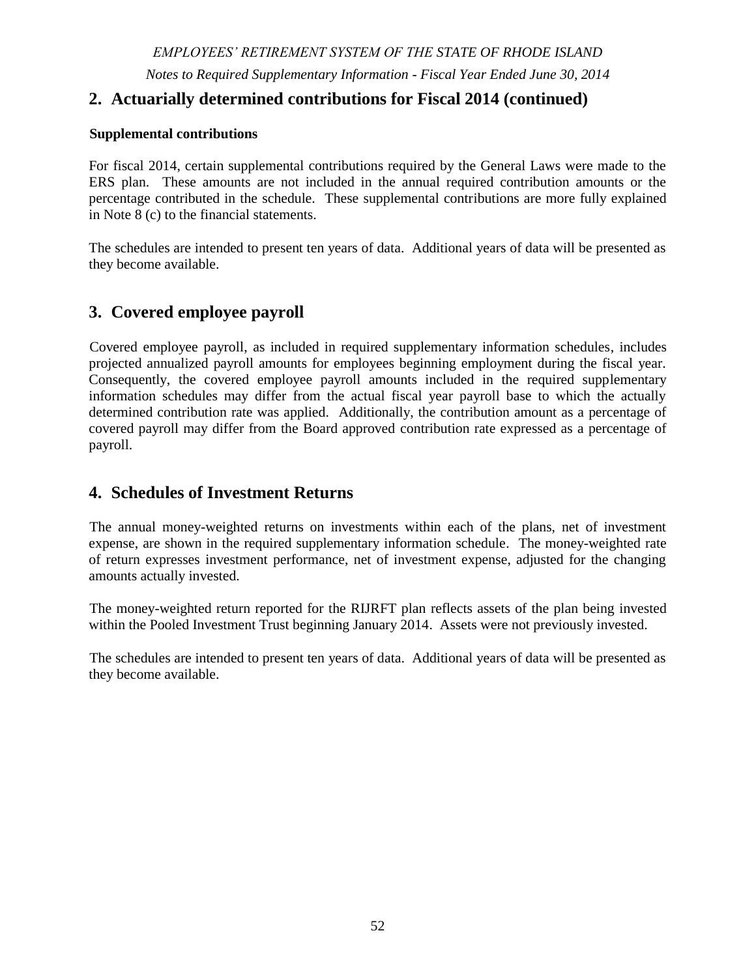# **14. Subsequent event (continued)**

- Employees with more than 20 years of service at July 1, 2012 will increase their employee contribution rate from 3.75% to 11% and participate solely in the defined benefit plan going forward – service credit accruals will increase from 1% to 2% per year.
- Employees with more than 10 but less than 20 years of service at July 1, 2012 will receive an increased employer contribution to the defined contribution plan.
- Retirees as of June 30, 2015 will receive two \$500 stipends; the interim cost of living increases will occur at 4 year rather than 5 year intervals.
- Minor adjustments were made to the actuarial reduction for employees choosing to retire early.

These amendments are not considered to have a material effect on the net pension liability had they been retroactively applied to the calculation of the total pension liability at June 30, 2013 rolled forward to June 30, 2014.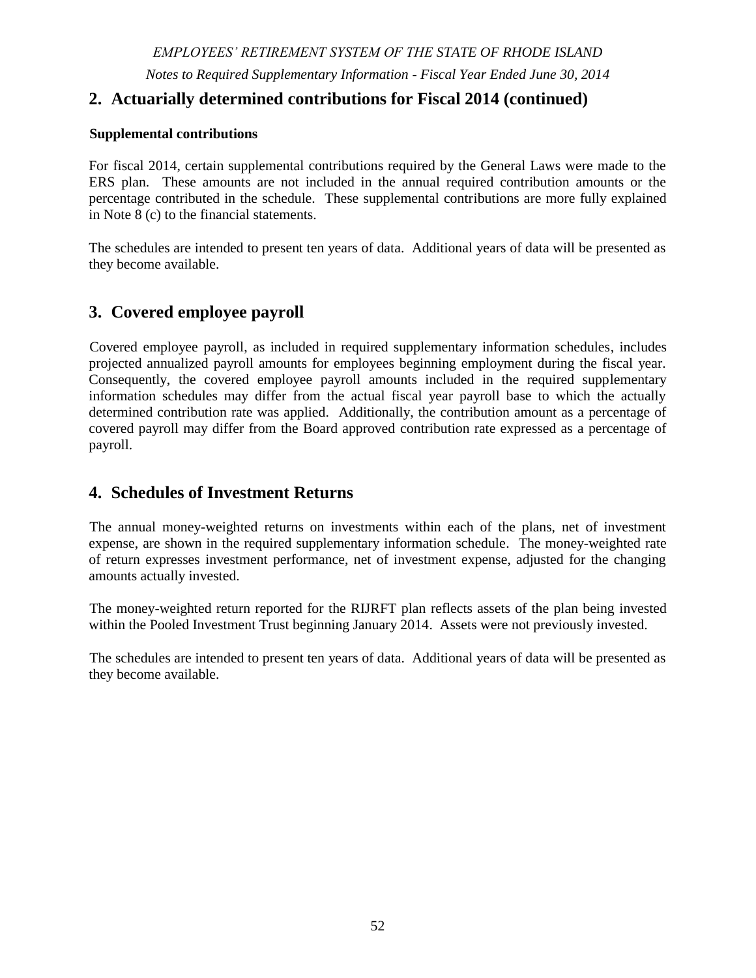# EMPLOYEES' RETIREMENT SYSTEM OF RHODE ISLAND

# **Required Supplementary Information**

**Schedules of Changes in the Participating Employers' Net Pension Liability (Asset)**

**Schedules of Participating Employers' Net Pension Liability (Asset)**

**Schedules of Investment Returns**

**Schedules of Employer and Other Nonemployer Contributing Entity Contributions**

**Notes to Required Supplementary Information**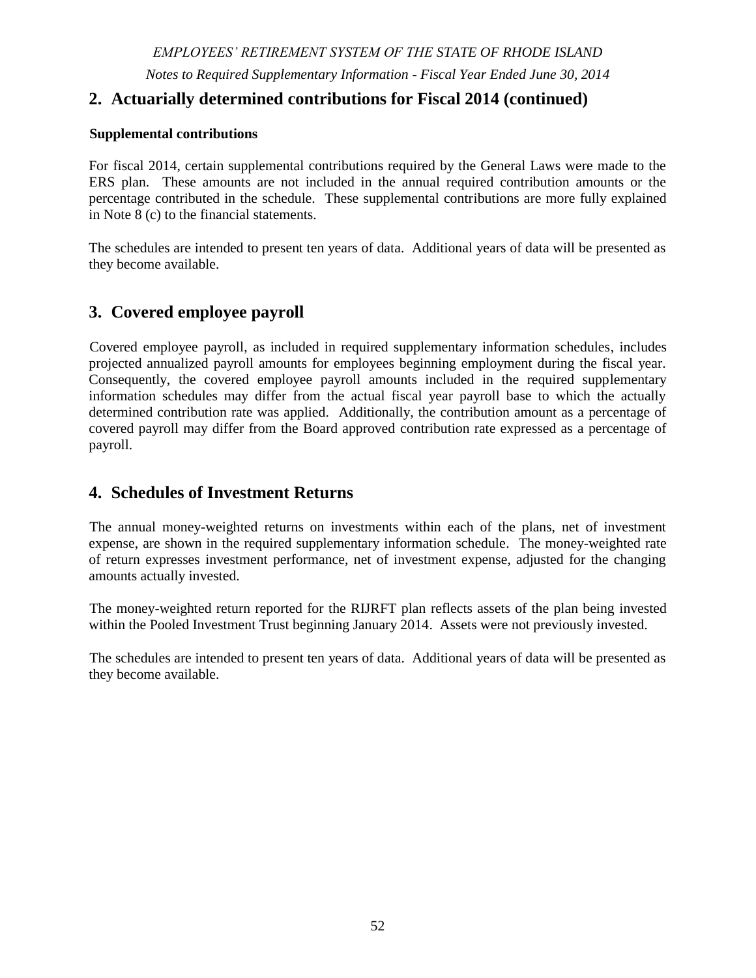*EMPLOYEES' RETIREMENT SYSTEM OF THE STATE OF RHODE ISLAND Notes to Required Supplementary Information - Fiscal Year Ended June 30, 2014*

# **1. Actuarial methods and assumptions used to calculate the net pension liability (asset) of the participating employers.**

The actuarial methods and assumptions used to calculate the net pension liability (asset) of the participating employers are described in Note 9 to the financial statements.

There were no benefit changes during the year.

The schedules are intended to present ten years of data. Additional years of data will be presented as they become available.

# **2. Actuarially determined contributions for Fiscal 2014**

Actuarially determined contributions are calculated as of June 30, three years prior to the fiscal year in which the contributions are reported. The contribution rates for fiscal 2014 were was determined as part of the actuarial valuations at the dates indicated in the table developed for the ERS, MERS, State Police, and Judicial Retirement Benefits Trust plans based on valuations performed as of June 30, 2011.

Contributions for teachers within the ERS plan include \$76,700,915 of nonemployer contributing entity contributions made by the State of Rhode.

Contributions for the TSB plan are outlined in the General Laws of Rhode Island. The actuarially determined contribution was \$-0- based on the plans funded status as determined by an actuarial valuation performed as of June 30, 2011.

|                                                                                  | Summary of Actuarial Methods and Assumptions Used to determine Fiscal 2014 contribution rates |                                                                                 |                             |               |               |               |               |  |  |  |
|----------------------------------------------------------------------------------|-----------------------------------------------------------------------------------------------|---------------------------------------------------------------------------------|-----------------------------|---------------|---------------|---------------|---------------|--|--|--|
|                                                                                  | <b>ERS</b>                                                                                    |                                                                                 | <b>MERS</b><br><b>SPRBT</b> | <b>JRBT</b>   | <b>RIJRFT</b> | <b>TSB</b>    |               |  |  |  |
|                                                                                  | <b>State</b><br><b>Employees</b>                                                              | <b>Teachers</b>                                                                 |                             |               |               |               |               |  |  |  |
| <b>Valuation Date</b>                                                            | June 30, 2011                                                                                 | June 30, 2011                                                                   | June 30, 2011               | June 30, 2011 | June 30, 2011 | June 30, 2012 | June 30, 2011 |  |  |  |
| <b>Actuarial Cost</b><br><b>Method</b>                                           |                                                                                               | Entry Age Normal - the Individual Entry Age Actuarial Cost methodology is used. |                             |               |               |               |               |  |  |  |
| Amortization<br><b>Method</b>                                                    |                                                                                               | Level Percent of Payroll – Closed                                               | Level Dollar                |               |               |               |               |  |  |  |
| <b>Equivalent</b><br><b>Single</b><br><b>Remaining</b><br>Amortization<br>Period |                                                                                               | 16 years                                                                        |                             |               |               |               |               |  |  |  |
| <b>Asset Valuation</b><br><b>Method</b>                                          | 5 Year Smoothed Market                                                                        |                                                                                 |                             |               |               |               |               |  |  |  |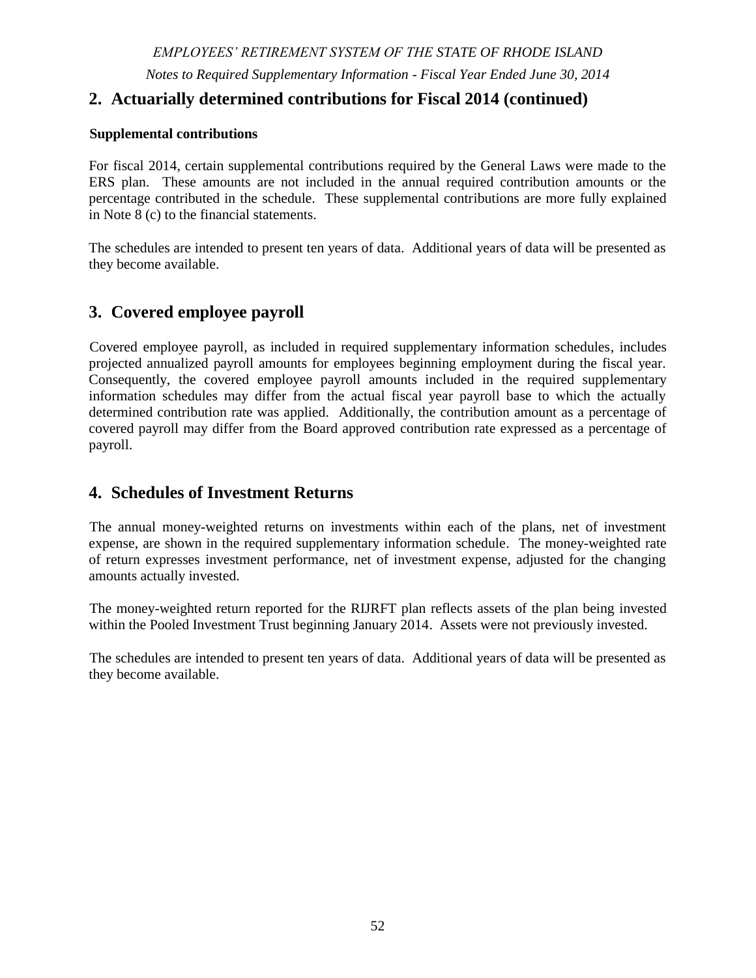*Notes to Required Supplementary Information - Fiscal Year Ended June 30, 2014*

|  |  |  | 2. Actuarially determined contributions for Fiscal 2014 (continued) |  |  |  |  |
|--|--|--|---------------------------------------------------------------------|--|--|--|--|
|--|--|--|---------------------------------------------------------------------|--|--|--|--|

|                                                                    | <b>ERS</b>                        |                                                                                                                                                                                              | <b>MERS</b>                                                                                                                                                                                                                                                              | <b>SPRBT</b>          | <b>JRBT</b> | <b>RIJRFT</b> | <b>TSB</b>                   |
|--------------------------------------------------------------------|-----------------------------------|----------------------------------------------------------------------------------------------------------------------------------------------------------------------------------------------|--------------------------------------------------------------------------------------------------------------------------------------------------------------------------------------------------------------------------------------------------------------------------|-----------------------|-------------|---------------|------------------------------|
|                                                                    | <b>State</b><br><b>Employees</b>  | <b>Teachers</b>                                                                                                                                                                              |                                                                                                                                                                                                                                                                          |                       |             |               |                              |
| <b>Actuarial Assumptions</b>                                       |                                   |                                                                                                                                                                                              |                                                                                                                                                                                                                                                                          |                       |             |               |                              |
| <b>Investment</b><br><b>Rate of Return</b>                         | 7.50%                             | 7.50%                                                                                                                                                                                        | 7.50%                                                                                                                                                                                                                                                                    | 7.50%                 | 7.50%       | 4.00%         | 7.5%                         |
| Projected<br><b>Salary</b><br><b>Increases</b><br><b>Mortality</b> | 4.00%<br>to<br>7.00%<br>$\bullet$ | 4.00%<br>to<br>12.75%                                                                                                                                                                        | General<br><b>Employees</b><br>4.00% to 8.00%<br>Police & Fire<br><i>Employees</i><br>$4.25%$ to<br>14.25%<br>Male Employees, MERS General and MERS P&F: 115% of RP-2000 Combined Healthy for Males with<br>White Collar adjustments, projected with Scale AA from 2000. | 4.00%<br>to<br>12.00% | 4.00%       | 4.00%         | Mortality the<br>same as for |
|                                                                    | $\bullet$                         | Male and female<br>teachers:<br>97% and 92%,<br>respectively of<br>rates in a GRS<br>table based on<br>male and female<br>teacher<br>experience,<br>projected with<br>Scale AA from<br>2000. | Female Employees, MERS General and MERS P&F: 95% of RP-2000 Combined Healthy for Females<br>with White Collar adjustments, projected with Scale AA from 2000.                                                                                                            |                       |             |               | teachers                     |
| <b>Inflation</b>                                                   |                                   |                                                                                                                                                                                              |                                                                                                                                                                                                                                                                          | 2.75%                 |             |               |                              |

#### **Cost of Living Adjustments**

COLA is equal to the average five-year fund asset performance (percent) greater than 5.5% up to a maximum of 4% - the COLA is to be applied to the first \$25,000 of benefits, indexed over time. COLA is delayed until the later of Social Security eligibility age or 3 years after retirement except for State Police and MERS Police and Fire for which the COLA is delayed until the later of age 55 or 3 years after retirement.

For the MERS plan, a 2% COLA is assumed after January 1, 2014. For all other plans, a COLA of 2% is assumed only every five years until the plans achieve an 80% collective funded status in accordance with the law.

For the TSB plan, a 2.75% COLA is assumed – the actual COLA in any year is based on the COLA provided for federal Social Security recipients.